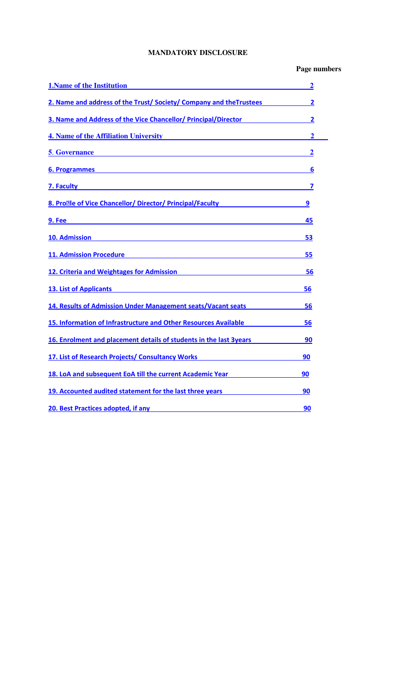# **MANDATORY DISCLOSURE**

# **Page numbers**

| <b>1. Name of the Institution</b>                                                                                                                                                                                                    | 2                |
|--------------------------------------------------------------------------------------------------------------------------------------------------------------------------------------------------------------------------------------|------------------|
| 2. Name and address of the Trust/Society/Company and the Trustees                                                                                                                                                                    | 2                |
| 3. Name and Address of the Vice Chancellor/ Principal/Director 2001 2012                                                                                                                                                             |                  |
| <b>4. Name of the Affiliation University</b>                                                                                                                                                                                         | 2                |
| 5. Governance <b>Sales and Science Control Control Control Control Control Control Control Control Control Control Control Control Control Control Control Control Control Control Control Control Control Control Control Contr</b> | $\boldsymbol{2}$ |
|                                                                                                                                                                                                                                      | 6                |
| <u>7. Faculty 2008 and 2008 and 2008 and 2008 and 2008 and 2008 and 2008 and 2008 and 2008 and 2008 and 2008 and 2008 and 2008 and 2008 and 2008 and 2008 and 2008 and 2008 and 2008 and 2008 and 2008 and 2008 and 2008 and 200</u> |                  |
| 8. Pro <b>Me of Vice Chancellor/ Director/ Principal/Faculty</b>                                                                                                                                                                     | 9                |
| 9. Fee                                                                                                                                                                                                                               | 45               |
| 10. Admission and the contract of the contract of the contract of the contract of the contract of the contract of the contract of the contract of the contract of the contract of the contract of the contract of the contract       | 53               |
| 11. Admission Procedure <b>Access 2018</b> 2019 12:00:00 Procedure                                                                                                                                                                   | 55               |
| 12. Criteria and Weightages for Admission <b>Exercise 2018</b>                                                                                                                                                                       | 56               |
| <u>13. List of Applicants</u>                                                                                                                                                                                                        | 56               |
| 14. Results of Admission Under Management seats/Vacant seats                                                                                                                                                                         | 56               |
| 15. Information of Infrastructure and Other Resources Available                                                                                                                                                                      | 56               |
| 16. Enrolment and placement details of students in the last 3years                                                                                                                                                                   | 90               |
| 17. List of Research Projects/ Consultancy Works                                                                                                                                                                                     | 90               |
| <u>18. LoA and subsequent EoA till the current Academic Year Alexandee Books and the subsequent with the subsequent of the subsequent of the subsequent of the subsequent of the subsequent of the subsequent of the subsequent </u> | 90               |
| 19. Accounted audited statement for the last three years <b>Statement Controllering</b>                                                                                                                                              | 90               |
| 20. Best Practices adopted, if any                                                                                                                                                                                                   | 90               |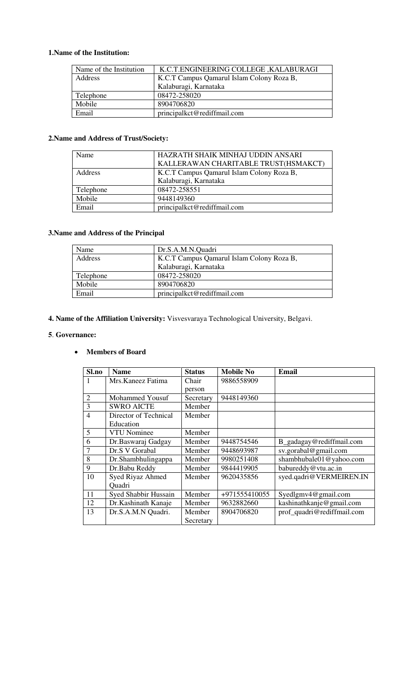## <span id="page-1-0"></span>**1.Name of the Institution:**

| Name of the Institution | K.C.T.ENGINEERING COLLEGE, KALABURAGI     |  |  |
|-------------------------|-------------------------------------------|--|--|
| Address                 | K.C.T Campus Qamarul Islam Colony Roza B, |  |  |
|                         | Kalaburagi, Karnataka                     |  |  |
| Telephone               | 08472-258020                              |  |  |
| Mobile                  | 8904706820                                |  |  |
| Email                   | principalkct@rediffmail.com               |  |  |

## <span id="page-1-1"></span>**2.Name and Address of Trust/Society:**

| Name      | HAZRATH SHAIK MINHAJ UDDIN ANSARI         |
|-----------|-------------------------------------------|
|           | KALLERAWAN CHARITABLE TRUST(HSMAKCT)      |
| Address   | K.C.T Campus Qamarul Islam Colony Roza B, |
|           | Kalaburagi, Karnataka                     |
| Telephone | 08472-258551                              |
| Mobile    | 9448149360                                |
| Email     | principalkct@rediffmail.com               |

## <span id="page-1-2"></span>**3.Name and Address of the Principal**

| Name      | Dr.S.A.M.N.Quadri                         |  |  |
|-----------|-------------------------------------------|--|--|
| Address   | K.C.T Campus Qamarul Islam Colony Roza B, |  |  |
|           | Kalaburagi, Karnataka                     |  |  |
| Telephone | 08472-258020                              |  |  |
| Mobile    | 8904706820                                |  |  |
| Email     | principalkct@rediffmail.com               |  |  |

<span id="page-1-3"></span>**4. Name of the Affiliation University:** Visvesvaraya Technological University, Belgavi.

### <span id="page-1-4"></span>**5**. **Governance:**

## **Members of Board**

| Sl.no          | <b>Name</b>           | <b>Status</b> | <b>Mobile No</b> | <b>Email</b>               |
|----------------|-----------------------|---------------|------------------|----------------------------|
|                | Mrs. Kaneez Fatima    | Chair         | 9886558909       |                            |
|                |                       | person        |                  |                            |
| $\overline{2}$ | Mohammed Yousuf       | Secretary     | 9448149360       |                            |
| 3              | <b>SWRO AICTE</b>     | Member        |                  |                            |
| $\overline{4}$ | Director of Technical | Member        |                  |                            |
|                | Education             |               |                  |                            |
| 5              | <b>VTU</b> Nominee    | Member        |                  |                            |
| 6              | Dr.Baswaraj Gadgay    | Member        | 9448754546       | B_gadagay@rediffmail.com   |
| 7              | Dr.S V Gorabal        | Member        | 9448693987       | sv.gorabal@gmail.com       |
| 8              | Dr.Shambhulingappa    | Member        | 9980251408       | shambhubale01@yahoo.com    |
| 9              | Dr.Babu Reddy         | Member        | 9844419905       | babureddy@vtu.ac.in        |
| 10             | Syed Riyaz Ahmed      | Member        | 9620435856       | syed.qadri@VERMEIREN.IN    |
|                | Quadri                |               |                  |                            |
| 11             | Syed Shabbir Hussain  | Member        | +971555410055    | Syedlgmv4@gmail.com        |
| 12             | Dr.Kashinath Kanaje   | Member        | 9632882660       | kashinathkanje@gmail.com   |
| 13             | Dr.S.A.M.N Quadri.    | Member        | 8904706820       | prof_quadri@rediffmail.com |
|                |                       | Secretary     |                  |                            |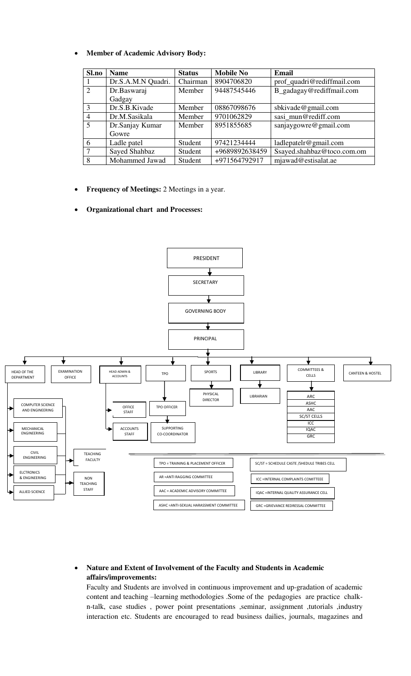| Sl.no          | <b>Name</b>        | <b>Status</b> | <b>Mobile No</b> | Email                      |
|----------------|--------------------|---------------|------------------|----------------------------|
|                | Dr.S.A.M.N Quadri. | Chairman      | 8904706820       | prof_quadri@rediffmail.com |
| 2              | Dr.Baswaraj        | Member        | 94487545446      | B_gadagay@rediffmail.com   |
|                | Gadgay             |               |                  |                            |
| 3              | Dr.S.B.Kivade      | Member        | 08867098676      | sbkivade@gmail.com         |
| $\overline{4}$ | Dr.M.Sasikala      | Member        | 9701062829       | sasi mun@rediff.com        |
| 5              | Dr.Sanjay Kumar    | Member        | 8951855685       | sanjaygowre@gmail.com      |
|                | Gowre              |               |                  |                            |
| 6              | Ladle patel        | Student       | 97421234444      | ladlepatelr@gmail.com      |
| 7              | Sayed Shahbaz      | Student       | +9689892638459   | Ssayed.shahbaz@toco.com.om |
| 8              | Mohammed Jawad     | Student       | +971564792917    | mjawad@estisalat.ae        |

**Frequency of Meetings:** 2 Meetings in a year.

### **Organizational chart and Processes:**



## **Nature and Extent of Involvement of the Faculty and Students in Academic affairs/improvements:**

Faculty and Students are involved in continuous improvement and up-gradation of academic content and teaching –learning methodologies .Some of the pedagogies are practice chalkn-talk, case studies , power point presentations ,seminar, assignment ,tutorials ,industry interaction etc. Students are encouraged to read business dailies, journals, magazines and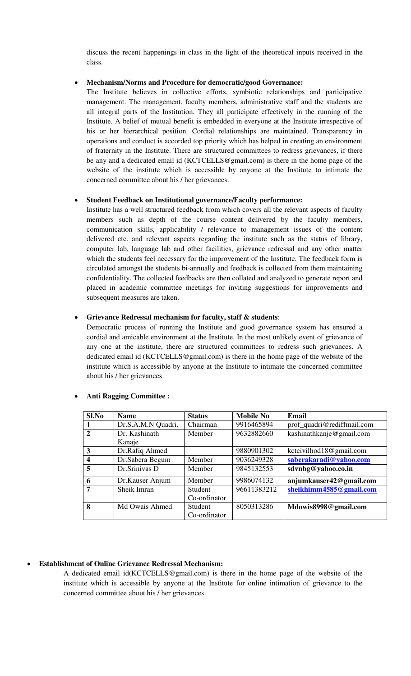discuss the recent happenings in class in the light of the theoretical inputs received in the class.

#### **Mechanism/Norms and Procedure for democratic/good Governance:**

The Institute believes in collective efforts, symbiotic relationships and participative management. The management, faculty members, administrative staff and the students are all integral parts of the Institution. They all participate effectively in the running of the Institute. A belief of mutual benefit is embedded in everyone at the Institute irrespective of his or her hierarchical position. Cordial relationships are maintained. Transparency in operations and conduct is accorded top priority which has helped in creating an environment of fraternity in the Institute. There are structured committees to redress grievances, if there be any and a dedicated email id (KCTCELLS@gmail.com) is there in the home page of the website of the institute which is accessible by anyone at the Institute to intimate the concerned committee about his / her grievances.

### **Student Feedback on Institutional governance/Faculty performance:**

Institute has a well structured feedback from which covers all the relevant aspects of faculty members such as depth of the course content delivered by the faculty members, communication skills, applicability / relevance to management issues of the content delivered etc. and relevant aspects regarding the institute such as the status of library, computer lab, language lab and other facilities, grievance redressal and any other matter which the students feel necessary for the improvement of the Institute. The feedback form is circulated amongst the students bi-annually and feedback is collected from them maintaining confidentiality. The collected feedbacks are then collated and analyzed to generate report and placed in academic committee meetings for inviting suggestions for improvements and subsequent measures are taken.

### **Grievance Redressal mechanism for faculty, staff & students**:

Democratic process of running the Institute and good governance system has ensured a cordial and amicable environment at the Institute. In the most unlikely event of grievance of any one at the institute, there are structured committees to redress such grievances. A dedicated email id (KCTCELLS@gmail.com) is there in the home page of the website of the institute which is accessible by anyone at the Institute to intimate the concerned committee about his / her grievances.

| $Sl$ .No     | <b>Name</b>        | <b>Status</b> | <b>Mobile No</b> | Email                      |
|--------------|--------------------|---------------|------------------|----------------------------|
|              | Dr.S.A.M.N Quadri. | Chairman      | 9916465894       | prof_quadri@rediffmail.com |
| $\mathbf{2}$ | Dr. Kashinath      | Member        | 9632882660       | kashinathkanje@gmail.com   |
|              | Kanaje             |               |                  |                            |
| 3            | Dr.Rafiq Ahmed     |               | 9880901302       | kctcivilhod18@gmail.com    |
| 4            | Dr.Sabera Begum    | Member        | 9036249328       | saberakaradi@yahoo.com     |
| 5            | Dr.Srinivas D      | Member        | 9845132553       | sdvnbg@yahoo.co.in         |
| 6            | Dr.Kauser Anjum    | Member        | 9986074132       | anjumkauser42@gmail.com    |
| 7            | Sheik Imran        | Student       | 96611383212      | sheikhimm4585@gmail.com    |
|              |                    | Co-ordinator  |                  |                            |
| 8            | Md Owais Ahmed     | Student       | 8050313286       | Mdowis8998@gmail.com       |
|              |                    | Co-ordinator  |                  |                            |

#### **Anti Ragging Committee :**

#### **Establishment of Online Grievance Redressal Mechanism:**

A dedicated email id(KCTCELLS@gmail.com) is there in the home page of the website of the institute which is accessible by anyone at the Institute for online intimation of grievance to the concerned committee about his / her grievances.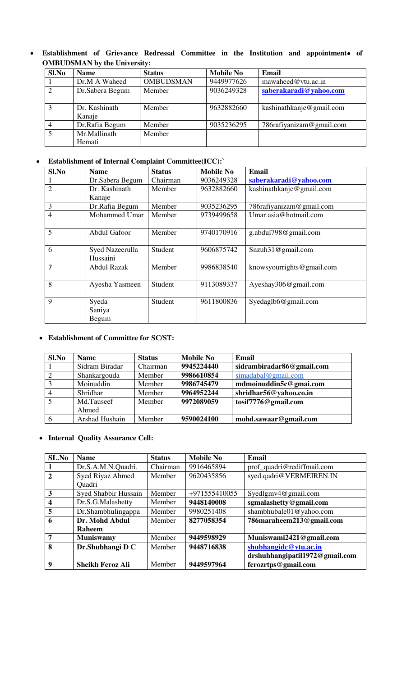**Establishment of Grievance Redressal Committee in the Institution and appointment of OMBUDSMAN by the University:** 

| Sl.No | <b>Name</b>             | <b>Status</b>    | <b>Mobile No</b> | <b>Email</b>              |
|-------|-------------------------|------------------|------------------|---------------------------|
|       | Dr.M A Waheed           | <b>OMBUDSMAN</b> | 9449977626       | mawaheed@vtu.ac.in        |
| 2     | Dr. Sabera Begum        | Member           | 9036249328       | saberakaradi@yahoo.com    |
| 3     | Dr. Kashinath<br>Kanaje | Member           | 9632882660       | kashinathkanje@gmail.com  |
|       | Dr.Rafia Begum          | Member           | 9035236295       | 786 rafiyanizam@gmail.com |
| 5     | Mr.Mallinath            | Member           |                  |                           |
|       | Hemati                  |                  |                  |                           |

## **Establishment of Internal Complaint Committee(ICC):`**

| Sl.No          | <b>Name</b>        | <b>Status</b> | <b>Mobile No</b> | <b>Email</b>              |
|----------------|--------------------|---------------|------------------|---------------------------|
|                | Dr.Sabera Begum    | Chairman      | 9036249328       | saberakaradi@yahoo.com    |
| $\overline{2}$ | Dr. Kashinath      | Member        | 9632882660       | kashinathkanje@gmail.com  |
|                | Kanaje             |               |                  |                           |
| 3              | Dr.Rafia Begum     | Member        | 9035236295       | 786rafiyanizam@gmail.com  |
| $\overline{4}$ | Mohammed Umar      | Member        | 9739499658       | Umar.asia@hotmail.com     |
|                |                    |               |                  |                           |
| 5              | Abdul Gafoor       | Member        | 9740170916       | g.abdul798@gmail.com      |
|                |                    |               |                  |                           |
| 6              | Syed Nazeerulla    | Student       | 9606875742       | Snzuh31@gmail.com         |
|                | Hussaini           |               |                  |                           |
| 7              | <b>Abdul Razak</b> | Member        | 9986838540       | knowsyourrights@gmail.com |
|                |                    |               |                  |                           |
| 8              | Ayesha Yasmeen     | Student       | 9113089337       | Ayeshay306@gmail.com      |
|                |                    |               |                  |                           |
| 9              | Syeda              | Student       | 9611800836       | Syedaglb6@gmail.com       |
|                | Saniya             |               |                  |                           |
|                | Begum              |               |                  |                           |

### **Establishment of Committee for SC/ST:**

| Sl.No | <b>Name</b>    | <b>Status</b> | <b>Mobile No</b> | Email                     |
|-------|----------------|---------------|------------------|---------------------------|
|       | Sidram Biradar | Chairman      | 9945224440       | sidrambiradar86@gmail.com |
|       | Shankargouda   | Member        | 9986610854       | simadabal@gmail.com       |
| 3     | Moinuddin      | Member        | 9986745479       | mdmoinuddin5c@gmai.com    |
|       | Shridhar       | Member        | 9964952244       | shridhar56@yahoo.co.in    |
| 5     | Md.Tauseef     | Member        | 9972089059       | tosif7776@gmail.com       |
|       | Ahmed          |               |                  |                           |
| 6     | Arshad Hushain | Member        | 9590024100       | mohd.sawaar@gmail.com     |

## **Internal Quality Assurance Cell:**

| SL.No          | <b>Name</b>             | <b>Status</b> | <b>Mobile No</b> | <b>Email</b>                   |
|----------------|-------------------------|---------------|------------------|--------------------------------|
|                | Dr.S.A.M.N.Quadri.      | Chairman      | 9916465894       | prof_quadri@rediffmail.com     |
| $\overline{2}$ | Syed Riyaz Ahmed        | Member        | 9620435856       | syed.qadri@VERMEIREN.IN        |
|                | Quadri                  |               |                  |                                |
| 3              | Syed Shabbir Hussain    | Member        | +971555410055    | Syedlgmv4@gmail.com            |
| 4              | Dr.S.G.Malashetty       | Member        | 9448140008       | sgmalashetty@gmail.com         |
| 5              | Dr.Shambhulingappa      | Member        | 9980251408       | shambhubale01@yahoo.com        |
| 6              | Dr. Mohd Abdul          | Member        | 8277058354       | 786maraheem213@gmail.com       |
|                | <b>Raheem</b>           |               |                  |                                |
| 7              | <b>Muniswamy</b>        | Member        | 9449598929       | Muniswami2421@gmail.com        |
| 8              | Dr.Shubhangi D C        | Member        | 9448716838       | shubhangidc@vtu.ac.in          |
|                |                         |               |                  | drshuhhangipatil1972@gmail.com |
| 9              | <b>Sheikh Feroz Ali</b> | Member        | 9449597964       | ferozrtps@gmail.com            |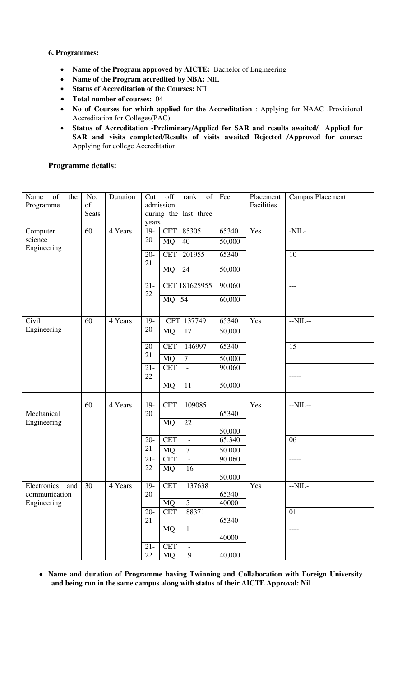### <span id="page-5-0"></span>**6. Programmes:**

- **Name of the Program approved by AICTE:** Bachelor of Engineering
- **Name of the Program accredited by NBA:** NIL
- **Status of Accreditation of the Courses:** NIL
- **Total number of courses:** 04
- **No of Courses for which applied for the Accreditation** : Applying for NAAC ,Provisional Accreditation for Colleges(PAC)
- **Status of Accreditation -Preliminary/Applied for SAR and results awaited/ Applied for SAR and visits completed/Results of visits awaited Rejected /Approved for course:** Applying for college Accreditation

## **Programme details:**

| of<br>Name<br>the<br>Programme     | No.<br>of<br>Seats | Duration | Cut<br>years | off<br>rank<br>of<br>admission<br>during the last three | Fee             | Placement<br>Facilities | <b>Campus Placement</b> |
|------------------------------------|--------------------|----------|--------------|---------------------------------------------------------|-----------------|-------------------------|-------------------------|
| Computer<br>science<br>Engineering | 60                 | 4 Years  | $19-$<br>20  | CET 85305<br><b>MQ</b><br>40                            | 65340<br>50,000 | Yes                     | $-NIL-$                 |
|                                    |                    |          | $20 -$<br>21 | CET 201955                                              | 65340           |                         | 10                      |
|                                    |                    |          |              | <b>MQ</b><br>24                                         | 50,000          |                         |                         |
|                                    |                    |          | $21 -$<br>22 | CET 181625955                                           | 90.060          |                         | $---$                   |
|                                    |                    |          |              | MQ 54                                                   | 60,000          |                         |                         |
| Civil                              | 60                 | 4 Years  | $19-$        | CET 137749                                              | 65340           | Yes                     | $-NIL-$                 |
| Engineering                        |                    |          | 20           | <b>MQ</b><br>17                                         | 50,000          |                         |                         |
|                                    |                    |          | $20 -$<br>21 | <b>CET</b><br>146997                                    | 65340           |                         | 15                      |
|                                    |                    |          |              | <b>MQ</b><br>$\overline{7}$                             | 50,000          |                         |                         |
|                                    |                    |          | $21 -$<br>22 | <b>CET</b><br>$\equiv$                                  | 90.060          |                         |                         |
|                                    |                    |          |              | <b>MQ</b><br>11                                         | 50,000          |                         |                         |
| Mechanical                         | 60                 | 4 Years  | $19-$<br>20  | <b>CET</b><br>109085                                    | 65340           | Yes                     | $-NIL-$                 |
| Engineering                        |                    |          |              | 22<br><b>MQ</b>                                         |                 |                         |                         |
|                                    |                    |          |              |                                                         | 50,000          |                         |                         |
|                                    |                    |          | $20 -$       | <b>CET</b><br>$\overline{\phantom{a}}$                  | 65.340          |                         | 06                      |
|                                    |                    |          | 21           | <b>MQ</b><br>$\overline{7}$                             | 50.000          |                         |                         |
|                                    |                    |          | $21 -$       | <b>CET</b><br>$\Box$                                    | 90.060          |                         | -----                   |
|                                    |                    |          | 22           | 16<br><b>MQ</b>                                         |                 |                         |                         |
| Electronics<br>and                 | 30                 | 4 Years  | $19-$        | <b>CET</b><br>137638                                    | 50.000          | Yes                     | $-NIL-$                 |
| communication                      |                    |          | 20           |                                                         | 65340           |                         |                         |
| Engineering                        |                    |          |              | 5<br><b>MQ</b>                                          | 40000           |                         |                         |
|                                    |                    |          | $20 -$       | <b>CET</b><br>88371                                     |                 |                         | 01                      |
|                                    |                    |          | 21           |                                                         | 65340           |                         |                         |
|                                    |                    |          |              | <b>MQ</b><br>$\mathbf{1}$                               | 40000           |                         | ----                    |
|                                    |                    |          | $21 -$       | <b>CET</b>                                              |                 |                         |                         |
|                                    |                    |          | 22           | <b>MQ</b><br>$\overline{9}$                             | 40,000          |                         |                         |

 **Name and duration of Programme having Twinning and Collaboration with Foreign University and being run in the same campus along with status of their AICTE Approval: Nil**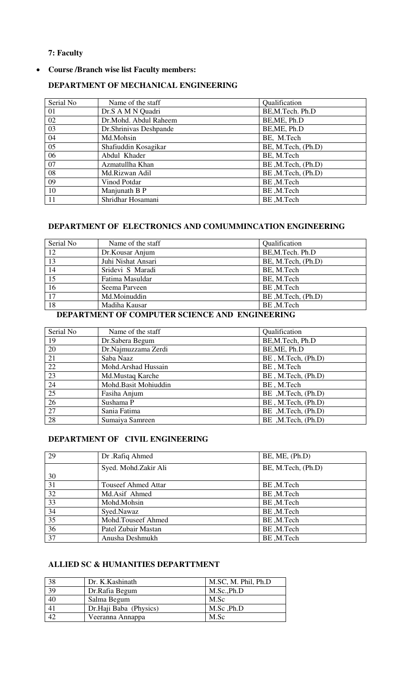## <span id="page-6-0"></span>**7: Faculty**

# **Course /Branch wise list Faculty members:**

| Serial No | Name of the staff       | Qualification      |
|-----------|-------------------------|--------------------|
| 01        | Dr.S A M N Quadri       | BE, M. Tech. Ph.D  |
| 02        | Dr.Mohd. Abdul Raheem   | BE, ME, Ph.D       |
| 03        | Dr. Shrinivas Deshpande | BE, ME, Ph.D       |
| 04        | Md.Mohsin               | BE, M.Tech         |
| 05        | Shafiuddin Kosagikar    | BE, M.Tech, (Ph.D) |
| 06        | Abdul Khader            | BE, M.Tech         |
| 07        | Azmatullha Khan         | BE, M.Tech, (Ph.D) |
| 08        | Md.Rizwan Adil          | BE, M.Tech, (Ph.D) |
| 09        | Vinod Potdar            | BE,M.Tech          |
| 10        | Manjunath B P           | BE,M.Tech          |
| 11        | Shridhar Hosamani       | BE,M.Tech          |

## **DEPARTMENT OF MECHANICAL ENGINEERING**

# **DEPARTMENT OF ELECTRONICS AND COMUMMINCATION ENGINEERING**

| Serial No     | Name of the staff  | Qualification      |
|---------------|--------------------|--------------------|
| 12            | Dr.Kousar Anjum    | BE, M. Tech. Ph.D  |
| 13            | Juhi Nishat Ansari | BE, M.Tech, (Ph.D) |
| 14            | Sridevi S Maradi   | BE, M.Tech         |
| $\vert$ 15    | Fatima Masuldar    | BE, M.Tech         |
| 16            | Seema Parveen      | BE, M.Tech         |
| 17            | Md.Moinuddin       | BE, M.Tech, (Ph.D) |
| <sup>18</sup> | Madiha Kausar      | BE, M.Tech         |

# **DEPARTMENT OF COMPUTER SCIENCE AND ENGINEERING**

| Serial No | Name of the staff    | Qualification      |
|-----------|----------------------|--------------------|
| 19        | Dr.Sabera Begum      | BE, M. Tech, Ph.D  |
| 20        | Dr.Najmuzzama Zerdi  | BE, ME, Ph.D       |
| 21        | Saba Naaz            | BE, M.Tech, (Ph.D) |
| 22        | Mohd.Arshad Hussain  | BE, M.Tech         |
| 23        | Md.Mustaq Karche     | BE, M.Tech, (Ph.D) |
| 24        | Mohd.Basit Mohiuddin | BE, M.Tech         |
| 25        | Fasiha Anjum         | BE, M.Tech, (Ph.D) |
| 26        | Sushama P            | BE, M.Tech, (Ph.D) |
| 27        | Sania Fatima         | BE, M.Tech, (Ph.D) |
| 28        | Sumaiya Samreen      | BE, M.Tech, (Ph.D) |
|           |                      |                    |

# **DEPARTMENT OF CIVIL ENGINEERING**

| 29 | Dr.Rafiq Ahmed             | BE, ME, (Ph.D)     |
|----|----------------------------|--------------------|
|    | Syed. Mohd.Zakir Ali       | BE, M.Tech, (Ph.D) |
| 30 |                            |                    |
| 31 | <b>Touseef Ahmed Attar</b> | BE, M.Tech         |
| 32 | Md.Asif Ahmed              | BE, M.Tech         |
| 33 | Mohd.Mohsin                | BE, M.Tech         |
| 34 | Syed.Nawaz                 | BE,M.Tech          |
| 35 | Mohd.Touseef Ahmed         | BE, M.Tech         |
| 36 | Patel Zubair Mastan        | BE,M.Tech          |
| 37 | Anusha Deshmukh            | BE, M.Tech         |

# **ALLIED SC & HUMANITIES DEPARTTMENT**

| 38 | Dr. K. Kashinath       | M.SC, M. Phil, Ph.D |
|----|------------------------|---------------------|
| 39 | Dr.Rafia Begum         | M.Sc., Ph.D         |
| 40 | Salma Begum            | M.Sc                |
|    | Dr.Haji Baba (Physics) | M.Sc, Ph.D          |
| 42 | Veeranna Annappa       | M.Sc                |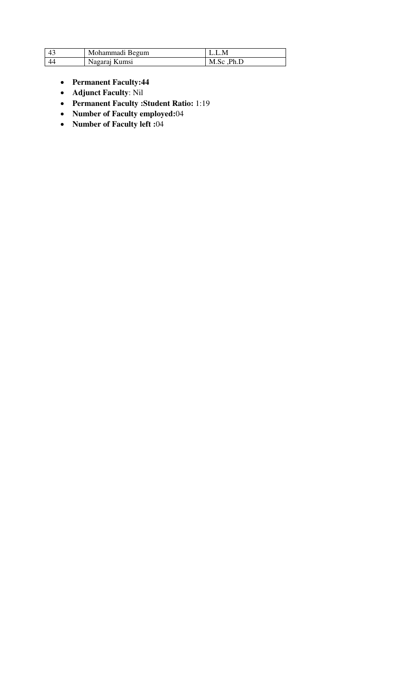| 43 | Mohammadi Begum |             |
|----|-----------------|-------------|
| 44 | Nagaraj Kumsi   | M.Sc , Ph.D |

- **Permanent Faculty:44**
- **Adjunct Faculty**: Nil
- **Permanent Faculty :Student Ratio:** 1:19
- **Number of Faculty employed:**04
- **Number of Faculty left :**04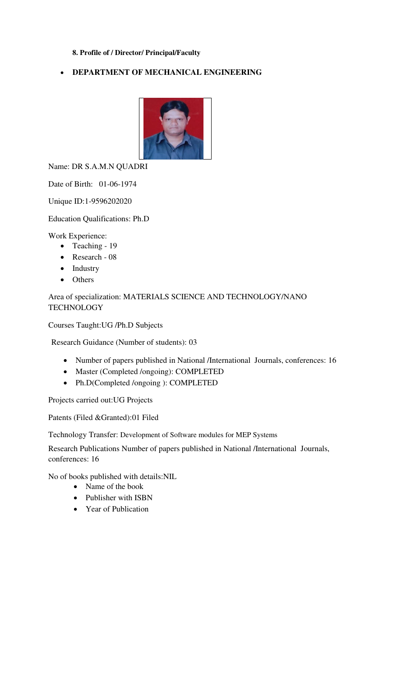# <span id="page-8-0"></span>**8. Profile of / Director/ Principal/Faculty**

# **DEPARTMENT OF MECHANICAL ENGINEERING**



Name: DR S.A.M.N QUADRI

Date of Birth: 01-06-1974

Unique ID:1-9596202020

Education Qualifications: Ph.D

Work Experience:

- Teaching 19
- Research 08
- Industry
- Others

Area of specialization: MATERIALS SCIENCE AND TECHNOLOGY/NANO **TECHNOLOGY** 

Courses Taught:UG /Ph.D Subjects

Research Guidance (Number of students): 03

- Number of papers published in National /International Journals, conferences: 16
- Master (Completed /ongoing): COMPLETED
- Ph.D(Completed /ongoing ): COMPLETED

Projects carried out:UG Projects

Patents (Filed &Granted):01 Filed

Technology Transfer: Development of Software modules for MEP Systems

Research Publications Number of papers published in National /International Journals, conferences: 16

No of books published with details:NIL

- Name of the book
- Publisher with ISBN
- Year of Publication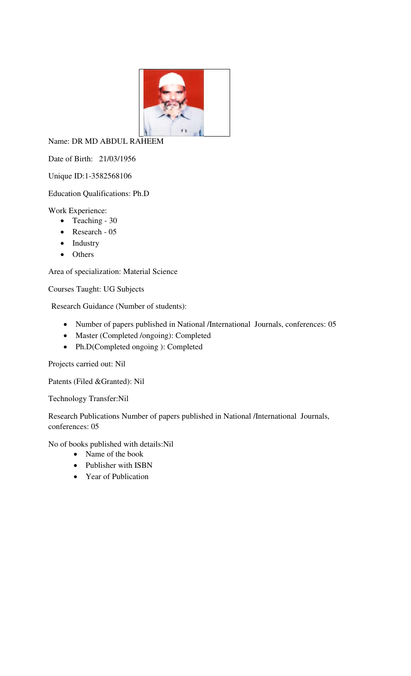

Name: DR MD ABDUL RAHEEM

Date of Birth: 21/03/1956

Unique ID:1-3582568106

# Education Qualifications: Ph.D

Work Experience:

- Teaching 30
- Research 05
- Industry
- Others

Area of specialization: Material Science

Courses Taught: UG Subjects

Research Guidance (Number of students):

- Number of papers published in National /International Journals, conferences: 05
- Master (Completed /ongoing): Completed
- Ph.D(Completed ongoing ): Completed

Projects carried out: Nil

Patents (Filed &Granted): Nil

Technology Transfer:Nil

Research Publications Number of papers published in National /International Journals, conferences: 05

No of books published with details:Nil

- Name of the book
- Publisher with ISBN
- Year of Publication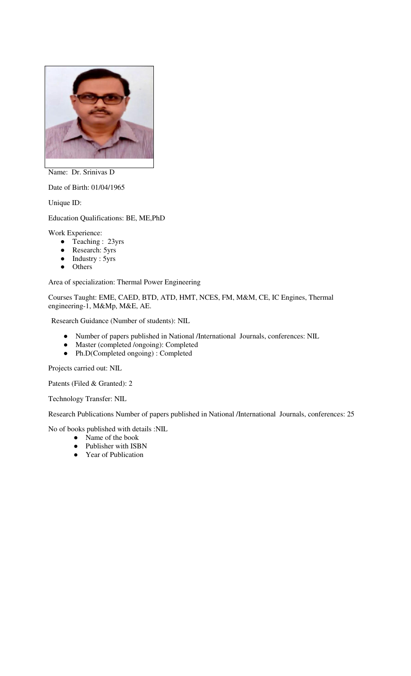

Name: Dr. Srinivas D

Date of Birth: 01/04/1965

Unique ID:

Education Qualifications: BE, ME,PhD

Work Experience:

- Teaching : 23yrs
- Research: 5yrs
- Industry : 5yrs
- Others

Area of specialization: Thermal Power Engineering

Courses Taught: EME, CAED, BTD, ATD, HMT, NCES, FM, M&M, CE, IC Engines, Thermal engineering-1, M&Mp, M&E, AE.

Research Guidance (Number of students): NIL

- Number of papers published in National /International Journals, conferences: NIL
- Master (completed /ongoing): Completed
- Ph.D(Completed ongoing) : Completed

Projects carried out: NIL

Patents (Filed & Granted): 2

Technology Transfer: NIL

Research Publications Number of papers published in National /International Journals, conferences: 25

No of books published with details :NIL

- Name of the book
- Publisher with ISBN
- Year of Publication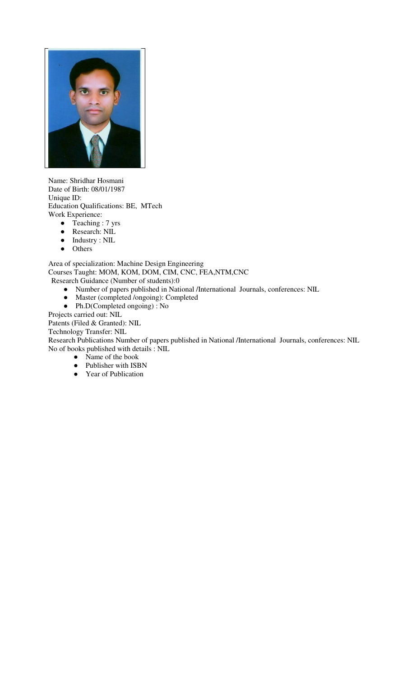

Name: Shridhar Hosmani Date of Birth: 08/01/1987 Unique ID: Education Qualifications: BE, MTech Work Experience:

- Teaching : 7 yrs
- Research: NIL
- Industry : NIL<br>• Others
- Others

Area of specialization: Machine Design Engineering Courses Taught: MOM, KOM, DOM, CIM, CNC, FEA,NTM,CNC Research Guidance (Number of students):0

- Number of papers published in National /International Journals, conferences: NIL
- Master (completed /ongoing): Completed
- Ph.D(Completed ongoing) : No

Projects carried out: NIL

Patents (Filed & Granted): NIL

Technology Transfer: NIL

Research Publications Number of papers published in National /International Journals, conferences: NIL No of books published with details : NIL

- Name of the book
- Publisher with ISBN
- Year of Publication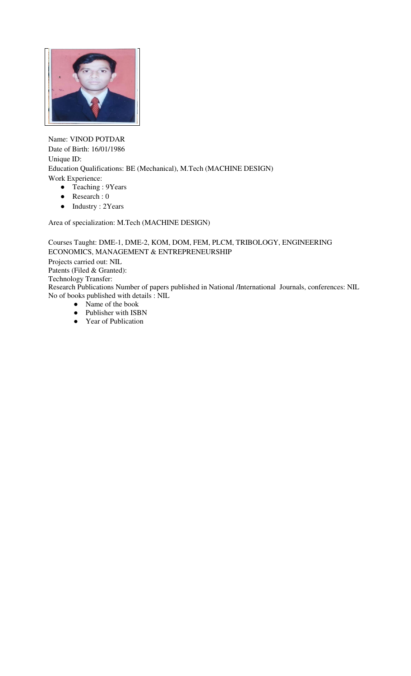

Name: VINOD POTDAR Date of Birth: 16/01/1986 Unique ID: Education Qualifications: BE (Mechanical), M.Tech (MACHINE DESIGN) Work Experience: ● Teaching : 9Years

- 
- Research : 0
- Industry : 2Years

Area of specialization: M.Tech (MACHINE DESIGN)

Courses Taught: DME-1, DME-2, KOM, DOM, FEM, PLCM, TRIBOLOGY, ENGINEERING ECONOMICS, MANAGEMENT & ENTREPRENEURSHIP Projects carried out: NIL Patents (Filed & Granted): Technology Transfer: Research Publications Number of papers published in National /International Journals, conferences: NIL No of books published with details : NIL • Name of the book

- Publisher with ISBN
- Year of Publication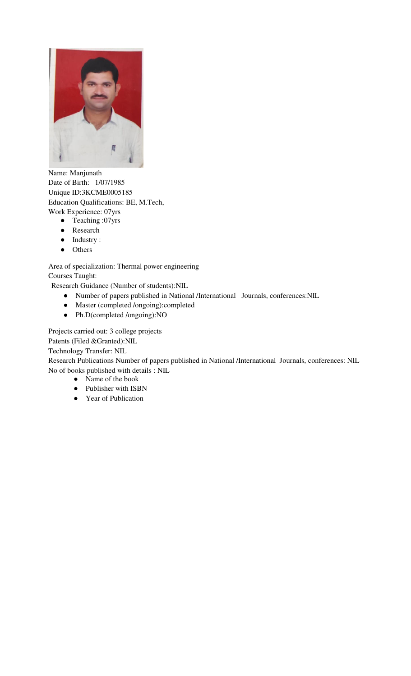

Name: Manjunath Date of Birth: 1/07/1985 Unique ID:3KCME0005185 Education Qualifications: BE, M.Tech, Work Experience: 07yrs

- Teaching :07yrs
- Research
- Industry :
- Others

Area of specialization: Thermal power engineering Courses Taught:

Research Guidance (Number of students):NIL

- Number of papers published in National /International Journals, conferences:NIL
- Master (completed /ongoing):completed
- Ph.D(completed /ongoing):NO

Projects carried out: 3 college projects

Patents (Filed &Granted):NIL

Technology Transfer: NIL

Research Publications Number of papers published in National /International Journals, conferences: NIL No of books published with details : NIL

- Name of the book
- Publisher with ISBN
- Year of Publication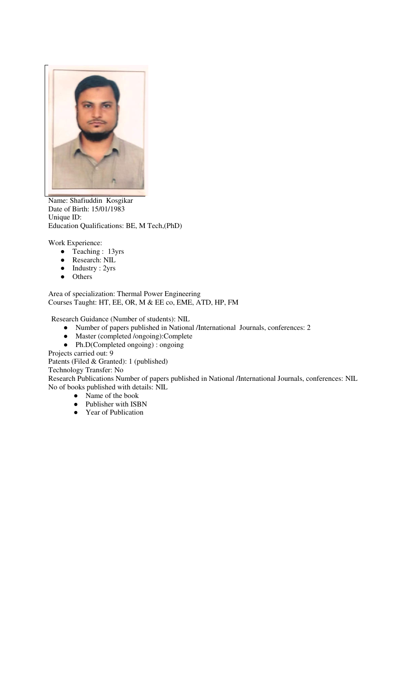

Name: Shafiuddin Kosgikar Date of Birth: 15/01/1983 Unique ID: Education Qualifications: BE, M Tech,(PhD)

Work Experience:

- Teaching : 13yrs
- Research: NIL
- Industry : 2yrs
- Others

Area of specialization: Thermal Power Engineering Courses Taught: HT, EE, OR, M & EE co, EME, ATD, HP, FM

Research Guidance (Number of students): NIL

- Number of papers published in National /International Journals, conferences: 2
- Master (completed /ongoing):Complete
- Ph.D(Completed ongoing) : ongoing

Projects carried out: 9

Patents (Filed & Granted): 1 (published)

Technology Transfer: No

Research Publications Number of papers published in National /International Journals, conferences: NIL No of books published with details: NIL

- Name of the book
- Publisher with ISBN
- Year of Publication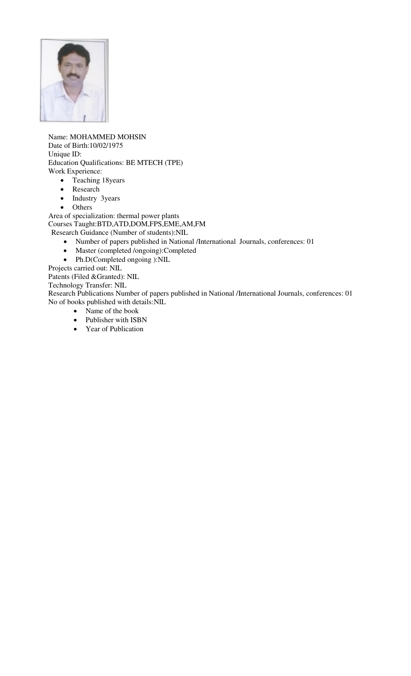

Name: MOHAMMED MOHSIN Date of Birth:10/02/1975 Unique ID: Education Qualifications: BE MTECH (TPE) Work Experience:

- Teaching 18years
- Research
- Industry 3years
- Others

Area of specialization: thermal power plants Courses Taught:BTD,ATD,DOM,FPS,EME,AM,FM

Research Guidance (Number of students):NIL

- Number of papers published in National /International Journals, conferences: 01
- Master (completed /ongoing):Completed
- Ph.D(Completed ongoing ):NIL

Projects carried out: NIL

Patents (Filed &Granted): NIL

Technology Transfer: NIL

Research Publications Number of papers published in National /International Journals, conferences: 01 No of books published with details:NIL

- Name of the book
- Publisher with ISBN
- Year of Publication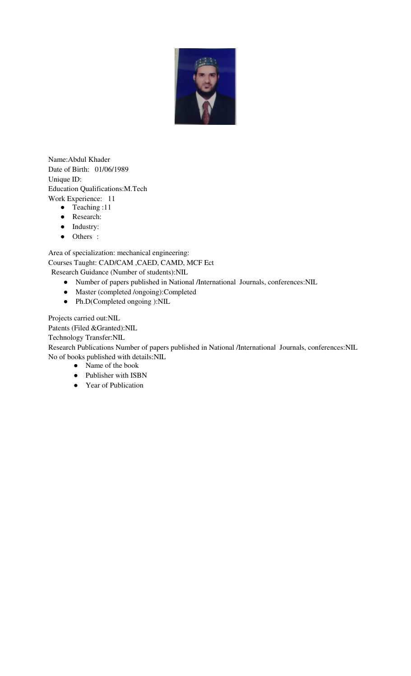

Name:Abdul Khader Date of Birth: 01/06/1989 Unique ID: Education Qualifications:M.Tech Work Experience: 11

- Teaching :11
- Research:
- Industry:
- Others :

Area of specialization: mechanical engineering: Courses Taught: CAD/CAM ,CAED, CAMD, MCF Ect Research Guidance (Number of students):NIL

- Number of papers published in National /International Journals, conferences:NIL
- Master (completed /ongoing):Completed
- Ph.D(Completed ongoing ):NIL

Projects carried out:NIL

Patents (Filed &Granted):NIL

Technology Transfer:NIL

Research Publications Number of papers published in National /International Journals, conferences:NIL No of books published with details:NIL

- Name of the book
- Publisher with ISBN
- Year of Publication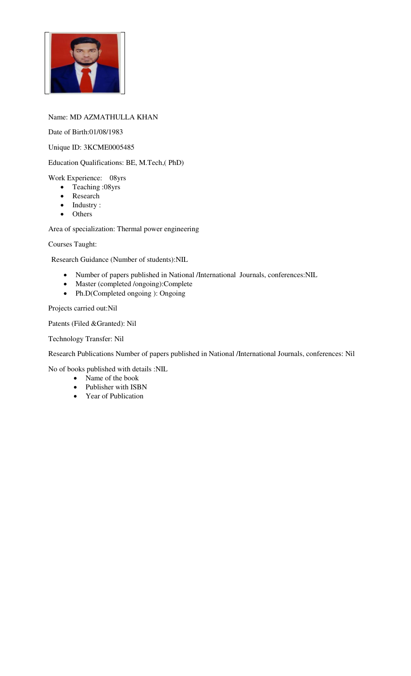

## Name: MD AZMATHULLA KHAN

Date of Birth:01/08/1983

Unique ID: 3KCME0005485

Education Qualifications: BE, M.Tech,( PhD)

Work Experience: 08yrs

- Teaching :08yrs
- Research
- Industry :
- Others

Area of specialization: Thermal power engineering

Courses Taught:

Research Guidance (Number of students):NIL

- Number of papers published in National /International Journals, conferences:NIL
- Master (completed /ongoing):Complete
- Ph.D(Completed ongoing ): Ongoing

Projects carried out:Nil

Patents (Filed &Granted): Nil

Technology Transfer: Nil

Research Publications Number of papers published in National /International Journals, conferences: Nil

No of books published with details :NIL

- Name of the book
- Publisher with ISBN
- Year of Publication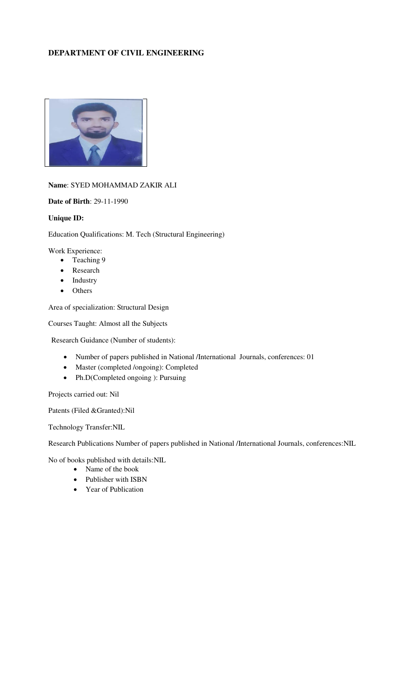# **DEPARTMENT OF CIVIL ENGINEERING**



## **Name**: SYED MOHAMMAD ZAKIR ALI

**Date of Birth**: 29-11-1990

## **Unique ID:**

Education Qualifications: M. Tech (Structural Engineering)

Work Experience:

- Teaching 9
- Research
- Industry
- Others

Area of specialization: Structural Design

Courses Taught: Almost all the Subjects

Research Guidance (Number of students):

- Number of papers published in National /International Journals, conferences: 01
- Master (completed /ongoing): Completed
- Ph.D(Completed ongoing ): Pursuing

Projects carried out: Nil

Patents (Filed &Granted):Nil

Technology Transfer:NIL

Research Publications Number of papers published in National /International Journals, conferences:NIL

No of books published with details:NIL

- Name of the book
- Publisher with ISBN
- Year of Publication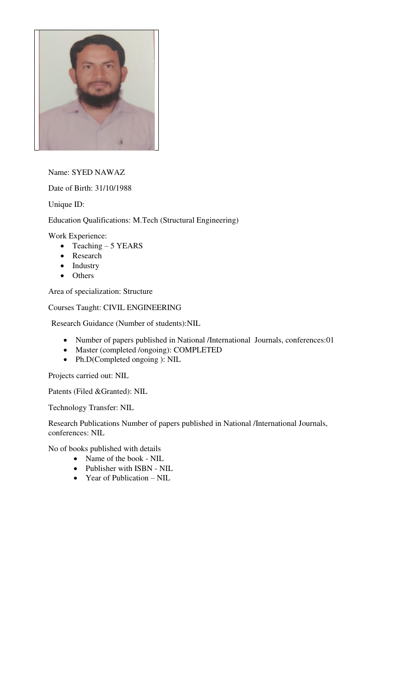

Name: SYED NAWAZ

Date of Birth: 31/10/1988

Unique ID:

Education Qualifications: M.Tech (Structural Engineering)

Work Experience:

- $\bullet$  Teaching 5 YEARS
- Research
- Industry
- Others

Area of specialization: Structure

Courses Taught: CIVIL ENGINEERING

Research Guidance (Number of students):NIL

- Number of papers published in National /International Journals, conferences:01
- Master (completed /ongoing): COMPLETED
- Ph.D(Completed ongoing ): NIL

Projects carried out: NIL

Patents (Filed &Granted): NIL

Technology Transfer: NIL

Research Publications Number of papers published in National /International Journals, conferences: NIL

No of books published with details

- Name of the book NIL
- Publisher with ISBN NIL
- Year of Publication NIL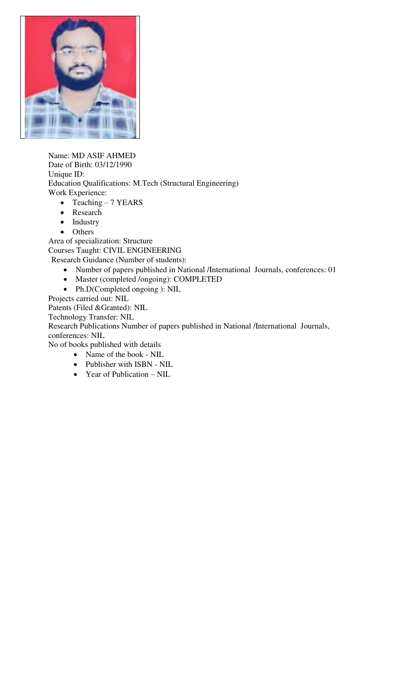

Name: MD ASIF AHMED Date of Birth: 03/12/1990 Unique ID: Education Qualifications: M.Tech (Structural Engineering) Work Experience:

- Teaching 7 YEARS
- Research
- Industry
- Others

Area of specialization: Structure Courses Taught: CIVIL ENGINEERING Research Guidance (Number of students):

- Number of papers published in National /International Journals, conferences: 01
- Master (completed /ongoing): COMPLETED
- Ph.D(Completed ongoing ): NIL

Projects carried out: NIL

Patents (Filed &Granted): NIL

Technology Transfer: NIL

Research Publications Number of papers published in National /International Journals, conferences: NIL

No of books published with details

- Name of the book NIL
- Publisher with ISBN NIL
- Year of Publication NIL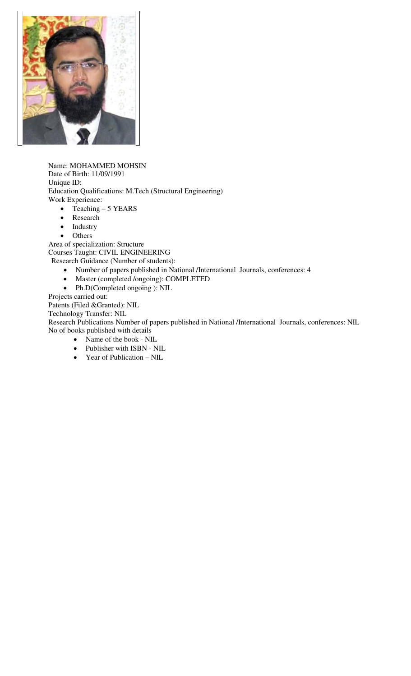

Name: MOHAMMED MOHSIN Date of Birth: 11/09/1991 Unique ID: Education Qualifications: M.Tech (Structural Engineering) Work Experience:

- $\bullet$  Teaching 5 YEARS
- Research
- Industry
- Others

Area of specialization: Structure Courses Taught: CIVIL ENGINEERING Research Guidance (Number of students):

- Number of papers published in National /International Journals, conferences: 4
- Master (completed /ongoing): COMPLETED
- Ph.D(Completed ongoing ): NIL

Projects carried out:

Patents (Filed &Granted): NIL

Technology Transfer: NIL

Research Publications Number of papers published in National /International Journals, conferences: NIL No of books published with details

- Name of the book NIL
- Publisher with ISBN NIL
- Year of Publication NIL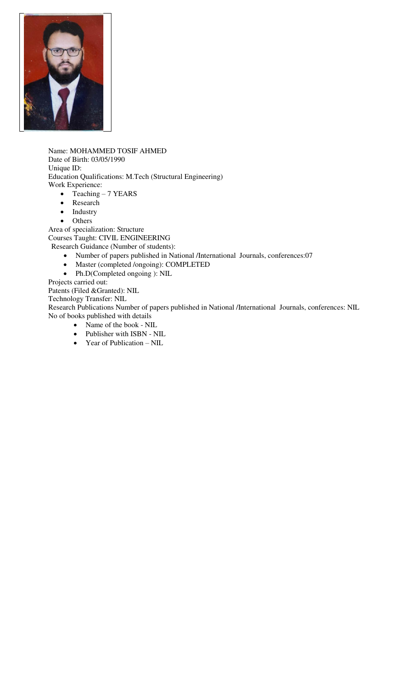

Name: MOHAMMED TOSIF AHMED Date of Birth: 03/05/1990 Unique ID: Education Qualifications: M.Tech (Structural Engineering) Work Experience:

- Teaching 7 YEARS
- Research
- Industry
- Others

Area of specialization: Structure Courses Taught: CIVIL ENGINEERING Research Guidance (Number of students):

- Number of papers published in National /International Journals, conferences:07
- Master (completed /ongoing): COMPLETED
- Ph.D(Completed ongoing ): NIL

Projects carried out:

Patents (Filed &Granted): NIL

Technology Transfer: NIL

Research Publications Number of papers published in National /International Journals, conferences: NIL No of books published with details

- Name of the book NIL
- Publisher with ISBN NIL
- Year of Publication NIL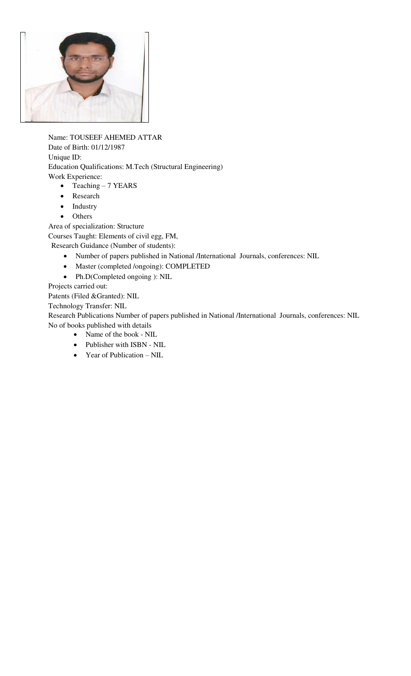

Name: TOUSEEF AHEMED ATTAR Date of Birth: 01/12/1987 Unique ID: Education Qualifications: M.Tech (Structural Engineering) Work Experience:

- Teaching 7 YEARS
- Research
- Industry
- Others

Area of specialization: Structure

Courses Taught: Elements of civil egg, FM,

Research Guidance (Number of students):

- Number of papers published in National /International Journals, conferences: NIL
- Master (completed /ongoing): COMPLETED
- Ph.D(Completed ongoing ): NIL

Projects carried out:

Patents (Filed &Granted): NIL

Technology Transfer: NIL

Research Publications Number of papers published in National /International Journals, conferences: NIL No of books published with details

- Name of the book NIL
- Publisher with ISBN NIL
- Year of Publication NIL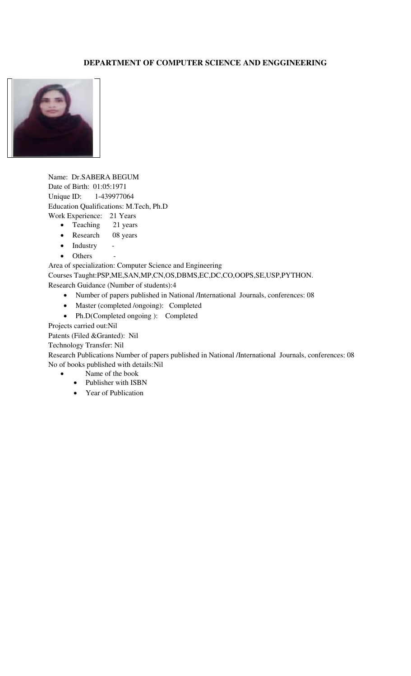## **DEPARTMENT OF COMPUTER SCIENCE AND ENGGINEERING**



Name: Dr.SABERA BEGUM Date of Birth: 01:05:1971 Unique ID: 1-439977064 Education Qualifications: M.Tech, Ph.D Work Experience: 21 Years

- Teaching 21 years
- Research 08 years
- Industry
- Others

Area of specialization: Computer Science and Engineering Courses Taught:PSP,ME,SAN,MP,CN,OS,DBMS,EC,DC,CO,OOPS,SE,USP,PYTHON. Research Guidance (Number of students):4

- Number of papers published in National /International Journals, conferences: 08
- Master (completed /ongoing): Completed
- Ph.D(Completed ongoing ): Completed

Projects carried out:Nil

Patents (Filed &Granted): Nil

Technology Transfer: Nil

Research Publications Number of papers published in National /International Journals, conferences: 08 No of books published with details:Nil

- Name of the book
- Publisher with ISBN
- Year of Publication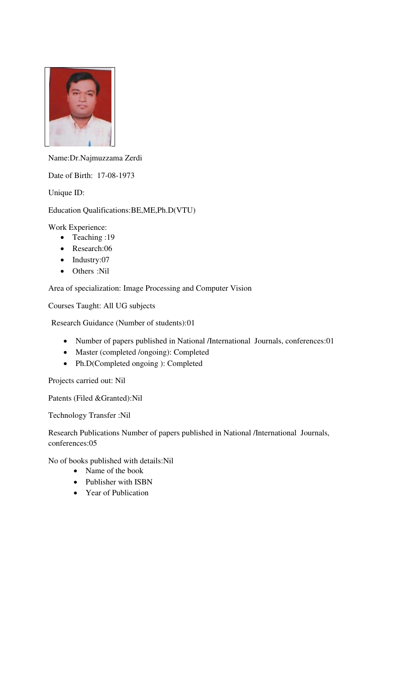

Name:Dr.Najmuzzama Zerdi

Date of Birth: 17-08-1973

Unique ID:

# Education Qualifications:BE,ME,Ph.D(VTU)

Work Experience:

- Teaching :19
- Research:06
- Industry:07
- Others :Nil

Area of specialization: Image Processing and Computer Vision

Courses Taught: All UG subjects

Research Guidance (Number of students):01

- Number of papers published in National /International Journals, conferences:01
- Master (completed /ongoing): Completed
- Ph.D(Completed ongoing ): Completed

Projects carried out: Nil

Patents (Filed &Granted):Nil

Technology Transfer :Nil

Research Publications Number of papers published in National /International Journals, conferences:05

No of books published with details:Nil

- Name of the book
- Publisher with ISBN
- Year of Publication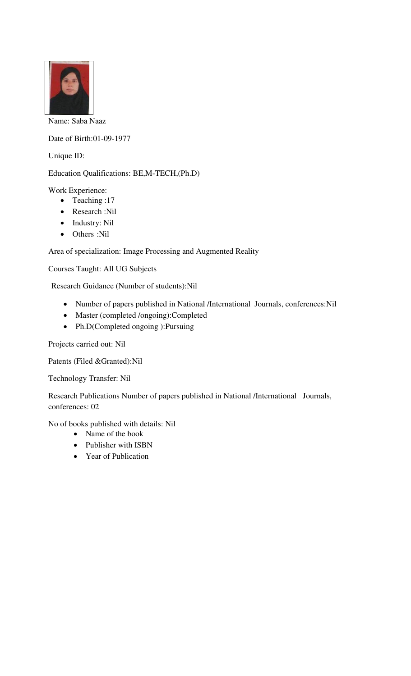

Name: Saba Naaz

Date of Birth:01-09-1977

Unique ID:

Education Qualifications: BE,M-TECH,(Ph.D)

Work Experience:

- Teaching :17
- Research :Nil
- Industry: Nil
- Others :Nil

Area of specialization: Image Processing and Augmented Reality

Courses Taught: All UG Subjects

Research Guidance (Number of students):Nil

- Number of papers published in National /International Journals, conferences:Nil
- Master (completed /ongoing):Completed
- Ph.D(Completed ongoing ):Pursuing

Projects carried out: Nil

Patents (Filed &Granted):Nil

Technology Transfer: Nil

Research Publications Number of papers published in National /International Journals, conferences: 02

No of books published with details: Nil

- Name of the book
- Publisher with ISBN
- Year of Publication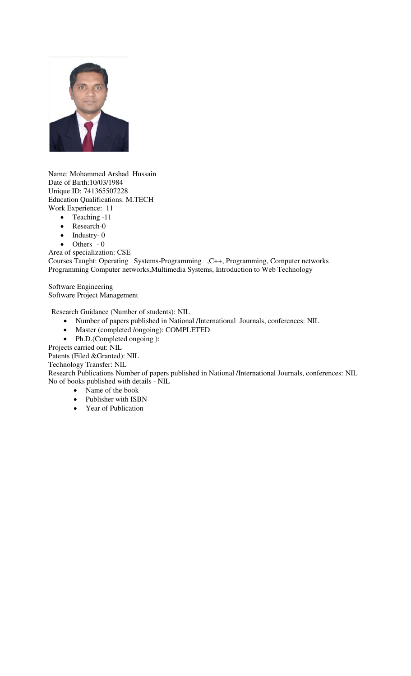

Name: Mohammed Arshad Hussain Date of Birth:10/03/1984 Unique ID: 741365507228 Education Qualifications: M.TECH Work Experience: 11

- Teaching -11
- Research-0
- $\bullet$  Industry-0
- $\bullet$  Others 0

Area of specialization: CSE Courses Taught: Operating Systems-Programming ,C++, Programming, Computer networks Programming Computer networks,Multimedia Systems, Introduction to Web Technology

Software Engineering Software Project Management

Research Guidance (Number of students): NIL

- Number of papers published in National /International Journals, conferences: NIL
- Master (completed /ongoing): COMPLETED
- Ph.D.(Completed ongoing ):

Projects carried out: NIL

Patents (Filed &Granted): NIL

Technology Transfer: NIL

Research Publications Number of papers published in National /International Journals, conferences: NIL No of books published with details - NIL

- Name of the book
- Publisher with ISBN
- Year of Publication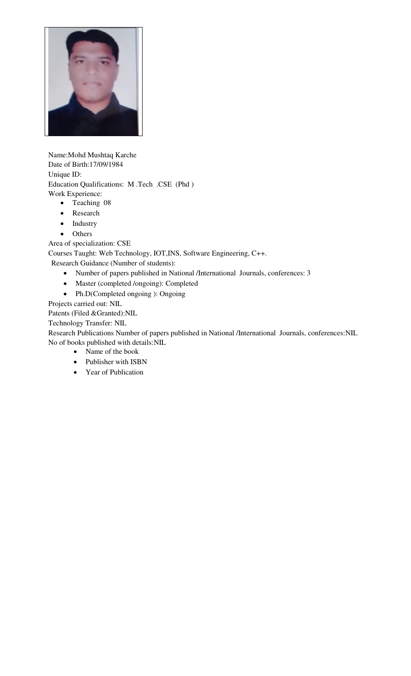

Name:Mohd Mushtaq Karche Date of Birth:17/09/1984 Unique ID: Education Qualifications: M .Tech .CSE (Phd ) Work Experience:

- Teaching 08
- Research
- Industry
- Others

Area of specialization: CSE

Courses Taught: Web Technology, IOT,INS, Software Engineering, C++.

Research Guidance (Number of students):

- Number of papers published in National /International Journals, conferences: 3
- Master (completed /ongoing): Completed
- Ph.D(Completed ongoing ): Ongoing

Projects carried out: NIL

Patents (Filed &Granted):NIL

Technology Transfer: NIL

Research Publications Number of papers published in National /International Journals, conferences:NIL No of books published with details:NIL

- Name of the book
- Publisher with ISBN
- Year of Publication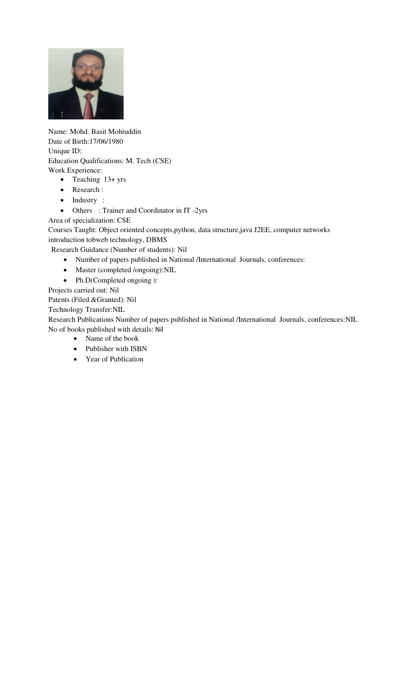

Name: Mohd. Basit Mohiuddin Date of Birth:17/06/1980 Unique ID: Education Qualifications: M. Tech (CSE) Work Experience:

- Teaching 13+ yrs
- Research :
- Industry :
- Others : Trainer and Coordinator in IT -2yrs
- Area of specialization: CSE

Courses Taught: Object oriented concepts,python, data structure,java J2EE, computer networks introduction tobweb technology, DBMS

Research Guidance (Number of students): Nil

- Number of papers published in National /International Journals, conferences:
- Master (completed /ongoing):NIL
- Ph.D(Completed ongoing ):

Projects carried out: Nil

Patents (Filed &Granted): Nil

Technology Transfer:NIL

Research Publications Number of papers published in National /International Journals, conferences:NIL No of books published with details: Nil

- Name of the book
- Publisher with ISBN
- Year of Publication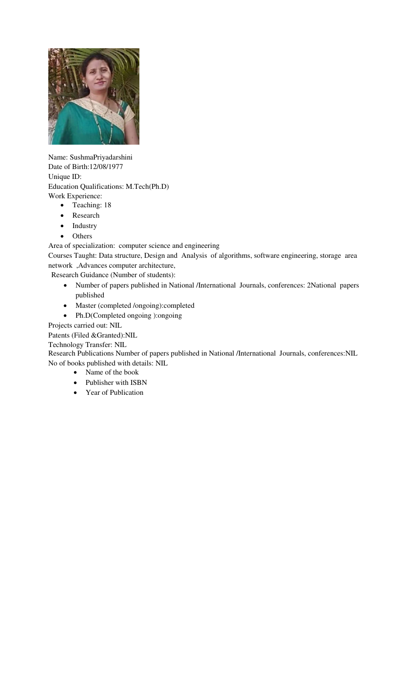

Name: SushmaPriyadarshini Date of Birth:12/08/1977 Unique ID: Education Qualifications: M.Tech(Ph.D) Work Experience:

- Teaching: 18
- Research
- Industry
- Others

Area of specialization: computer science and engineering

Courses Taught: Data structure, Design and Analysis of algorithms, software engineering, storage area network ,Advances computer architecture,

Research Guidance (Number of students):

- Number of papers published in National /International Journals, conferences: 2National papers published
- Master (completed /ongoing):completed
- Ph.D(Completed ongoing ):ongoing

Projects carried out: NIL

Patents (Filed &Granted):NIL

Technology Transfer: NIL

Research Publications Number of papers published in National /International Journals, conferences:NIL No of books published with details: NIL

- Name of the book
- Publisher with ISBN
- Year of Publication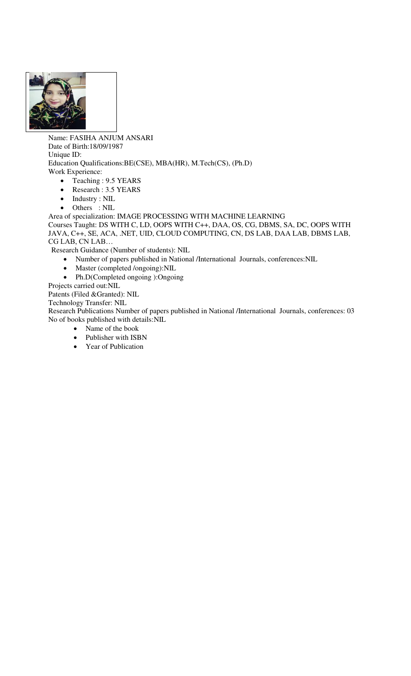

Name: FASIHA ANJUM ANSARI Date of Birth:18/09/1987 Unique ID: Education Qualifications:BE(CSE), MBA(HR), M.Tech(CS), (Ph.D) Work Experience:

- Teaching : 9.5 YEARS
- Research : 3.5 YEARS
- Industry : NIL
- Others : NIL

Area of specialization: IMAGE PROCESSING WITH MACHINE LEARNING

Courses Taught: DS WITH C, LD, OOPS WITH C++, DAA, OS, CG, DBMS, SA, DC, OOPS WITH JAVA, C++, SE, ACA, .NET, UID, CLOUD COMPUTING, CN, DS LAB, DAA LAB, DBMS LAB, CG LAB, CN LAB…

Research Guidance (Number of students): NIL

- Number of papers published in National /International Journals, conferences:NIL
- Master (completed /ongoing):NIL
- Ph.D(Completed ongoing ):Ongoing

Projects carried out:NIL

Patents (Filed &Granted): NIL

Technology Transfer: NIL

Research Publications Number of papers published in National /International Journals, conferences: 03 No of books published with details:NIL

- Name of the book
- Publisher with ISBN
- Year of Publication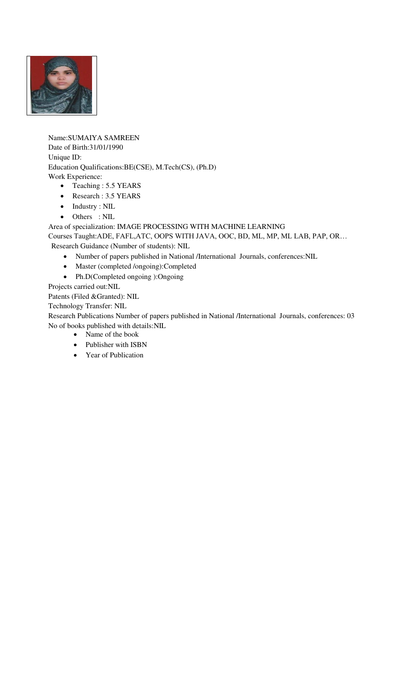

Name:SUMAIYA SAMREEN Date of Birth:31/01/1990 Unique ID: Education Qualifications:BE(CSE), M.Tech(CS), (Ph.D) Work Experience: • Teaching : 5.5 YEARS

- Research : 3.5 YEARS
- Industry : NIL
- Others : NIL

Area of specialization: IMAGE PROCESSING WITH MACHINE LEARNING

Courses Taught:ADE, FAFL,ATC, OOPS WITH JAVA, OOC, BD, ML, MP, ML LAB, PAP, OR… Research Guidance (Number of students): NIL

- Number of papers published in National /International Journals, conferences:NIL
- Master (completed /ongoing):Completed
- Ph.D(Completed ongoing ):Ongoing

Projects carried out:NIL

Patents (Filed &Granted): NIL

Technology Transfer: NIL

Research Publications Number of papers published in National /International Journals, conferences: 03 No of books published with details:NIL

- Name of the book
- Publisher with ISBN
- Year of Publication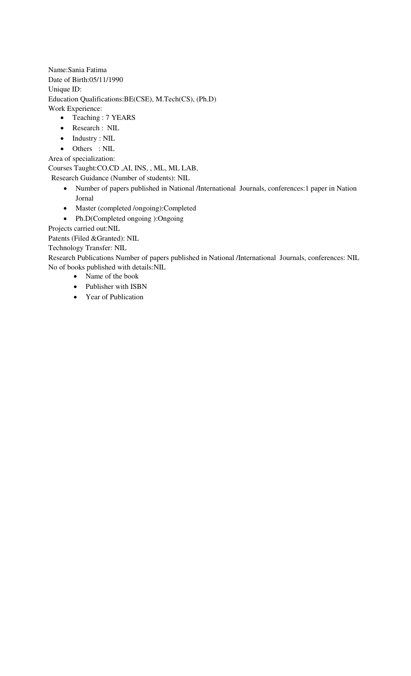Name:Sania Fatima Date of Birth:05/11/1990 Unique ID: Education Qualifications:BE(CSE), M.Tech(CS), (Ph.D) Work Experience:

- Teaching : 7 YEARS
- Research : NIL
- Industry : NIL
- Others : NIL
- Area of specialization:

Courses Taught:CO,CD ,AI, INS, , ML, ML LAB,

- Research Guidance (Number of students): NIL
	- Number of papers published in National /International Journals, conferences:1 paper in Nation Jornal
	- Master (completed /ongoing):Completed
	- Ph.D(Completed ongoing ):Ongoing

Projects carried out:NIL

Patents (Filed &Granted): NIL

Technology Transfer: NIL

Research Publications Number of papers published in National /International Journals, conferences: NIL No of books published with details:NIL

- Name of the book
	- Publisher with ISBN
	- Year of Publication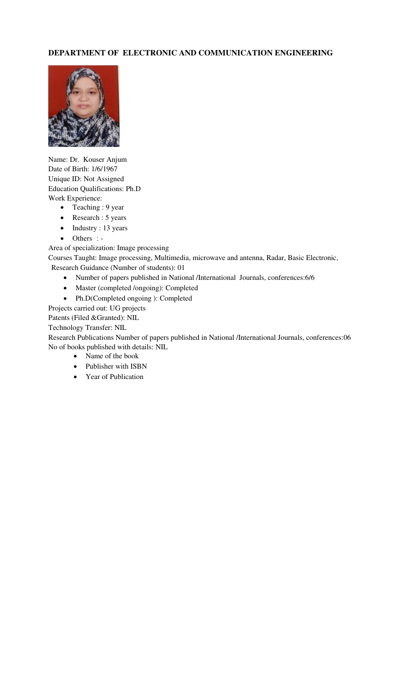# **DEPARTMENT OF ELECTRONIC AND COMMUNICATION ENGINEERING**



Name: Dr. Kouser Anjum Date of Birth: 1/6/1967 Unique ID: Not Assigned Education Qualifications: Ph.D Work Experience:

- Teaching : 9 year
- Research : 5 years
- Industry : 13 years
- Others : -

Area of specialization: Image processing

Courses Taught: Image processing, Multimedia, microwave and antenna, Radar, Basic Electronic, Research Guidance (Number of students): 01

- Number of papers published in National /International Journals, conferences:6/6
- Master (completed /ongoing): Completed
- Ph.D(Completed ongoing ): Completed

Projects carried out: UG projects

Patents (Filed &Granted): NIL

Technology Transfer: NIL

Research Publications Number of papers published in National /International Journals, conferences:06 No of books published with details: NIL

- Name of the book
- Publisher with ISBN
- Year of Publication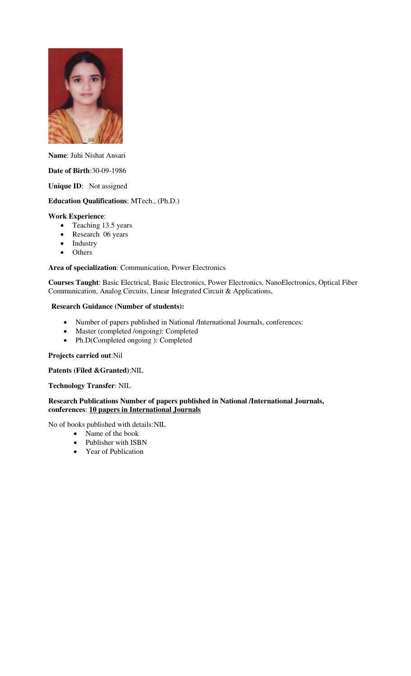

**Name**: Juhi Nishat Ansari

### **Date of Birth**:30-09-1986

**Unique ID**: Not assigned

# **Education Qualifications**: MTech., (Ph.D.)

#### **Work Experience**:

- Teaching 13.5 years
- Research 06 years
- Industry
- Others

#### **Area of specialization**: Communication, Power Electronics

**Courses Taught**: Basic Electrical, Basic Electronics, Power Electronics, NanoElectronics, Optical Fiber Communication, Analog Circuits, Linear Integrated Circuit & Applications,

#### **Research Guidance (Number of students):**

- Number of papers published in National /International Journals, conferences:
- Master (completed /ongoing): Completed
- Ph.D(Completed ongoing ): Completed

#### **Projects carried out**:Nil

#### **Patents (Filed &Granted)**:NIL

### **Technology Transfer**: NIL

### **Research Publications Number of papers published in National /International Journals, conferences**: **10 papers in International Journals**

No of books published with details:NIL

- Name of the book
- Publisher with ISBN
- Year of Publication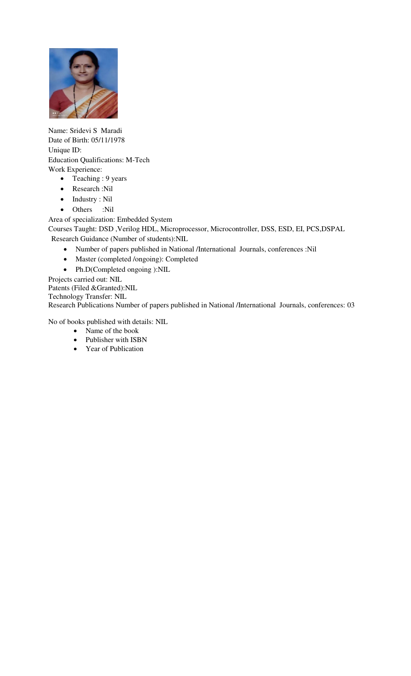

Name: Sridevi S Maradi Date of Birth: 05/11/1978 Unique ID: Education Qualifications: M-Tech Work Experience:

- Teaching : 9 years
- Research :Nil
- Industry : Nil
- Others :Nil

Area of specialization: Embedded System

Courses Taught: DSD ,Verilog HDL, Microprocessor, Microcontroller, DSS, ESD, EI, PCS,DSPAL Research Guidance (Number of students):NIL

- Number of papers published in National /International Journals, conferences :Nil
- Master (completed /ongoing): Completed
- Ph.D(Completed ongoing ):NIL
- Projects carried out: NIL

Patents (Filed &Granted):NIL

Technology Transfer: NIL

Research Publications Number of papers published in National /International Journals, conferences: 03

No of books published with details: NIL

- Name of the book
- Publisher with ISBN
- Year of Publication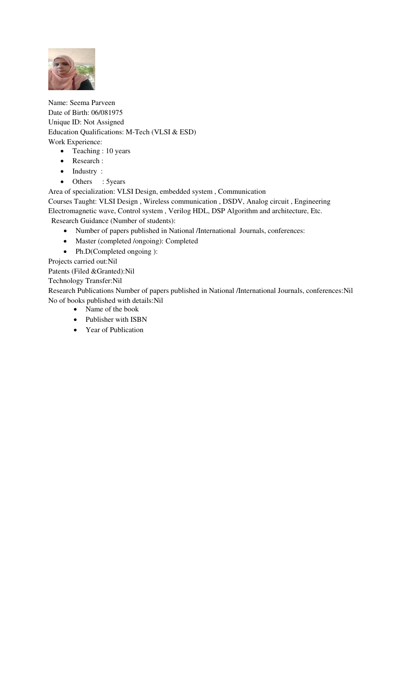

Name: Seema Parveen Date of Birth: 06/081975 Unique ID: Not Assigned Education Qualifications: M-Tech (VLSI & ESD) Work Experience:

- Teaching : 10 years
- Research :
- Industry :
- Others : 5years

Area of specialization: VLSI Design, embedded system , Communication

Courses Taught: VLSI Design , Wireless communication , DSDV, Analog circuit , Engineering Electromagnetic wave, Control system , Verilog HDL, DSP Algorithm and architecture, Etc. Research Guidance (Number of students):

- Number of papers published in National /International Journals, conferences:
- Master (completed /ongoing): Completed
- Ph.D(Completed ongoing ):

Projects carried out:Nil

Patents (Filed &Granted):Nil

Technology Transfer:Nil

Research Publications Number of papers published in National /International Journals, conferences:Nil No of books published with details:Nil

- Name of the book
- Publisher with ISBN
- Year of Publication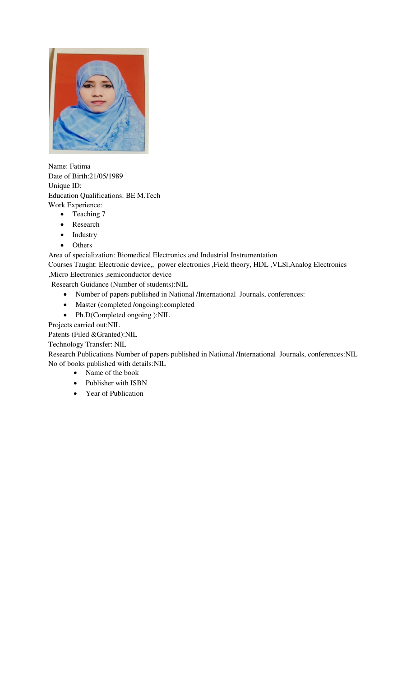

Name: Fatima Date of Birth:21/05/1989 Unique ID: Education Qualifications: BE M.Tech Work Experience:

- Teaching 7
- Research
- Industry
- Others

Area of specialization: Biomedical Electronics and Industrial Instrumentation

Courses Taught: Electronic device,, power electronics ,Field theory, HDL ,VLSl,Analog Electronics ,Micro Electronics ,semiconductor device

Research Guidance (Number of students):NIL

- Number of papers published in National /International Journals, conferences:
- Master (completed /ongoing):completed
- Ph.D(Completed ongoing ):NIL

Projects carried out:NIL

Patents (Filed &Granted):NIL

Technology Transfer: NIL

Research Publications Number of papers published in National /International Journals, conferences:NIL No of books published with details:NIL

- Name of the book
- Publisher with ISBN
- Year of Publication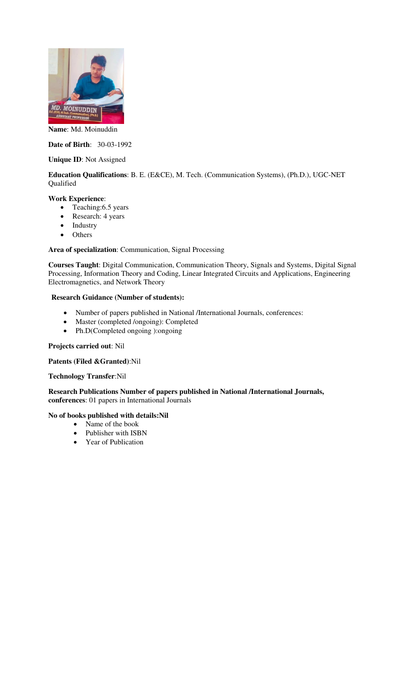

**Name**: Md. Moinuddin

**Date of Birth**: 30-03-1992

## **Unique ID**: Not Assigned

## **Education Qualifications**: B. E. (E&CE), M. Tech. (Communication Systems), (Ph.D.), UGC-NET Qualified

#### **Work Experience**:

- Teaching: 6.5 years
- Research: 4 years
- Industry
- Others

## **Area of specialization**: Communication, Signal Processing

**Courses Taught**: Digital Communication, Communication Theory, Signals and Systems, Digital Signal Processing, Information Theory and Coding, Linear Integrated Circuits and Applications, Engineering Electromagnetics, and Network Theory

#### **Research Guidance (Number of students):**

- Number of papers published in National /International Journals, conferences:
- Master (completed /ongoing): Completed
- Ph.D(Completed ongoing ):ongoing

## **Projects carried out**: Nil

#### **Patents (Filed &Granted)**:Nil

#### **Technology Transfer**:Nil

**Research Publications Number of papers published in National /International Journals, conferences**: 01 papers in International Journals

## **No of books published with details:Nil**

- Name of the book
- Publisher with ISBN
- Year of Publication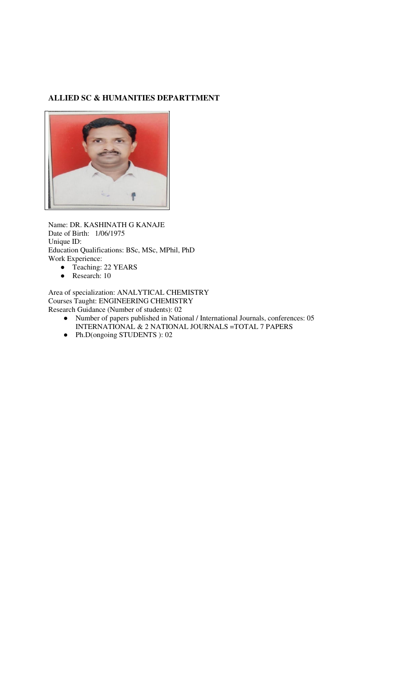## **ALLIED SC & HUMANITIES DEPARTTMENT**



Name: DR. KASHINATH G KANAJE Date of Birth: 1/06/1975 Unique ID: Education Qualifications: BSc, MSc, MPhil, PhD Work Experience:

- Teaching: 22 YEARS<br>● Research: 10
- Research: 10

Area of specialization: ANALYTICAL CHEMISTRY Courses Taught: ENGINEERING CHEMISTRY Research Guidance (Number of students): 02

- Number of papers published in National / International Journals, conferences: 05 INTERNATIONAL & 2 NATIONAL JOURNALS =TOTAL 7 PAPERS
- Ph.D(ongoing STUDENTS ): 02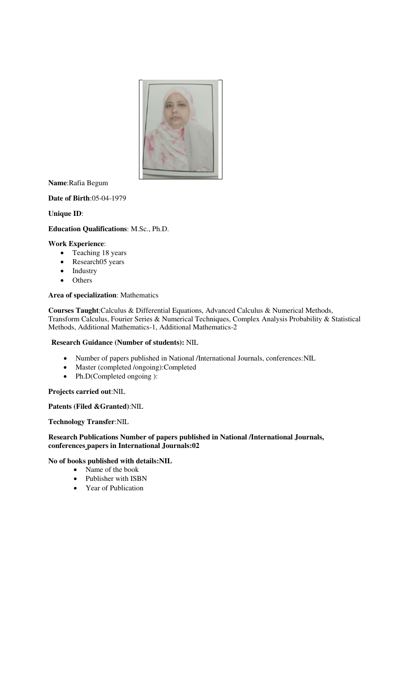

**Name**:Rafia Begum

**Date of Birth**:05-04-1979

**Unique ID**:

## **Education Qualifications**: M.Sc., Ph.D.

#### **Work Experience**:

- Teaching 18 years
- Research05 years
- Industry
- Others

#### **Area of specialization**: Mathematics

**Courses Taught**:Calculus & Differential Equations, Advanced Calculus & Numerical Methods, Transform Calculus, Fourier Series & Numerical Techniques, Complex Analysis Probability & Statistical Methods, Additional Mathematics-1, Additional Mathematics-2

#### **Research Guidance (Number of students):** NIL

- Number of papers published in National /International Journals, conferences:NIL
- Master (completed /ongoing):Completed
- Ph.D(Completed ongoing ):

#### **Projects carried out**:NIL

### **Patents (Filed &Granted)**:NIL

**Technology Transfer**:NIL

## **Research Publications Number of papers published in National /International Journals, conferences papers in International Journals:02**

#### **No of books published with details:NIL**

- Name of the book
- Publisher with ISBN
- Year of Publication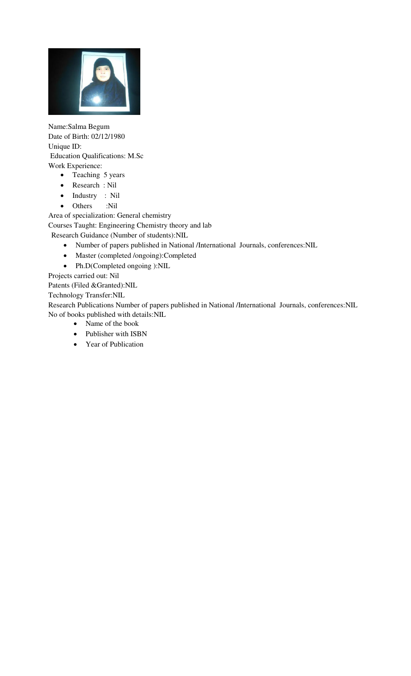

Name:Salma Begum Date of Birth: 02/12/1980 Unique ID: Education Qualifications: M.Sc Work Experience:

- Teaching 5 years
- Research : Nil
- Industry : Nil
- Others :Nil

Area of specialization: General chemistry Courses Taught: Engineering Chemistry theory and lab Research Guidance (Number of students):NIL

- Number of papers published in National /International Journals, conferences:NIL
- Master (completed /ongoing):Completed
- Ph.D(Completed ongoing ):NIL

Projects carried out: Nil

Patents (Filed &Granted):NIL

Technology Transfer:NIL

Research Publications Number of papers published in National /International Journals, conferences:NIL No of books published with details:NIL

- Name of the book
- Publisher with ISBN
- Year of Publication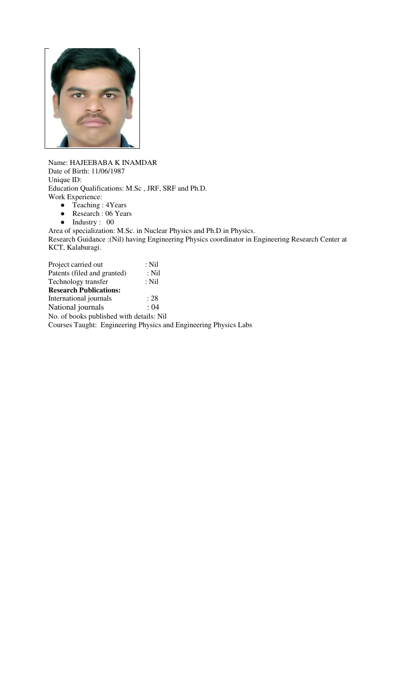

Name: HAJEEBABA K INAMDAR Date of Birth: 11/06/1987 Unique ID: Education Qualifications: M.Sc , JRF, SRF and Ph.D. Work Experience:

- Teaching : 4Years
- Research : 06 Years
- Industry : 00

Area of specialization: M.Sc. in Nuclear Physics and Ph.D in Physics. Research Guidance :(Nil) having Engineering Physics coordinator in Engineering Research Center at KCT, Kalaburagi.

Project carried out : Nil<br>Patents (filed and granted) : Nil Patents (filed and granted) Technology transfer : Nil **Research Publications:**  International journals : 28<br>National journals : 04 National journals No. of books published with details: Nil Courses Taught: Engineering Physics and Engineering Physics Labs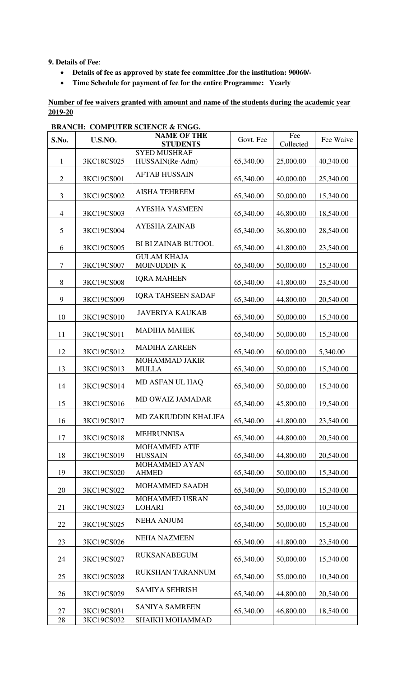**9. Details of Fee**:

- **Details of fee as approved by state fee committee ,for the institution: 90060/-**
- **Time Schedule for payment of fee for the entire Programme: Yearly**

**Number of fee waivers granted with amount and name of the students during the academic year 2019-20** 

| S.No.          | U.S.NO.    | <b>NAME OF THE</b><br><b>STUDENTS</b>   | Govt. Fee | Fee<br>Collected | Fee Waive |
|----------------|------------|-----------------------------------------|-----------|------------------|-----------|
| $\mathbf{1}$   | 3KC18CS025 | <b>SYED MUSHRAF</b><br>HUSSAIN(Re-Adm)  | 65,340.00 | 25,000.00        | 40,340.00 |
| $\overline{2}$ | 3KC19CS001 | <b>AFTAB HUSSAIN</b>                    | 65,340.00 | 40,000.00        | 25,340.00 |
| 3              | 3KC19CS002 | <b>AISHA TEHREEM</b>                    | 65,340.00 | 50,000.00        | 15,340.00 |
| $\overline{4}$ | 3KC19CS003 | <b>AYESHA YASMEEN</b>                   | 65,340.00 | 46,800.00        | 18,540.00 |
| 5              | 3KC19CS004 | <b>AYESHA ZAINAB</b>                    | 65,340.00 | 36,800.00        | 28,540.00 |
| 6              | 3KC19CS005 | <b>BI BI ZAINAB BUTOOL</b>              | 65,340.00 | 41,800.00        | 23,540.00 |
| $\tau$         | 3KC19CS007 | <b>GULAM KHAJA</b><br><b>MOINUDDINK</b> | 65,340.00 | 50,000.00        | 15,340.00 |
| $\,8\,$        | 3KC19CS008 | <b>IQRA MAHEEN</b>                      | 65,340.00 | 41,800.00        | 23,540.00 |
| 9              | 3KC19CS009 | <b>IQRA TAHSEEN SADAF</b>               | 65,340.00 | 44,800.00        | 20,540.00 |
| 10             | 3KC19CS010 | <b>JAVERIYA KAUKAB</b>                  | 65,340.00 | 50,000.00        | 15,340.00 |
| 11             | 3KC19CS011 | <b>MADIHA MAHEK</b>                     | 65,340.00 | 50,000.00        | 15,340.00 |
| 12             | 3KC19CS012 | <b>MADIHA ZAREEN</b>                    | 65,340.00 | 60,000.00        | 5,340.00  |
| 13             | 3KC19CS013 | MOHAMMAD JAKIR<br><b>MULLA</b>          | 65,340.00 | 50,000.00        | 15,340.00 |
| 14             | 3KC19CS014 | MD ASFAN UL HAQ                         | 65,340.00 | 50,000.00        | 15,340.00 |
| 15             | 3KC19CS016 | MD OWAIZ JAMADAR                        | 65,340.00 | 45,800.00        | 19,540.00 |
| 16             | 3KC19CS017 | MD ZAKIUDDIN KHALIFA                    | 65,340.00 | 41,800.00        | 23,540.00 |
| 17             | 3KC19CS018 | <b>MEHRUNNISA</b>                       | 65,340.00 | 44,800.00        | 20,540.00 |
| 18             | 3KC19CS019 | <b>MOHAMMED ATIF</b><br><b>HUSSAIN</b>  | 65,340.00 | 44,800.00        | 20,540.00 |
| 19             | 3KC19CS020 | MOHAMMED AYAN<br><b>AHMED</b>           | 65,340.00 | 50,000.00        | 15,340.00 |
| 20             | 3KC19CS022 | MOHAMMED SAADH                          | 65,340.00 | 50,000.00        | 15,340.00 |
| 21             | 3KC19CS023 | MOHAMMED USRAN<br><b>LOHARI</b>         | 65,340.00 | 55,000.00        | 10,340.00 |
| 22             | 3KC19CS025 | <b>NEHA ANJUM</b>                       | 65,340.00 | 50,000.00        | 15,340.00 |
| 23             | 3KC19CS026 | <b>NEHA NAZMEEN</b>                     | 65,340.00 | 41,800.00        | 23,540.00 |
| 24             | 3KC19CS027 | <b>RUKSANABEGUM</b>                     | 65,340.00 | 50,000.00        | 15,340.00 |
| 25             | 3KC19CS028 | RUKSHAN TARANNUM                        | 65,340.00 | 55,000.00        | 10,340.00 |
| 26             | 3KC19CS029 | <b>SAMIYA SEHRISH</b>                   | 65,340.00 | 44,800.00        | 20,540.00 |
| 27             | 3KC19CS031 | <b>SANIYA SAMREEN</b>                   | 65,340.00 | 46,800.00        | 18,540.00 |
| 28             | 3KC19CS032 | SHAIKH MOHAMMAD                         |           |                  |           |

## **BRANCH: COMPUTER SCIENCE & ENGG.**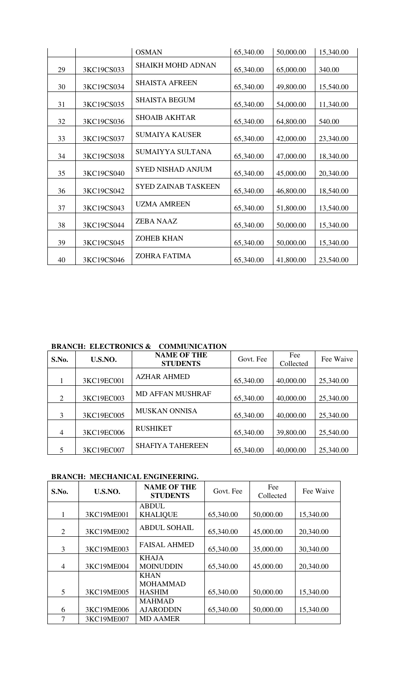|    |            | <b>OSMAN</b>               | 65,340.00 | 50,000.00 | 15,340.00 |
|----|------------|----------------------------|-----------|-----------|-----------|
| 29 | 3KC19CS033 | <b>SHAIKH MOHD ADNAN</b>   | 65,340.00 | 65,000.00 | 340.00    |
| 30 | 3KC19CS034 | <b>SHAISTA AFREEN</b>      | 65,340.00 | 49,800.00 | 15,540.00 |
| 31 | 3KC19CS035 | <b>SHAISTA BEGUM</b>       | 65,340.00 | 54,000.00 | 11,340.00 |
| 32 | 3KC19CS036 | <b>SHOAIB AKHTAR</b>       | 65,340.00 | 64,800.00 | 540.00    |
| 33 | 3KC19CS037 | <b>SUMAIYA KAUSER</b>      | 65,340.00 | 42,000.00 | 23,340.00 |
| 34 | 3KC19CS038 | SUMAIYYA SULTANA           | 65,340.00 | 47,000.00 | 18,340.00 |
| 35 | 3KC19CS040 | <b>SYED NISHAD ANJUM</b>   | 65,340.00 | 45,000.00 | 20,340.00 |
| 36 | 3KC19CS042 | <b>SYED ZAINAB TASKEEN</b> | 65,340.00 | 46,800.00 | 18,540.00 |
| 37 | 3KC19CS043 | <b>UZMA AMREEN</b>         | 65,340.00 | 51,800.00 | 13,540.00 |
| 38 | 3KC19CS044 | <b>ZEBA NAAZ</b>           | 65,340.00 | 50,000.00 | 15,340.00 |
| 39 | 3KC19CS045 | <b>ZOHEB KHAN</b>          | 65,340.00 | 50,000.00 | 15,340.00 |
| 40 | 3KC19CS046 | <b>ZOHRA FATIMA</b>        | 65,340.00 | 41,800.00 | 23,540.00 |

# **BRANCH: ELECTRONICS & COMMUNICATION**

| S.No.          | U.S.NO.    | <b>NAME OF THE</b><br><b>STUDENTS</b> | Govt. Fee | Fee<br>Collected | Fee Waive |
|----------------|------------|---------------------------------------|-----------|------------------|-----------|
|                | 3KC19EC001 | <b>AZHAR AHMED</b>                    | 65,340.00 | 40,000.00        | 25,340.00 |
| $\overline{c}$ | 3KC19EC003 | <b>MD AFFAN MUSHRAF</b>               | 65,340.00 | 40,000.00        | 25,340.00 |
| 3              | 3KC19EC005 | <b>MUSKAN ONNISA</b>                  | 65,340.00 | 40,000.00        | 25,340.00 |
| $\overline{4}$ | 3KC19EC006 | <b>RUSHIKET</b>                       | 65,340.00 | 39,800.00        | 25,540.00 |
|                | 3KC19EC007 | <b>SHAFIYA TAHEREEN</b>               | 65,340.00 | 40,000.00        | 25,340.00 |

# **BRANCH: MECHANICAL ENGINEERING.**

| S.No.          | U.S.NO.    | <b>NAME OF THE</b><br><b>STUDENTS</b> | Govt. Fee | Fee<br>Collected | Fee Waive |
|----------------|------------|---------------------------------------|-----------|------------------|-----------|
|                |            | <b>ABDUL</b>                          |           |                  |           |
|                | 3KC19ME001 | <b>KHALIQUE</b>                       | 65,340.00 | 50,000.00        | 15,340.00 |
| 2              | 3KC19ME002 | <b>ABDUL SOHAIL</b>                   | 65,340.00 | 45,000.00        | 20,340.00 |
| 3              | 3KC19ME003 | <b>FAISAL AHMED</b>                   | 65,340.00 | 35,000.00        | 30,340.00 |
|                |            | <b>KHAJA</b>                          |           |                  |           |
| $\overline{4}$ | 3KC19ME004 | <b>MOINUDDIN</b>                      | 65,340.00 | 45,000.00        | 20,340.00 |
|                |            | <b>KHAN</b>                           |           |                  |           |
|                |            | <b>MOHAMMAD</b>                       |           |                  |           |
| 5              | 3KC19ME005 | <b>HASHIM</b>                         | 65,340.00 | 50,000.00        | 15,340.00 |
|                |            | <b>MAHMAD</b>                         |           |                  |           |
| 6              | 3KC19ME006 | <b>AJARODDIN</b>                      | 65,340.00 | 50,000.00        | 15,340.00 |
| 7              | 3KC19ME007 | <b>MD AAMER</b>                       |           |                  |           |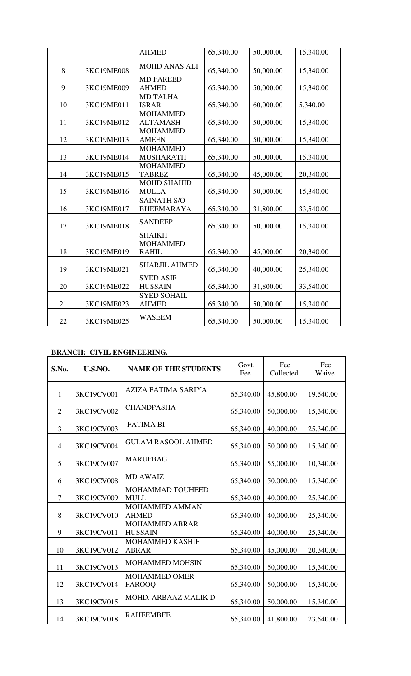|    |            | <b>AHMED</b>                                     | 65,340.00 | 50,000.00 | 15,340.00 |
|----|------------|--------------------------------------------------|-----------|-----------|-----------|
| 8  | 3KC19ME008 | <b>MOHD ANAS ALI</b>                             | 65,340.00 | 50,000.00 | 15,340.00 |
| 9  | 3KC19ME009 | <b>MD FAREED</b><br><b>AHMED</b>                 | 65,340.00 | 50,000.00 | 15,340.00 |
| 10 | 3KC19ME011 | <b>MD TALHA</b><br><b>ISRAR</b>                  | 65,340.00 | 60,000.00 | 5,340.00  |
| 11 | 3KC19ME012 | <b>MOHAMMED</b><br><b>ALTAMASH</b>               | 65,340.00 | 50,000.00 | 15,340.00 |
| 12 | 3KC19ME013 | <b>MOHAMMED</b><br><b>AMEEN</b>                  | 65,340.00 | 50,000.00 | 15,340.00 |
| 13 | 3KC19ME014 | <b>MOHAMMED</b><br><b>MUSHARATH</b>              | 65,340.00 | 50,000.00 | 15,340.00 |
| 14 | 3KC19ME015 | <b>MOHAMMED</b><br><b>TABREZ</b>                 | 65,340.00 | 45,000.00 | 20,340.00 |
| 15 | 3KC19ME016 | <b>MOHD SHAHID</b><br><b>MULLA</b>               | 65,340.00 | 50,000.00 | 15,340.00 |
| 16 | 3KC19ME017 | <b>SAINATH S/O</b><br><b>BHEEMARAYA</b>          | 65,340.00 | 31,800.00 | 33,540.00 |
| 17 | 3KC19ME018 | <b>SANDEEP</b>                                   | 65,340.00 | 50,000.00 | 15,340.00 |
| 18 | 3KC19ME019 | <b>SHAIKH</b><br><b>MOHAMMED</b><br><b>RAHIL</b> | 65,340.00 | 45,000.00 | 20,340.00 |
| 19 | 3KC19ME021 | <b>SHARJIL AHMED</b>                             | 65,340.00 | 40,000.00 | 25,340.00 |
| 20 | 3KC19ME022 | <b>SYED ASIF</b><br><b>HUSSAIN</b>               | 65,340.00 | 31,800.00 | 33,540.00 |
| 21 | 3KC19ME023 | <b>SYED SOHAIL</b><br><b>AHMED</b>               | 65,340.00 | 50,000.00 | 15,340.00 |
| 22 | 3KC19ME025 | <b>WASEEM</b>                                    | 65,340.00 | 50,000.00 | 15,340.00 |

# **BRANCH: CIVIL ENGINEERING.**

| S.No.          | U.S.NO.    | <b>NAME OF THE STUDENTS</b>             | Govt.<br>Fee | Fee<br>Collected | Fee<br>Waive |
|----------------|------------|-----------------------------------------|--------------|------------------|--------------|
| $\mathbf{1}$   | 3KC19CV001 | <b>AZIZA FATIMA SARIYA</b>              | 65,340.00    | 45,800.00        | 19,540.00    |
| $\overline{2}$ | 3KC19CV002 | <b>CHANDPASHA</b>                       | 65,340.00    | 50,000.00        | 15,340.00    |
| 3              | 3KC19CV003 | <b>FATIMA BI</b>                        | 65,340.00    | 40,000.00        | 25,340.00    |
| $\overline{4}$ | 3KC19CV004 | <b>GULAM RASOOL AHMED</b>               | 65,340.00    | 50,000.00        | 15,340.00    |
| 5              | 3KC19CV007 | <b>MARUFBAG</b>                         | 65,340.00    | 55,000.00        | 10,340.00    |
| 6              | 3KC19CV008 | <b>MD AWAIZ</b>                         | 65,340.00    | 50,000.00        | 15,340.00    |
| $\overline{7}$ | 3KC19CV009 | MOHAMMAD TOUHEED<br><b>MULL</b>         | 65,340.00    | 40,000.00        | 25,340.00    |
| 8              | 3KC19CV010 | <b>MOHAMMED AMMAN</b><br><b>AHMED</b>   | 65,340.00    | 40,000.00        | 25,340.00    |
| 9              | 3KC19CV011 | <b>MOHAMMED ABRAR</b><br><b>HUSSAIN</b> | 65,340.00    | 40,000.00        | 25,340.00    |
| 10             | 3KC19CV012 | <b>MOHAMMED KASHIF</b><br><b>ABRAR</b>  | 65,340.00    | 45,000.00        | 20,340.00    |
| 11             | 3KC19CV013 | <b>MOHAMMED MOHSIN</b>                  | 65,340.00    | 50,000.00        | 15,340.00    |
| 12             | 3KC19CV014 | <b>MOHAMMED OMER</b><br><b>FAROOQ</b>   | 65,340.00    | 50,000.00        | 15,340.00    |
| 13             | 3KC19CV015 | MOHD. ARBAAZ MALIK D                    | 65,340.00    | 50,000.00        | 15,340.00    |
| 14             | 3KC19CV018 | <b>RAHEEMBEE</b>                        | 65,340.00    | 41,800.00        | 23,540.00    |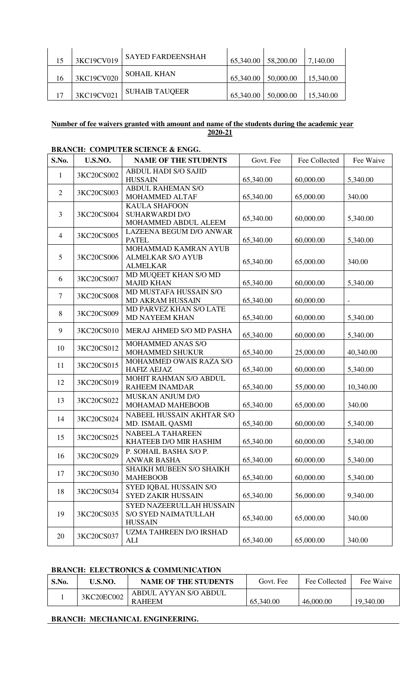| 15 | 3KC19CV019 | <b>SAYED FARDEENSHAH</b> | 65,340.00 | $\frac{1}{58,200.00}$ | 7,140.00  |
|----|------------|--------------------------|-----------|-----------------------|-----------|
| 16 | 3KC19CV020 | <b>SOHAIL KHAN</b>       | 65,340.00 | 1,50,000.00           | 15,340.00 |
|    | 3KC19CV021 | <b>SUHAIB TAUQEER</b>    | 65,340.00 | 50,000.00             | 15,340.00 |

## **Number of fee waivers granted with amount and name of the students during the academic year 2020-21**

| S.No.          | U.S.NO.    | <b>NAME OF THE STUDENTS</b>                                               | Govt. Fee | Fee Collected | Fee Waive                |
|----------------|------------|---------------------------------------------------------------------------|-----------|---------------|--------------------------|
| 1              | 3KC20CS002 | <b>ABDUL HADI S/O SAJID</b><br><b>HUSSAIN</b>                             | 65,340.00 | 60,000.00     | 5,340.00                 |
| $\overline{2}$ | 3KC20CS003 | <b>ABDUL RAHEMAN S/O</b><br>MOHAMMED ALTAF                                | 65,340.00 | 65,000.00     | 340.00                   |
| 3              | 3KC20CS004 | <b>KAULA SHAFOON</b><br><b>SUHARWARDI D/O</b><br>MOHAMMED ABDUL ALEEM     | 65,340.00 | 60,000.00     | 5,340.00                 |
| $\overline{4}$ | 3KC20CS005 | LAZEENA BEGUM D/O ANWAR<br><b>PATEL</b>                                   | 65,340.00 | 60,000.00     | 5,340.00                 |
| 5              | 3KC20CS006 | MOHAMMAD KAMRAN AYUB<br><b>ALMELKAR S/O AYUB</b><br><b>ALMELKAR</b>       | 65,340.00 | 65,000.00     | 340.00                   |
| 6              | 3KC20CS007 | MD MUQEET KHAN S/O MD<br><b>MAJID KHAN</b>                                | 65,340.00 | 60,000.00     | 5,340.00                 |
| $\overline{7}$ | 3KC20CS008 | MD MUSTAFA HUSSAIN S/O<br>MD AKRAM HUSSAIN                                | 65,340.00 | 60,000.00     | $\overline{\phantom{a}}$ |
| 8              | 3KC20CS009 | MD PARVEZ KHAN S/O LATE<br>MD NAYEEM KHAN                                 | 65,340.00 | 60,000.00     | 5,340.00                 |
| 9              | 3KC20CS010 | MERAJ AHMED S/O MD PASHA                                                  | 65,340.00 | 60,000.00     | 5,340.00                 |
| 10             | 3KC20CS012 | MOHAMMED ANAS S/O<br>MOHAMMED SHUKUR                                      | 65,340.00 | 25,000.00     | 40,340.00                |
| 11             | 3KC20CS015 | MOHAMMED OWAIS RAZA S/O<br><b>HAFIZ AEJAZ</b>                             | 65,340.00 | 60,000.00     | 5,340.00                 |
| 12             | 3KC20CS019 | MOHIT RAHMAN S/O ABDUL<br><b>RAHEEM INAMDAR</b>                           | 65,340.00 | 55,000.00     | 10,340.00                |
| 13             | 3KC20CS022 | MUSKAN ANJUM D/O<br>MOHAMAD MAHEBOOB                                      | 65,340.00 | 65,000.00     | 340.00                   |
| 14             | 3KC20CS024 | NABEEL HUSSAIN AKHTAR S/O<br>MD. ISMAIL QASMI                             | 65,340.00 | 60,000.00     | 5,340.00                 |
| 15             | 3KC20CS025 | <b>NABEELA TAHAREEN</b><br>KHATEEB D/O MIR HASHIM                         | 65,340.00 | 60,000.00     | 5,340.00                 |
| 16             | 3KC20CS029 | P. SOHAIL BASHA S/O P.<br><b>ANWAR BASHA</b>                              | 65,340.00 | 60,000.00     | 5,340.00                 |
| 17             | 3KC20CS030 | SHAIKH MUBEEN S/O SHAIKH<br><b>MAHEBOOB</b>                               | 65,340.00 | 60,000.00     | 5,340.00                 |
| 18             | 3KC20CS034 | SYED IQBAL HUSSAIN S/O<br><b>SYED ZAKIR HUSSAIN</b>                       | 65,340.00 | 56,000.00     | 9,340.00                 |
| 19             | 3KC20CS035 | SYED NAZEERULLAH HUSSAIN<br><b>S/O SYED NAIMATULLAH</b><br><b>HUSSAIN</b> | 65,340.00 | 65,000.00     | 340.00                   |
| 20             | 3KC20CS037 | UZMA TAHREEN D/O IRSHAD<br>ALI                                            | 65,340.00 | 65,000.00     | 340.00                   |

## **BRANCH: COMPUTER SCIENCE & ENGG.**

## **BRANCH: ELECTRONICS & COMMUNICATION**

| S.No. | U.S.NO.    | <b>NAME OF THE STUDENTS</b> | Govt. Fee | Fee Collected | Fee Waive |
|-------|------------|-----------------------------|-----------|---------------|-----------|
|       | 3KC20EC002 | ABDUL AYYAN S/O ABDUL       |           |               |           |
|       |            | <b>RAHEEM</b>               | 65,340.00 | 46,000.00     | 19,340.00 |

## **BRANCH: MECHANICAL ENGINEERING.**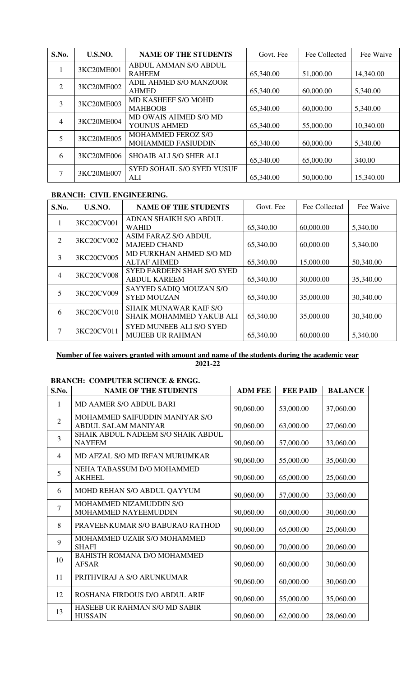| S.No. | U.S.NO.    | <b>NAME OF THE STUDENTS</b>            | Govt. Fee | Fee Collected | Fee Waive |
|-------|------------|----------------------------------------|-----------|---------------|-----------|
|       | 3KC20ME001 | ABDUL AMMAN S/O ABDUL<br><b>RAHEEM</b> | 65,340.00 | 51,000.00     | 14,340.00 |
|       |            | <b>ADIL AHMED S/O MANZOOR</b>          |           |               |           |
| 2     | 3KC20ME002 | <b>AHMED</b>                           | 65,340.00 | 60,000.00     | 5,340.00  |
| 3     | 3KC20ME003 | MD KASHEEF S/O MOHD                    |           |               |           |
|       |            | <b>MAHBOOB</b>                         | 65,340.00 | 60,000.00     | 5,340.00  |
| 4     | 3KC20ME004 | MD OWAIS AHMED S/O MD                  |           |               |           |
|       |            | YOUNUS AHMED                           | 65,340.00 | 55,000.00     | 10,340.00 |
|       | 3KC20ME005 | MOHAMMED FEROZ S/O                     |           |               |           |
|       |            | <b>MOHAMMED FASIUDDIN</b>              | 65,340.00 | 60,000.00     | 5,340.00  |
| 6     | 3KC20ME006 | <b>SHOAIB ALI S/O SHER ALI</b>         | 65,340.00 | 65,000.00     | 340.00    |
|       | 3KC20ME007 | <b>SYED SOHAIL S/O SYED YUSUF</b>      |           |               |           |
|       |            | ALI                                    | 65,340.00 | 50,000.00     | 15,340.00 |

# **BRANCH: CIVIL ENGINEERING.**

| S.No. | U.S.NO.    | <b>NAME OF THE STUDENTS</b>                                | Govt. Fee | Fee Collected | Fee Waive |
|-------|------------|------------------------------------------------------------|-----------|---------------|-----------|
| 1     | 3KC20CV001 | ADNAN SHAIKH S/O ABDUL<br><b>WAHID</b>                     | 65,340.00 | 60,000.00     | 5,340.00  |
| 2     | 3KC20CV002 | <b>ASIM FARAZ S/O ABDUL</b><br><b>MAJEED CHAND</b>         | 65,340.00 | 60,000.00     | 5,340.00  |
| 3     | 3KC20CV005 | MD FURKHAN AHMED S/O MD<br><b>ALTAF AHMED</b>              | 65,340.00 | 15,000.00     | 50,340.00 |
| 4     | 3KC20CV008 | <b>SYED FARDEEN SHAH S/O SYED</b><br><b>ABDUL KAREEM</b>   | 65,340.00 | 30,000.00     | 35,340.00 |
| 5     | 3KC20CV009 | SAYYED SADIQ MOUZAN S/O<br><b>SYED MOUZAN</b>              | 65,340.00 | 35,000.00     | 30,340.00 |
| 6     | 3KC20CV010 | <b>SHAIK MUNAWAR KAIF S/O</b><br>SHAIK MOHAMMED YAKUB ALI  | 65,340.00 | 35,000.00     | 30,340.00 |
|       | 3KC20CV011 | <b>SYED MUNEEB ALI S/O SYED</b><br><b>MUJEEB UR RAHMAN</b> | 65,340.00 | 60,000.00     | 5,340.00  |

## **Number of fee waivers granted with amount and name of the students during the academic year 2021-22**

# **BRANCH: COMPUTER SCIENCE & ENGG.**

| S.No.          | <b>NAME OF THE STUDENTS</b>                                  | <b>ADM FEE</b> | <b>FEE PAID</b> | <b>BALANCE</b> |
|----------------|--------------------------------------------------------------|----------------|-----------------|----------------|
| 1              | <b>MD AAMER S/O ABDUL BARI</b>                               | 90,060.00      | 53,000.00       | 37,060.00      |
| $\overline{2}$ | MOHAMMED SAIFUDDIN MANIYAR S/O<br><b>ABDUL SALAM MANIYAR</b> | 90,060.00      | 63,000.00       | 27,060.00      |
| 3              | SHAIK ABDUL NADEEM S/O SHAIK ABDUL<br><b>NAYEEM</b>          | 90,060.00      | 57,000.00       | 33,060.00      |
| $\overline{4}$ | MD AFZAL S/O MD IRFAN MURUMKAR                               | 90,060.00      | 55,000.00       | 35,060.00      |
| 5              | NEHA TABASSUM D/O MOHAMMED<br><b>AKHEEL</b>                  | 90,060.00      | 65,000.00       | 25,060.00      |
| 6              | MOHD REHAN S/O ABDUL QAYYUM                                  | 90,060.00      | 57,000.00       | 33,060.00      |
| $\overline{7}$ | MOHAMMED NIZAMUDDIN S/O<br>MOHAMMED NAYEEMUDDIN              | 90,060.00      | 60,000.00       | 30,060.00      |
| 8              | PRAVEENKUMAR S/O BABURAO RATHOD                              | 90,060.00      | 65,000.00       | 25,060.00      |
| 9              | MOHAMMED UZAIR S/O MOHAMMED<br><b>SHAFI</b>                  | 90,060.00      | 70,000.00       | 20,060.00      |
| 10             | <b>BAHISTH ROMANA D/O MOHAMMED</b><br><b>AFSAR</b>           | 90,060.00      | 60,000.00       | 30,060.00      |
| 11             | PRITHVIRAJ A S/O ARUNKUMAR                                   | 90,060.00      | 60,000.00       | 30,060.00      |
| 12             | ROSHANA FIRDOUS D/O ABDUL ARIF                               | 90,060.00      | 55,000.00       | 35,060.00      |
| 13             | HASEEB UR RAHMAN S/O MD SABIR<br><b>HUSSAIN</b>              | 90,060.00      | 62,000.00       | 28,060.00      |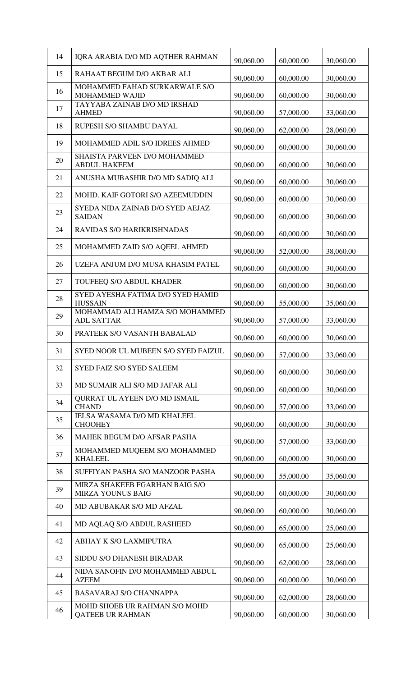| 14 | IQRA ARABIA D/O MD AQTHER RAHMAN                           | 90,060.00 | 60,000.00 | 30,060.00 |
|----|------------------------------------------------------------|-----------|-----------|-----------|
| 15 | RAHAAT BEGUM D/O AKBAR ALI                                 | 90,060.00 | 60,000.00 | 30,060.00 |
| 16 | MOHAMMED FAHAD SURKARWALE S/O<br><b>MOHAMMED WAJID</b>     | 90,060.00 | 60,000.00 | 30,060.00 |
| 17 | TAYYABA ZAINAB D/O MD IRSHAD<br><b>AHMED</b>               | 90,060.00 | 57,000.00 | 33,060.00 |
| 18 | RUPESH S/O SHAMBU DAYAL                                    | 90,060.00 | 62,000.00 | 28,060.00 |
| 19 | MOHAMMED ADIL S/O IDREES AHMED                             | 90,060.00 | 60,000.00 | 30,060.00 |
| 20 | SHAISTA PARVEEN D/O MOHAMMED<br><b>ABDUL HAKEEM</b>        | 90,060.00 | 60,000.00 | 30,060.00 |
| 21 | ANUSHA MUBASHIR D/O MD SADIQ ALI                           | 90,060.00 | 60,000.00 | 30,060.00 |
| 22 | MOHD. KAIF GOTORI S/O AZEEMUDDIN                           | 90,060.00 | 60,000.00 | 30,060.00 |
| 23 | SYEDA NIDA ZAINAB D/O SYED AEJAZ<br><b>SAIDAN</b>          | 90,060.00 | 60,000.00 | 30,060.00 |
| 24 | RAVIDAS S/O HARIKRISHNADAS                                 | 90,060.00 | 60,000.00 | 30,060.00 |
| 25 | MOHAMMED ZAID S/O AQEEL AHMED                              | 90,060.00 | 52,000.00 | 38,060.00 |
| 26 | UZEFA ANJUM D/O MUSA KHASIM PATEL                          | 90,060.00 | 60,000.00 | 30,060.00 |
| 27 | TOUFEEQ S/O ABDUL KHADER                                   | 90,060.00 | 60,000.00 | 30,060.00 |
| 28 | SYED AYESHA FATIMA D/O SYED HAMID<br><b>HUSSAIN</b>        | 90,060.00 | 55,000.00 | 35,060.00 |
| 29 | MOHAMMAD ALI HAMZA S/O MOHAMMED<br><b>ADL SATTAR</b>       | 90,060.00 | 57,000.00 | 33,060.00 |
| 30 | PRATEEK S/O VASANTH BABALAD                                | 90,060.00 | 60,000.00 | 30,060.00 |
| 31 | SYED NOOR UL MUBEEN S/O SYED FAIZUL                        | 90,060.00 | 57,000.00 | 33,060.00 |
| 32 | <b>SYED FAIZ S/O SYED SALEEM</b>                           | 90,060.00 | 60,000.00 | 30,060.00 |
| 33 | MD SUMAIR ALI S/O MD JAFAR ALI                             | 90,060.00 | 60,000.00 | 30,060.00 |
| 34 | QURRAT UL AYEEN D/O MD ISMAIL<br><b>CHAND</b>              | 90,060.00 | 57,000.00 | 33,060.00 |
| 35 | IELSA WASAMA D/O MD KHALEEL<br><b>CHOOHEY</b>              | 90,060.00 | 60,000.00 | 30,060.00 |
| 36 | MAHEK BEGUM D/O AFSAR PASHA                                | 90,060.00 | 57,000.00 | 33,060.00 |
| 37 | MOHAMMED MUQEEM S/O MOHAMMED<br><b>KHALEEL</b>             | 90,060.00 | 60,000.00 | 30,060.00 |
| 38 | SUFFIYAN PASHA S/O MANZOOR PASHA                           | 90,060.00 | 55,000.00 | 35,060.00 |
| 39 | MIRZA SHAKEEB FGARHAN BAIG S/O<br><b>MIRZA YOUNUS BAIG</b> | 90,060.00 | 60,000.00 | 30,060.00 |
| 40 | MD ABUBAKAR S/O MD AFZAL                                   | 90,060.00 | 60,000.00 | 30,060.00 |
| 41 | MD AQLAQ S/O ABDUL RASHEED                                 | 90,060.00 | 65,000.00 | 25,060.00 |
| 42 | ABHAY K S/O LAXMIPUTRA                                     | 90,060.00 | 65,000.00 | 25,060.00 |
| 43 | SIDDU S/O DHANESH BIRADAR                                  | 90,060.00 | 62,000.00 | 28,060.00 |
| 44 | NIDA SANOFIN D/O MOHAMMED ABDUL<br><b>AZEEM</b>            | 90,060.00 | 60,000.00 | 30,060.00 |
| 45 | <b>BASAVARAJ S/O CHANNAPPA</b>                             | 90,060.00 | 62,000.00 | 28,060.00 |
| 46 | MOHD SHOEB UR RAHMAN S/O MOHD<br><b>QATEEB UR RAHMAN</b>   | 90,060.00 | 60,000.00 | 30,060.00 |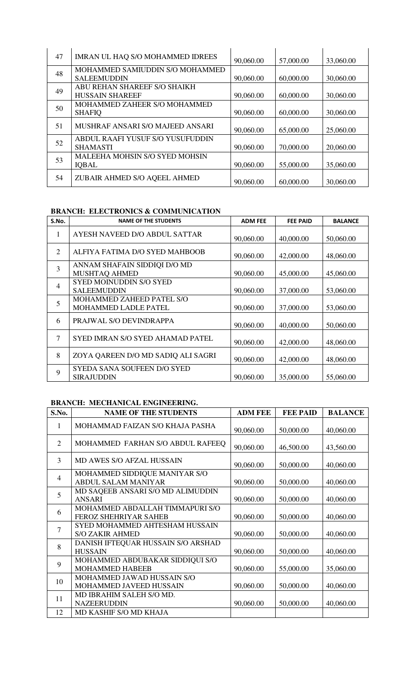| 47 | IMRAN UL HAQ S/O MOHAMMED IDREES      | 90,060.00 | 57,000.00 | 33,060.00 |
|----|---------------------------------------|-----------|-----------|-----------|
| 48 | MOHAMMED SAMIUDDIN S/O MOHAMMED       |           |           |           |
|    | <b>SALEEMUDDIN</b>                    | 90,060.00 | 60,000.00 | 30,060.00 |
| 49 | ABU REHAN SHAREEF S/O SHAIKH          |           |           |           |
|    | <b>HUSSAIN SHAREEF</b>                | 90,060.00 | 60,000.00 | 30,060.00 |
| 50 | MOHAMMED ZAHEER S/O MOHAMMED          |           |           |           |
|    | <b>SHAFIO</b>                         | 90,060.00 | 60,000.00 | 30,060.00 |
| 51 | MUSHRAF ANSARI S/O MAJEED ANSARI      |           |           |           |
|    |                                       | 90,060.00 | 65,000.00 | 25,060.00 |
| 52 | ABDUL RAAFI YUSUF S/O YUSUFUDDIN      |           |           |           |
|    | <b>SHAMASTI</b>                       | 90,060.00 | 70,000.00 | 20,060.00 |
| 53 | <b>MALEEHA MOHSIN S/O SYED MOHSIN</b> |           |           |           |
|    | <b>IQBAL</b>                          | 90,060.00 | 55,000.00 | 35,060.00 |
| 54 |                                       |           |           |           |

# **BRANCH: ELECTRONICS & COMMUNICATION**

| S.No.          | <b>NAME OF THE STUDENTS</b>        | <b>ADM FEE</b> | <b>FEE PAID</b> | <b>BALANCE</b> |
|----------------|------------------------------------|----------------|-----------------|----------------|
| 1              | AYESH NAVEED D/O ABDUL SATTAR      | 90,060.00      | 40,000.00       | 50,060.00      |
| 2              | ALFIYA FATIMA D/O SYED MAHBOOB     | 90,060.00      | 42,000.00       | 48,060.00      |
| $\overline{3}$ | ANNAM SHAFAIN SIDDIQI D/O MD       |                |                 |                |
|                | MUSHTAQ AHMED                      | 90,060.00      | 45,000.00       | 45,060.00      |
| 4              | <b>SYED MOINUDDIN S/O SYED</b>     |                |                 |                |
|                | <b>SALEEMUDDIN</b>                 | 90,060.00      | 37,000.00       | 53,060.00      |
| 5              | MOHAMMED ZAHEED PATEL S/O          |                |                 |                |
|                | MOHAMMED LADLE PATEL               | 90,060.00      | 37,000.00       | 53,060.00      |
| 6              | PRAJWAL S/O DEVINDRAPPA            | 90,060.00      | 40,000.00       | 50,060.00      |
| 7              | SYED IMRAN S/O SYED AHAMAD PATEL   | 90,060.00      | 42,000.00       | 48,060.00      |
| 8              | ZOYA QAREEN D/O MD SADIQ ALI SAGRI | 90,060.00      | 42,000.00       | 48,060.00      |
| 9              | SYEDA SANA SOUFEEN D/O SYED        |                |                 |                |
|                | <b>SIRAJUDDIN</b>                  | 90,060.00      | 35,000.00       | 55,060.00      |

## **BRANCH: MECHANICAL ENGINEERING.**

| S.No.          | <b>NAME OF THE STUDENTS</b>                                     | <b>ADM FEE</b> | <b>FEE PAID</b> | <b>BALANCE</b> |
|----------------|-----------------------------------------------------------------|----------------|-----------------|----------------|
| 1              | MOHAMMAD FAIZAN S/O KHAJA PASHA                                 | 90,060.00      | 50,000.00       | 40,060.00      |
| 2              | MOHAMMED FARHAN S/O ABDUL RAFEEQ                                | 90,060.00      | 46,500.00       | 43,560.00      |
| 3              | <b>MD AWES S/O AFZAL HUSSAIN</b>                                | 90,060.00      | 50,000.00       | 40,060.00      |
| $\overline{4}$ | MOHAMMED SIDDIQUE MANIYAR S/O<br><b>ABDUL SALAM MANIYAR</b>     | 90,060.00      | 50,000.00       | 40,060.00      |
| 5              | MD SAQEEB ANSARI S/O MD ALIMUDDIN<br><b>ANSARI</b>              | 90,060.00      | 50,000.00       | 40,060.00      |
| 6              | MOHAMMED ABDALLAH TIMMAPURI S/O<br><b>FEROZ SHEHRIYAR SAHEB</b> | 90,060.00      | 50,000.00       | 40,060.00      |
| $\overline{7}$ | <b>SYED MOHAMMED AHTESHAM HUSSAIN</b><br><b>S/O ZAKIR AHMED</b> | 90,060.00      | 50,000.00       | 40,060.00      |
| 8              | DANISH IFTEQUAR HUSSAIN S/O ARSHAD<br><b>HUSSAIN</b>            | 90,060.00      | 50,000.00       | 40,060.00      |
| 9              | MOHAMMED ABDUBAKAR SIDDIQUI S/O<br><b>MOHAMMED HABEEB</b>       | 90,060.00      | 55,000.00       | 35,060.00      |
| 10             | MOHAMMED JAWAD HUSSAIN S/O<br>MOHAMMED JAVEED HUSSAIN           | 90,060.00      | 50,000.00       | 40,060.00      |
| 11             | MD IBRAHIM SALEH S/O MD.<br><b>NAZEERUDDIN</b>                  | 90,060.00      | 50,000.00       | 40,060.00      |
| 12             | MD KASHIF S/O MD KHAJA                                          |                |                 |                |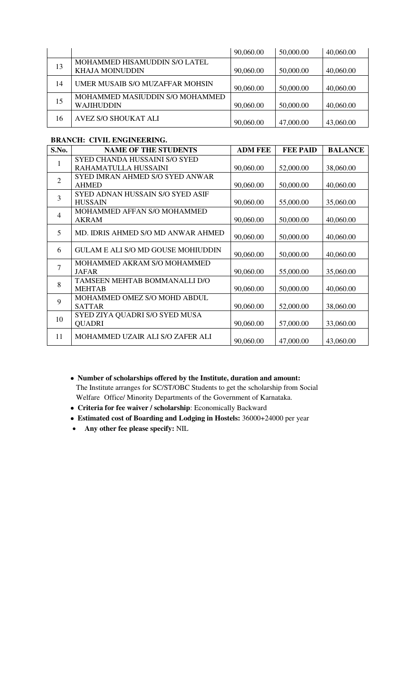|    |                                                         | 90,060.00 | 50,000.00 | 40,060.00 |
|----|---------------------------------------------------------|-----------|-----------|-----------|
| 13 | MOHAMMED HISAMUDDIN S/O LATEL<br><b>KHAJA MOINUDDIN</b> | 90,060.00 | 50,000.00 | 40,060.00 |
| 14 | UMER MUSAIB S/O MUZAFFAR MOHSIN                         | 90,060.00 | 50,000.00 | 40,060.00 |
| 15 | MOHAMMED MASIUDDIN S/O MOHAMMED<br><b>WAJIHUDDIN</b>    | 90,060.00 | 50,000.00 | 40,060.00 |
| 16 | <b>AVEZ S/O SHOUKAT ALI</b>                             | 90,060.00 | 47,000.00 | 43,060.00 |

# **BRANCH: CIVIL ENGINEERING.**

| S.No.          | <b>NAME OF THE STUDENTS</b>               | <b>ADM FEE</b> | <b>FEE PAID</b> | <b>BALANCE</b> |
|----------------|-------------------------------------------|----------------|-----------------|----------------|
| 1              | <b>SYED CHANDA HUSSAINI S/O SYED</b>      |                |                 |                |
|                | RAHAMATULLA HUSSAINI                      | 90,060.00      | 52,000.00       | 38,060.00      |
| $\overline{2}$ | <b>SYED IMRAN AHMED S/O SYED ANWAR</b>    |                |                 |                |
|                | <b>AHMED</b>                              | 90,060.00      | 50,000.00       | 40,060.00      |
| 3              | <b>SYED ADNAN HUSSAIN S/O SYED ASIF</b>   |                |                 |                |
|                | <b>HUSSAIN</b>                            | 90,060.00      | 55,000.00       | 35,060.00      |
| $\overline{4}$ | MOHAMMED AFFAN S/O MOHAMMED               |                |                 |                |
|                | <b>AKRAM</b>                              | 90,060.00      | 50,000.00       | 40,060.00      |
| 5              | MD. IDRIS AHMED S/O MD ANWAR AHMED        |                |                 |                |
|                |                                           | 90,060.00      | 50,000.00       | 40,060.00      |
| 6              | <b>GULAM E ALI S/O MD GOUSE MOHIUDDIN</b> |                |                 |                |
|                |                                           | 90,060.00      | 50,000.00       | 40,060.00      |
| $\overline{7}$ | MOHAMMED AKRAM S/O MOHAMMED               |                |                 |                |
|                | <b>JAFAR</b>                              | 90,060.00      | 55,000.00       | 35,060.00      |
| 8              | TAMSEEN MEHTAB BOMMANALLI D/O             |                |                 |                |
|                | <b>MEHTAB</b>                             | 90,060.00      | 50,000.00       | 40,060.00      |
| 9              | MOHAMMED OMEZ S/O MOHD ABDUL              |                |                 |                |
|                | <b>SATTAR</b>                             | 90,060.00      | 52,000.00       | 38,060.00      |
| 10             | SYED ZIYA QUADRI S/O SYED MUSA            |                |                 |                |
|                | <b>QUADRI</b>                             | 90,060.00      | 57,000.00       | 33,060.00      |
| 11             | MOHAMMED UZAIR ALI S/O ZAFER ALI          |                |                 |                |
|                |                                           | 90,060.00      | 47,000.00       | 43,060.00      |

- **Number of scholarships offered by the Institute, duration and amount:** The Institute arranges for SC/ST/OBC Students to get the scholarship from Social Welfare Office/ Minority Departments of the Government of Karnataka.
- **Criteria for fee waiver / scholarship**: Economically Backward
- **Estimated cost of Boarding and Lodging in Hostels:** 36000+24000 per year
- **Any other fee please specify:** NIL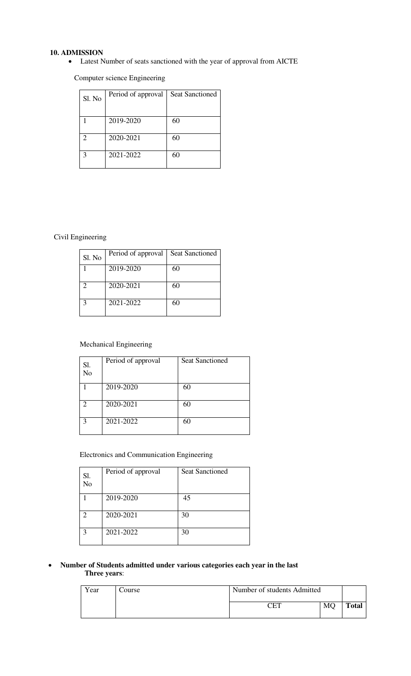## **10. ADMISSION**

Latest Number of seats sanctioned with the year of approval from AICTE

Computer science Engineering

| Sl. No | Period of approval | <b>Seat Sanctioned</b> |
|--------|--------------------|------------------------|
|        |                    |                        |
|        | 2019-2020          | 60                     |
|        |                    |                        |
|        | 2020-2021          | 60                     |
|        | 2021-2022          | 60                     |
|        |                    |                        |

## Civil Engineering

| Sl. No            | Period of approval | Seat Sanctioned |
|-------------------|--------------------|-----------------|
|                   | 2019-2020          | 60              |
| $\mathcal{D}$     | 2020-2021          | 60              |
| $\mathbf{\Omega}$ | 2021-2022          | 60              |

## Mechanical Engineering

| Sl.<br>No     | Period of approval | <b>Seat Sanctioned</b> |
|---------------|--------------------|------------------------|
|               | 2019-2020          | 60                     |
| $\mathcal{D}$ | 2020-2021          | 60                     |
| $\mathbf 3$   | 2021-2022          | 60                     |

## Electronics and Communication Engineering

| Sl.<br>N <sub>o</sub> | Period of approval | <b>Seat Sanctioned</b> |
|-----------------------|--------------------|------------------------|
|                       | 2019-2020          | 45                     |
| 2                     | 2020-2021          | 30                     |
| 3                     | 2021-2022          | 30                     |

#### **Number of Students admitted under various categories each year in the last Three years**:

| Year | Course | Number of students Admitted |    |              |
|------|--------|-----------------------------|----|--------------|
|      |        | CET                         | MC | <b>Total</b> |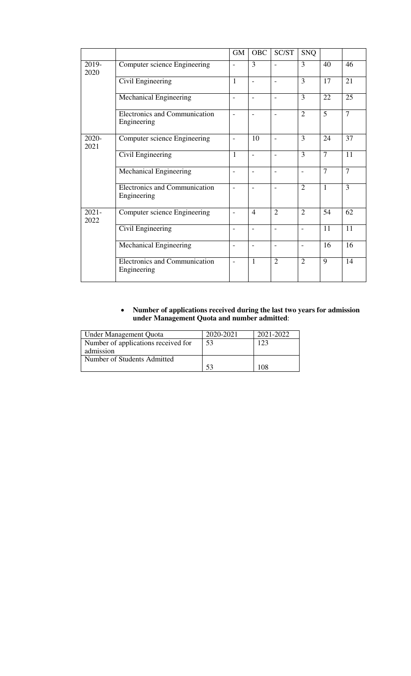|                  |                                                     | <b>GM</b>                | <b>OBC</b>               | SC/ST                    | <b>SNQ</b>               |                |                 |
|------------------|-----------------------------------------------------|--------------------------|--------------------------|--------------------------|--------------------------|----------------|-----------------|
| 2019-<br>2020    | Computer science Engineering                        | $\overline{a}$           | 3                        |                          | 3                        | 40             | 46              |
|                  | Civil Engineering                                   | $\mathbf{1}$             | $\equiv$                 | $\overline{a}$           | $\overline{3}$           | 17             | 21              |
|                  | <b>Mechanical Engineering</b>                       | $\overline{a}$           |                          |                          | $\overline{3}$           | 22             | 25              |
|                  | Electronics and Communication<br>Engineering        | $\overline{\phantom{a}}$ | $\overline{\phantom{0}}$ |                          | $\overline{2}$           | $\overline{5}$ | $\overline{7}$  |
| 2020-<br>2021    | Computer science Engineering                        | $\overline{a}$           | 10                       |                          | 3                        | 24             | 37              |
|                  | Civil Engineering                                   | $\mathbf{1}$             | $\overline{\phantom{0}}$ | $\overline{\phantom{0}}$ | $\overline{3}$           | $\overline{7}$ | $\overline{11}$ |
|                  | Mechanical Engineering                              | $\overline{\phantom{a}}$ | $\overline{\phantom{0}}$ | $\overline{\phantom{0}}$ | $\overline{a}$           | $\overline{7}$ | $\overline{7}$  |
|                  | <b>Electronics and Communication</b><br>Engineering | $\overline{a}$           | $\overline{a}$           |                          | $\overline{2}$           | $\overline{1}$ | 3               |
| $2021 -$<br>2022 | Computer science Engineering                        | $\overline{a}$           | $\overline{4}$           | $\overline{2}$           | $\overline{2}$           | 54             | 62              |
|                  | Civil Engineering                                   | $\overline{\phantom{0}}$ |                          |                          |                          | 11             | 11              |
|                  | <b>Mechanical Engineering</b>                       | $\overline{a}$           | $\overline{\phantom{0}}$ |                          | $\overline{\phantom{0}}$ | 16             | 16              |
|                  | <b>Electronics and Communication</b><br>Engineering | $\overline{a}$           | 1                        | $\overline{2}$           | $\overline{2}$           | $\overline{9}$ | 14              |

#### **Number of applications received during the last two years for admission under Management Quota and number admitted**:

| Under Management Quota              | 2020-2021 | 2021-2022 |
|-------------------------------------|-----------|-----------|
| Number of applications received for | 53        | 123       |
| admission                           |           |           |
| Number of Students Admitted         |           |           |
|                                     |           |           |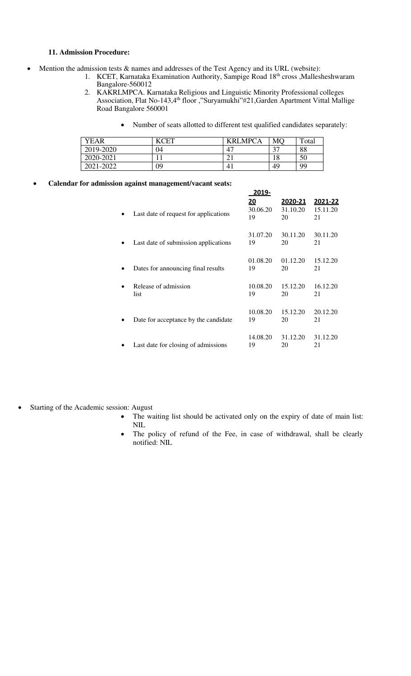#### **11. Admission Procedure:**

- Mention the admission tests & names and addresses of the Test Agency and its URL (website):
	- 1. KCET, Karnataka Examination Authority, Sampige Road 18<sup>th</sup> cross ,Mallesheshwaram Bangalore-560012
		- 2. KAKRLMPCA. Karnataka Religious and Linguistic Minority Professional colleges Association, Flat No-143,4<sup>th</sup> floor ,"Suryamukhi"#21,Garden Apartment Vittal Mallige Road Bangalore 560001
			- Number of seats allotted to different test qualified candidates separately:

| <b>YEAR</b> | $\lceil \cdot \rceil$ | <b>KRLMPCA</b> | MC     | Total |
|-------------|-----------------------|----------------|--------|-------|
| 2019-2020   | 04                    | 47             | $\sim$ | 88    |
| 2020-2021   |                       |                | 18     | 50    |
| 2021-2022   | 09                    | 4 <sub>1</sub> | 49     | 99    |

**Calendar for admission against management/vacant seats:** 

|                                       | 2019-                        |                                  |                           |
|---------------------------------------|------------------------------|----------------------------------|---------------------------|
| Last date of request for applications | <u> 20</u><br>30.06.20<br>19 | <u>2020-21</u><br>31.10.20<br>20 | 2021-22<br>15.11.20<br>21 |
| Last date of submission applications  | 31.07.20<br>19               | 30.11.20<br>20                   | 30.11.20<br>21            |
| Dates for announcing final results    | 01.08.20<br>19               | 01.12.20<br>20                   | 15.12.20<br>21            |
| Release of admission<br>list          | 10.08.20<br>19               | 15.12.20<br>20                   | 16.12.20<br>21            |
| Date for acceptance by the candidate  | 10.08.20<br>19               | 15.12.20<br>20                   | 20.12.20<br>21            |
| Last date for closing of admissions   | 14.08.20<br>19               | 31.12.20<br>20                   | 31.12.20<br>21            |

- Starting of the Academic session: August
	- The waiting list should be activated only on the expiry of date of main list: NIL
	- The policy of refund of the Fee, in case of withdrawal, shall be clearly notified: NIL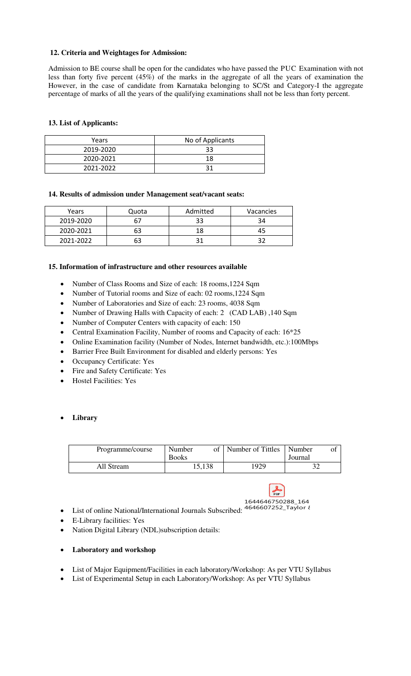## **12. Criteria and Weightages for Admission:**

Admission to BE course shall be open for the candidates who have passed the PUC Examination with not less than forty five percent (45%) of the marks in the aggregate of all the years of examination the However, in the case of candidate from Karnataka belonging to SC/St and Category-I the aggregate percentage of marks of all the years of the qualifying examinations shall not be less than forty percent.

## **13. List of Applicants:**

| Years     | No of Applicants |  |
|-----------|------------------|--|
| 2019-2020 | 33               |  |
| 2020-2021 | 18               |  |
| 2021-2022 |                  |  |

#### **14. Results of admission under Management seat/vacant seats:**

| Years     | Quota | Admitted | Vacancies |
|-----------|-------|----------|-----------|
| 2019-2020 |       | 33       |           |
| 2020-2021 | 63    | 18       |           |
| 2021-2022 | 63    |          |           |

#### **15. Information of infrastructure and other resources available**

- Number of Class Rooms and Size of each: 18 rooms,1224 Sqm
- Number of Tutorial rooms and Size of each: 02 rooms, 1224 Sqm
- Number of Laboratories and Size of each: 23 rooms, 4038 Sqm
- Number of Drawing Halls with Capacity of each: 2 (CAD LAB), 140 Sqm
- Number of Computer Centers with capacity of each: 150
- Central Examination Facility, Number of rooms and Capacity of each: 16\*25
- Online Examination facility (Number of Nodes, Internet bandwidth, etc.):100Mbps
- Barrier Free Built Environment for disabled and elderly persons: Yes
- Occupancy Certificate: Yes
- Fire and Safety Certificate: Yes
- Hostel Facilities: Yes

## **Library**

| Programme/course | Number<br><b>Books</b> | Number of Tittles | Number<br>Journal |
|------------------|------------------------|-------------------|-------------------|
| All Stream       | 15,138                 | 1929              | 20<br>JΖ          |



- List of online National/International Journals Subscribed: 4646607252\_Taylor &
- E-Library facilities: Yes
- Nation Digital Library (NDL)subscription details:

#### **Laboratory and workshop**

- List of Major Equipment/Facilities in each laboratory/Workshop: As per VTU Syllabus
- List of Experimental Setup in each Laboratory/Workshop: As per VTU Syllabus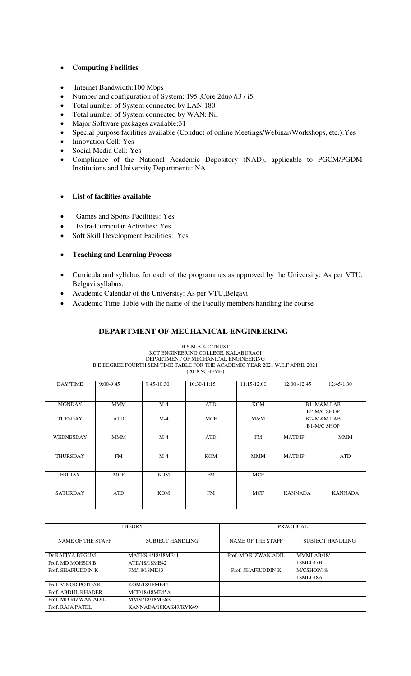## **Computing Facilities**

- Internet Bandwidth:100 Mbps
- Number and configuration of System: 195, Core 2duo /i3 / i5
- Total number of System connected by LAN:180
- Total number of System connected by WAN: Nil
- Major Software packages available:31
- Special purpose facilities available (Conduct of online Meetings/Webinar/Workshops, etc.):Yes
- Innovation Cell: Yes
- Social Media Cell: Yes
- Compliance of the National Academic Depository (NAD), applicable to PGCM/PGDM Institutions and University Departments: NA

#### **List of facilities available**

- Games and Sports Facilities: Yes
- Extra-Curricular Activities: Yes
- Soft Skill Development Facilities: Yes

## **Teaching and Learning Process**

- Curricula and syllabus for each of the programmes as approved by the University: As per VTU, Belgavi syllabus.
- Academic Calendar of the University: As per VTU,Belgavi
- Academic Time Table with the name of the Faculty members handling the course

## **DEPARTMENT OF MECHANICAL ENGINEERING**

#### H.S.M.A.K.C.TRUST KCT ENGINEERING COLLEGE, KALABURAGI DEPARTMENT OF MECHANICAL ENGINEERING B.E DEGREE FOURTH SEM TIME TABLE FOR THE ACADEMIC YEAR 2021 W.E.F APRIL 2021 (2018 SCHEME)

| DAY/TIME         | $9:00-9:45$ | $9:45-10:30$ | 10:30-11:15 | $11:15-12:00$ | $12:00 - 12:45$         | 12:45-1.30     |
|------------------|-------------|--------------|-------------|---------------|-------------------------|----------------|
|                  |             |              |             |               |                         |                |
|                  |             |              |             |               |                         |                |
|                  |             |              |             |               |                         |                |
| <b>MONDAY</b>    | <b>MMM</b>  | $M-4$        | <b>ATD</b>  | <b>KOM</b>    | <b>B1-M&amp;M LAB</b>   |                |
|                  |             |              |             |               |                         |                |
|                  |             |              |             |               | <b>B2-M/C SHOP</b>      |                |
| <b>TUESDAY</b>   | <b>ATD</b>  | $M-4$        | <b>MCF</b>  | M&M           | B <sub>2</sub> -M&M LAB |                |
|                  |             |              |             |               |                         |                |
|                  |             |              |             |               | B1-M/C SHOP             |                |
|                  |             |              |             |               |                         |                |
| <b>WEDNESDAY</b> | <b>MMM</b>  | $M-4$        | <b>ATD</b>  | <b>FM</b>     | <b>MATDIP</b>           | MMM            |
|                  |             |              |             |               |                         |                |
|                  |             |              |             |               |                         |                |
|                  |             |              |             |               |                         |                |
| <b>THURSDAY</b>  | <b>FM</b>   | $M-4$        | <b>KOM</b>  | <b>MMM</b>    | <b>MATDIP</b>           | <b>ATD</b>     |
|                  |             |              |             |               |                         |                |
|                  |             |              |             |               |                         |                |
|                  |             |              |             |               |                         |                |
| <b>FRIDAY</b>    | <b>MCF</b>  | <b>KOM</b>   | <b>FM</b>   | <b>MCF</b>    |                         |                |
|                  |             |              |             |               |                         |                |
|                  |             |              |             |               |                         |                |
|                  |             |              |             |               |                         |                |
| <b>SATURDAY</b>  | <b>ATD</b>  | <b>KOM</b>   | <b>FM</b>   | <b>MCF</b>    | <b>KANNADA</b>          | <b>KANNADA</b> |
|                  |             |              |             |               |                         |                |
|                  |             |              |             |               |                         |                |
|                  |             |              |             |               |                         |                |

|                          | <b>THEORY</b>         | PRACTICAL                |                  |  |
|--------------------------|-----------------------|--------------------------|------------------|--|
| <b>NAME OF THE STAFF</b> | SUBJECT HANDLING      | <b>NAME OF THE STAFF</b> | SUBJECT HANDLING |  |
| Dr.RAFIYA BEGUM          | MATHS-4/18/18ME41     | Prof. MD RIZWAN ADIL     | MMMLAB/18/       |  |
| Prof. MD MOHSIN B        | ATD/18/18ME42         |                          | 18MEL47B         |  |
| Prof. SHAFIUDDIN K       | FM/18/18MF43          |                          | M/CSHOP/18/      |  |
|                          |                       |                          | 18MEL48A         |  |
| Prof. VINOD POTDAR       | KOM/18/18ME44         |                          |                  |  |
| Prof. ABDUL KHADER       | MCF/18/18MF45A        |                          |                  |  |
| Prof. MD RIZWAN ADIL     | <b>MMM/18/18ME6B</b>  |                          |                  |  |
| Prof. RAJA PATEL         | KANNADA/18KAK49/KVK49 |                          |                  |  |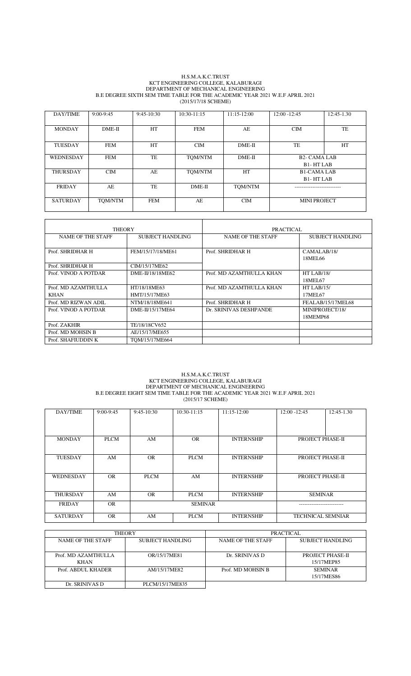#### H.S.M.A.K.C.TRUST KCT ENGINEERING COLLEGE, KALABURAGI DEPARTMENT OF MECHANICAL ENGINEERING B.E DEGREE SIXTH SEM TIME TABLE FOR THE ACADEMIC YEAR 2021 W.E.F APRIL 2021 (2015/17/18 SCHEME)

| DAY/TIME         | $9:00-9:45$ | $9:45-10:30$ | $10:30-11:15$ | $11:15-12:00$ | $12:00 - 12:45$                                 | 12:45-1.30 |
|------------------|-------------|--------------|---------------|---------------|-------------------------------------------------|------------|
| <b>MONDAY</b>    | DME-II      | HT           | <b>FEM</b>    | AE            | CIM                                             | TE         |
| <b>TUESDAY</b>   | FEM         | HT           | <b>CIM</b>    | $DME-II$      | TE                                              | HT         |
| <b>WEDNESDAY</b> | <b>FEM</b>  | <b>TE</b>    | TOM/NTM       | $DME-II$      | <b>B<sub>2</sub>-CAMALAB</b><br><b>B1-HTLAB</b> |            |
| <b>THURSDAY</b>  | CIM         | AE           | TOM/NTM       | HT            | <b>B1-CAMALAB</b><br><b>B1-HTLAB</b>            |            |
| <b>FRIDAY</b>    | AE          | TE           | $DME-II$      | TOM/NTM       |                                                 |            |
| <b>SATURDAY</b>  | TOM/NTM     | <b>FEM</b>   | AE            | <b>CIM</b>    | <b>MINI PROJECT</b>                             |            |

| <b>THEORY</b>            |                   | PRACTICAL                |                        |  |
|--------------------------|-------------------|--------------------------|------------------------|--|
| <b>NAME OF THE STAFF</b> | SUBJECT HANDLING  |                          | SUBJECT HANDLING       |  |
| Prof. SHRIDHAR H         | FEM/15/17/18/ME61 | Prof. SHRIDHAR H         | CAMALAB/18/<br>18MEL66 |  |
| Prof. SHRIDHAR H         | CIM/15/17ME62     |                          |                        |  |
| Prof. VINOD A POTDAR     | DME-II/18/18ME62  | Prof. MD AZAMTHULLA KHAN | HT LAB/18/<br>18MEI 67 |  |
| Prof. MD AZAMTHULLA      | HT/18/18ME63      | Prof. MD AZAMTHULLA KHAN | HT LAB/15/             |  |
| <b>KHAN</b>              | HMT/15/17ME63     |                          | 17MEL67                |  |
| Prof. MD RIZWAN ADIL     | NTM/18/18ME641    | Prof. SHRIDHAR H         | FEALAB/15/17MEL68      |  |
| Prof. VINOD A POTDAR     | DME-II/15/17ME64  | Dr. SRINIVAS DESHPANDE   | MINIPROJECT/18/        |  |
|                          |                   |                          | 18MEMP68               |  |
| Prof. ZAKHIR             | TE/18/18CV652     |                          |                        |  |
| Prof. MD MOHSIN B        | AE/15/17/ME655    |                          |                        |  |
| Prof. SHAFIUDDIN K       | TOM/15/17ME664    |                          |                        |  |

#### H.S.M.A.K.C.TRUST KCT ENGINEERING COLLEGE, KALABURAGI DEPARTMENT OF MECHANICAL ENGINEERING B.E DEGREE EIGHT SEM TIME TABLE FOR THE ACADEMIC YEAR 2021 W.E.F APRIL 2021 (2015/17 SCHEME)

| DAY/TIME         | $9:00-9:45$ | $9:45-10:30$   | $10:30-11:15$ | $11:15-12:00$     | $12:00 - 12:45$          | 12:45-1.30 |
|------------------|-------------|----------------|---------------|-------------------|--------------------------|------------|
|                  |             |                |               |                   |                          |            |
| <b>MONDAY</b>    | <b>PLCM</b> | AM             | <b>OR</b>     | <b>INTERNSHIP</b> | PROJECT PHASE-II         |            |
|                  |             |                |               |                   |                          |            |
|                  |             |                |               |                   |                          |            |
| <b>TUESDAY</b>   | AM          | <b>OR</b>      | <b>PLCM</b>   | <b>INTERNSHIP</b> | PROJECT PHASE-II         |            |
|                  |             |                |               |                   |                          |            |
| <b>WEDNESDAY</b> | OR.         | <b>PLCM</b>    | AM            | <b>INTERNSHIP</b> | PROJECT PHASE-II         |            |
|                  |             |                |               |                   |                          |            |
| <b>THURSDAY</b>  | AM          | <b>OR</b>      | <b>PLCM</b>   | <b>INTERNSHIP</b> | <b>SEMINAR</b>           |            |
| <b>FRIDAY</b>    | OR.         | <b>SEMINAR</b> |               |                   |                          |            |
|                  |             |                |               |                   |                          |            |
| <b>SATURDAY</b>  | OR.         | AM             | <b>PLCM</b>   | <b>INTERNSHIP</b> | <b>TECHNICAL SEMNIAR</b> |            |

| <b>THEORY</b>                      |                  | PRACTICAL         |                                |  |
|------------------------------------|------------------|-------------------|--------------------------------|--|
| NAME OF THE STAFF                  | SUBJECT HANDLING | NAME OF THE STAFF | SUBJECT HANDLING               |  |
| Prof. MD AZAMTHULLA<br><b>KHAN</b> | OR/15/17ME81     | Dr. SRINIVAS D    | PROJECT PHASE-II<br>15/17MEP85 |  |
| Prof. ABDUL KHADER                 | AM/15/17ME82     | Prof. MD MOHSIN B | <b>SEMINAR</b><br>15/17MES86   |  |
| Dr. SRINIVAS D                     | PLCM/15/17ME835  |                   |                                |  |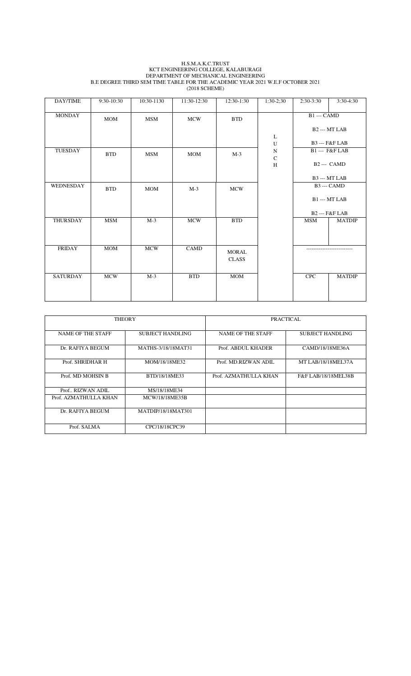#### H.S.M.A.K.C.TRUST KCT ENGINEERING COLLEGE, KALABURAGI DEPARTMENT OF MECHANICAL ENGINEERING B.E DEGREE THIRD SEM TIME TABLE FOR THE ACADEMIC YEAR 2021 W.E.F OCTOBER 2021 (2018 SCHEME)

| DAY/TIME        | 9:30-10:30 | 10:30-1130 | 11:30-12:30 | 12:30-1:30   | $1:30-2:30$              | 2:30-3:30          | 3:30-4:30                        |
|-----------------|------------|------------|-------------|--------------|--------------------------|--------------------|----------------------------------|
| <b>MONDAY</b>   | <b>MOM</b> | <b>MSM</b> | <b>MCW</b>  | <b>BTD</b>   |                          | <b>B1</b> --- CAMD |                                  |
|                 |            |            |             |              | L                        |                    | B <sub>2</sub> --- MT LAB        |
|                 |            |            |             |              | U                        |                    | <b>B3</b> --- <b>F&amp;F</b> LAB |
| TUESDAY         | <b>BTD</b> | <b>MSM</b> | <b>MOM</b>  | $M-3$        | ${\bf N}$<br>$\mathbf C$ |                    | B1--- F&F LAB                    |
|                 |            |            |             |              | H                        |                    | $B2 -- CAMD$                     |
|                 |            |            |             |              |                          |                    | B3 --- MT LAB                    |
| WEDNESDAY       | <b>BTD</b> | <b>MOM</b> | $M-3$       | <b>MCW</b>   |                          |                    | <b>B3</b> --- CAMD               |
|                 |            |            |             |              |                          |                    | <b>B1 --- MT LAB</b>             |
|                 |            |            |             |              |                          |                    | <b>B2</b> --- F&F LAB            |
| THURSDAY        | <b>MSM</b> | $M-3$      | <b>MCW</b>  | <b>BTD</b>   |                          | <b>MSM</b>         | <b>MATDIP</b>                    |
| <b>FRIDAY</b>   | MOM        | <b>MCW</b> | CAMD        | <b>MORAL</b> |                          | .                  |                                  |
|                 |            |            |             | <b>CLASS</b> |                          |                    |                                  |
|                 |            |            |             |              |                          |                    |                                  |
| <b>SATURDAY</b> | <b>MCW</b> | $M-3$      | <b>BTD</b>  | <b>MOM</b>   |                          | <b>CPC</b>         | <b>MATDIP</b>                    |
|                 |            |            |             |              |                          |                    |                                  |

| <b>THEORY</b>            |                         | PRACTICAL             |                         |
|--------------------------|-------------------------|-----------------------|-------------------------|
| <b>NAME OF THE STAFF</b> | <b>SUBJECT HANDLING</b> |                       | <b>SUBJECT HANDLING</b> |
| Dr. RAFIYA BEGUM         | MATHS-3/18/18MAT31      | Prof. ABDUL KHADER    | CAMD/18/18ME36A         |
| Prof. SHRIDHAR H         | MOM/18/18ME32           | Prof. MD.RIZWAN ADIL  | MT LAB/18/18MEL37A      |
| Prof. MD MOHSIN B        | BTD/18/18ME33           | Prof. AZMATHULLA KHAN | F&F LAB/18/18MEL38B     |
| Prof., RIZWAN ADIL.      | MS/18/18ME34            |                       |                         |
| Prof. AZMATHULLA KHAN    | MCW/18/18ME35B          |                       |                         |
| Dr. RAFIYA BEGUM         | MATDIP/18/18MAT301      |                       |                         |
| Prof. SALMA              | CPC/18/18CPC39          |                       |                         |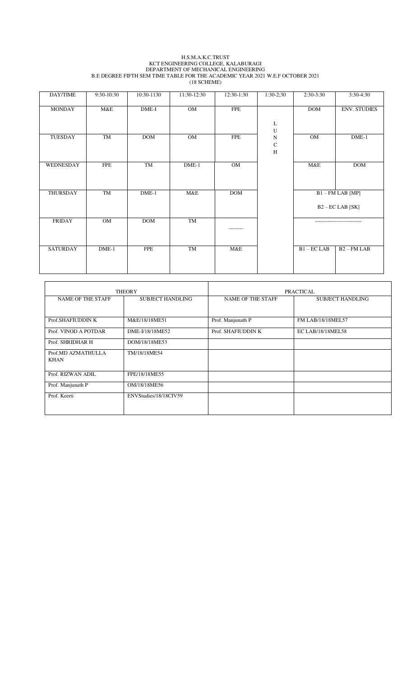#### H.S.M.A.K.C.TRUST KCT ENGINEERING COLLEGE, KALABURAGI DEPARTMENT OF MECHANICAL ENGINEERING B.E DEGREE FIFTH SEM TIME TABLE FOR THE ACADEMIC YEAR 2021 W.E.F OCTOBER 2021

(18 SCHEME)

| DAY/TIME        | 9:30-10:30 | 10:30-1130 | 11:30-12:30 | 12:30-1:30 | $1:30-2:30$         | $2:30-3:30$            | 3:30-4:30               |
|-----------------|------------|------------|-------------|------------|---------------------|------------------------|-------------------------|
| <b>MONDAY</b>   | M&E        | $DME-I$    | OM          | <b>FPE</b> |                     | <b>DOM</b>             | <b>ENV. STUDIES</b>     |
|                 |            |            |             |            | L                   |                        |                         |
|                 |            |            |             |            | ${\bf U}$           |                        |                         |
| TUESDAY         | TM         | <b>DOM</b> | OM          | <b>FPE</b> | ${\bf N}$           | OM                     | $DME-1$                 |
|                 |            |            |             |            | ${\bf C}$<br>$\,$ H |                        |                         |
|                 |            |            |             |            |                     |                        |                         |
| WEDNESDAY       | <b>FPE</b> | TM         | $DME-1$     | OM         |                     | M&E                    | <b>DOM</b>              |
|                 |            |            |             |            |                     |                        |                         |
|                 |            |            |             |            |                     |                        |                         |
| THURSDAY        | TM         | $DME-1$    | M&E         | <b>DOM</b> |                     |                        | $B1 - FM$ LAB [MP]      |
|                 |            |            |             |            |                     |                        | $B2 - EC$ LAB $[SK]$    |
|                 |            |            |             |            |                     |                        |                         |
| <b>FRIDAY</b>   | OM         | <b>DOM</b> | TM          | --------   |                     | ---------------------- |                         |
|                 |            |            |             |            |                     |                        |                         |
|                 |            |            |             |            |                     |                        |                         |
| <b>SATURDAY</b> | $DME-1$    | <b>FPE</b> | TM          | M&E        |                     | $B1 - EC$ LAB          | B <sub>2</sub> - FM LAB |
|                 |            |            |             |            |                     |                        |                         |
|                 |            |            |             |            |                     |                        |                         |

|                          | <b>THEORY</b>           |                          | <b>PRACTICAL</b>        |
|--------------------------|-------------------------|--------------------------|-------------------------|
| <b>NAME OF THE STAFF</b> | <b>SUBJECT HANDLING</b> | <b>NAME OF THE STAFF</b> | <b>SUBJECT HANDLING</b> |
|                          |                         |                          |                         |
| Prof.SHAFIUDDIN K        | M&E/18/18ME51           | Prof. Manjunath P        | FM LAB/18/18MEL57       |
| Prof. VINOD A POTDAR     | DME-I/18/18ME52         | Prof. SHAFIUDDIN K       | EC LAB/18/18MEL58       |
| Prof. SHRIDHAR H         | DOM/18/18ME53           |                          |                         |
| Prof.MD AZMATHULLA       | TM/18/18ME54            |                          |                         |
| KHAN                     |                         |                          |                         |
| Prof. RIZWAN ADIL        | FPE/18/18ME55           |                          |                         |
| Prof. Manjunath P        | OM/18/18ME56            |                          |                         |
| Prof. Keerti             | ENVStudies/18/18CIV59   |                          |                         |
|                          |                         |                          |                         |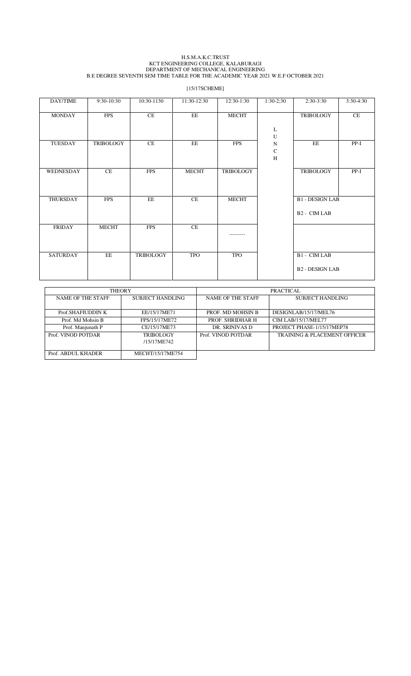#### H.S.M.A.K.C.TRUST KCT ENGINEERING COLLEGE, KALABURAGI DEPARTMENT OF MECHANICAL ENGINEERING B.E DEGREE SEVENTH SEM TIME TABLE FOR THE ACADEMIC YEAR 2021 W.E.F OCTOBER 2021

[15/17SCHEME]

| DAY/TIME        | 9:30-10:30       | 10:30-1130       | 11:30-12:30  | 12:30-1:30       | $1:30-2;30$              | $2:30-3:30$              | 3:30-4:30 |
|-----------------|------------------|------------------|--------------|------------------|--------------------------|--------------------------|-----------|
| <b>MONDAY</b>   | <b>FPS</b>       | CE               | EE           | <b>MECHT</b>     |                          | <b>TRIBOLOGY</b>         | CE        |
|                 |                  |                  |              |                  | L<br>U                   |                          |           |
| TUESDAY         | <b>TRIBOLOGY</b> | CE               | EE           | <b>FPS</b>       | $\mathbf N$<br>${\bf C}$ | EE                       | $PP-I$    |
|                 |                  |                  |              |                  | H                        |                          |           |
| WEDNESDAY       | CE               | <b>FPS</b>       | <b>MECHT</b> | <b>TRIBOLOGY</b> |                          | <b>TRIBOLOGY</b>         | $PP-I$    |
|                 |                  |                  |              |                  |                          |                          |           |
| THURSDAY        | <b>FPS</b>       | EE               | CE           | <b>MECHT</b>     |                          | <b>B1 - DESIGN LAB</b>   |           |
|                 |                  |                  |              |                  |                          | B <sub>2</sub> - CIM LAB |           |
| <b>FRIDAY</b>   | <b>MECHT</b>     | <b>FPS</b>       | CE           | -------          |                          |                          |           |
|                 |                  |                  |              |                  |                          |                          |           |
| <b>SATURDAY</b> | EE               | <b>TRIBOLOGY</b> | <b>TPO</b>   | <b>TPO</b>       |                          | B1 - CIM LAB             |           |
|                 |                  |                  |              |                  |                          | <b>B2 - DESIGN LAB</b>   |           |

|                                       | <b>THEORY</b>    |                          | <b>PRACTICAL</b>                        |  |  |  |  |
|---------------------------------------|------------------|--------------------------|-----------------------------------------|--|--|--|--|
| NAME OF THE STAFF<br>SUBJECT HANDLING |                  | <b>NAME OF THE STAFF</b> | SUBJECT HANDLING                        |  |  |  |  |
|                                       |                  |                          |                                         |  |  |  |  |
| Prof.SHAFIUDDIN K                     | EE/15/17ME71     | PROF. MD MOHSIN B        | DESIGNLAB/15/17/MEL76                   |  |  |  |  |
| Prof. Md Mohsin B                     | FPS/15/17ME72    | PROF. SHRIDHAR H         | CIM LAB/15/17/MEL77                     |  |  |  |  |
| Prof. Manjunath P                     | CE/15/17ME73     | DR. SRINIVAS D           | PROJECT PHASE-1/15/17MEP78              |  |  |  |  |
| Prof. VINOD POTDAR                    | <b>TRIBOLOGY</b> | Prof. VINOD POTDAR       | <b>TRAINING &amp; PLACEMENT OFFICER</b> |  |  |  |  |
|                                       | /15/17ME742      |                          |                                         |  |  |  |  |
|                                       |                  |                          |                                         |  |  |  |  |
| Prof. ABDUL KHADER                    | MECHT/15/17ME754 |                          |                                         |  |  |  |  |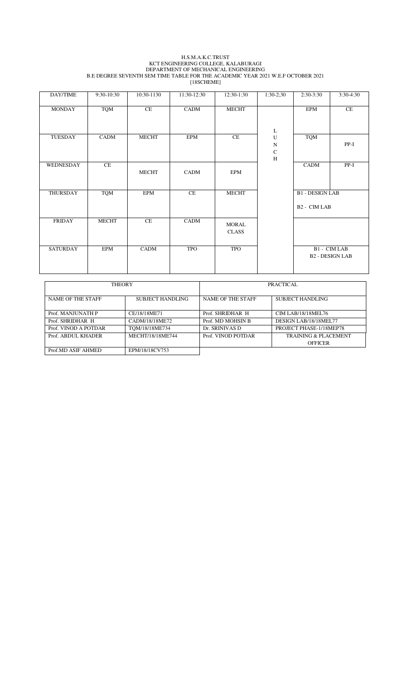#### H.S.M.A.K.C.TRUST KCT ENGINEERING COLLEGE, KALABURAGI DEPARTMENT OF MECHANICAL ENGINEERING B.E DEGREE SEVENTH SEM TIME TABLE FOR THE ACADEMIC YEAR 2021 W.E.F OCTOBER 2021 [18SCHEME]

| DAY/TIME        | 9:30-10:30   | 10:30-1130   | 11:30-12:30 | 12:30-1:30                   | $1:30-2;30$                           | $2:30-3:30$                                        | 3:30-4:30                              |
|-----------------|--------------|--------------|-------------|------------------------------|---------------------------------------|----------------------------------------------------|----------------------------------------|
| <b>MONDAY</b>   | <b>TQM</b>   | CE           | CADM        | <b>MECHT</b>                 |                                       | <b>EPM</b>                                         | CE                                     |
|                 |              |              |             |                              | L                                     |                                                    |                                        |
| TUESDAY         | CADM         | <b>MECHT</b> | EPM         | CE                           | U<br>${\bf N}$<br>${\bf C}$<br>$\,$ H | <b>TQM</b>                                         | $PP-I$                                 |
| WEDNESDAY       | CE           | <b>MECHT</b> | CADM        | <b>EPM</b>                   |                                       | CADM                                               | $PP-I$                                 |
| THURSDAY        | <b>TQM</b>   | EPM          | CE          | <b>MECHT</b>                 |                                       | <b>B1 - DESIGN LAB</b><br>B <sub>2</sub> - CIM LAB |                                        |
| <b>FRIDAY</b>   | <b>MECHT</b> | CE           | CADM        | <b>MORAL</b><br><b>CLASS</b> |                                       |                                                    |                                        |
| <b>SATURDAY</b> | <b>EPM</b>   | CADM         | <b>TPO</b>  | <b>TPO</b>                   |                                       |                                                    | B1 - CIM LAB<br><b>B2 - DESIGN LAB</b> |

| <b>THEORY</b>        |                  | PRACTICAL          |                                 |  |  |  |
|----------------------|------------------|--------------------|---------------------------------|--|--|--|
|                      |                  |                    |                                 |  |  |  |
|                      |                  |                    |                                 |  |  |  |
| NAME OF THE STAFF    | SUBJECT HANDLING | NAME OF THE STAFF  | <b>SUBJECT HANDLING</b>         |  |  |  |
|                      |                  |                    |                                 |  |  |  |
|                      |                  |                    |                                 |  |  |  |
| Prof. MANJUNATH P    | CE/18/18ME71     | Prof. SHRIDHAR H   | CIM LAB/18/18MEL76              |  |  |  |
|                      |                  |                    |                                 |  |  |  |
| Prof. SHRIDHAR H     | CADM/18/18ME72   | Prof. MD MOHSIN B  | DESIGN LAB/18/18MEL77           |  |  |  |
| Prof. VINOD A POTDAR | TOM/18/18ME734   | Dr. SRINIVAS D     | PROJECT PHASE-1/18MEP78         |  |  |  |
|                      |                  |                    |                                 |  |  |  |
| Prof. ABDUL KHADER   | MECHT/18/18ME744 | Prof. VINOD POTDAR | <b>TRAINING &amp; PLACEMENT</b> |  |  |  |
|                      |                  |                    | <b>OFFICER</b>                  |  |  |  |
|                      |                  |                    |                                 |  |  |  |
| Prof.MD ASIF AHMED   | EPM/18/18CV753   |                    |                                 |  |  |  |
|                      |                  |                    |                                 |  |  |  |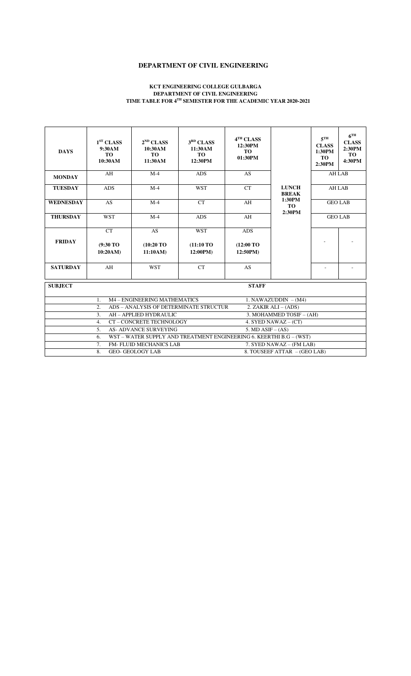#### **DEPARTMENT OF CIVIL ENGINEERING**

#### **KCT ENGINEERING COLLEGE GULBARGA DEPARTMENT OF CIVIL ENGINEERING TIME TABLE FOR 4TH SEMESTER FOR THE ACADEMIC YEAR 2020-2021**

| <b>DAYS</b>      | 1 <sup>ST</sup> CLASS<br>9:30AM<br><b>TO</b><br>10:30AM | $2^{ND}$ CLASS<br>10:30AM<br>TO.<br>11:30AM                         | 3 <sup>RD</sup> CLASS<br>11:30AM<br>TO.<br>12:30PM | 4 <sup>TH</sup> CLASS<br>12:30PM<br><b>TO</b><br>01:30PM |                              | $5$ TH<br><b>CLASS</b><br>1:30PM<br>TO-<br>2:30PM | $6$ <sup>TH</sup><br><b>CLASS</b><br>2:30PM<br><b>TO</b><br>4:30PM |
|------------------|---------------------------------------------------------|---------------------------------------------------------------------|----------------------------------------------------|----------------------------------------------------------|------------------------------|---------------------------------------------------|--------------------------------------------------------------------|
| <b>MONDAY</b>    | AH                                                      | $M-4$                                                               | <b>ADS</b>                                         | <b>AS</b>                                                |                              | <b>AH LAB</b>                                     |                                                                    |
| <b>TUESDAY</b>   | <b>ADS</b>                                              | $M-4$                                                               | <b>WST</b>                                         | CT                                                       | <b>LUNCH</b><br><b>BREAK</b> | <b>AH LAB</b>                                     |                                                                    |
| <b>WEDNESDAY</b> | <b>AS</b>                                               | $M-4$                                                               | <b>CT</b>                                          | AH                                                       | 1:30PM<br><b>TO</b>          | <b>GEO LAB</b>                                    |                                                                    |
| <b>THURSDAY</b>  | <b>WST</b>                                              | $M-4$                                                               | <b>ADS</b>                                         | AH                                                       | 2:30PM<br><b>GEO LAB</b>     |                                                   |                                                                    |
| <b>FRIDAY</b>    | CT<br>$(9:30)$ TO<br>10:20AM)                           | <b>AS</b><br>$(10:20)$ TO<br>11:10AM                                | <b>WST</b><br>$(11:10)$ TO<br>12:00PM)             | <b>ADS</b><br>(12:00 TO)<br>12:50PM)                     |                              |                                                   |                                                                    |
| <b>SATURDAY</b>  | AH                                                      | <b>WST</b>                                                          | CT                                                 | AS                                                       |                              | $\overline{\phantom{a}}$                          |                                                                    |
| <b>SUBJECT</b>   |                                                         |                                                                     |                                                    | <b>STAFF</b>                                             |                              |                                                   |                                                                    |
|                  | $\mathbf{1}$ .                                          | M4 - ENGINEERING MATHEMATICS                                        |                                                    |                                                          | 1. NAWAZUDDIN $- (M4)$       |                                                   |                                                                    |
|                  | 2.                                                      | ADS - ANALYSIS OF DETERMINATE STRUCTUR                              |                                                    |                                                          | 2. ZAKIR ALI – (ADS)         |                                                   |                                                                    |
|                  | 3.                                                      | AH - APPLIED HYDRAULIC                                              |                                                    |                                                          | 3. MOHAMMED TOSIF - (AH)     |                                                   |                                                                    |
|                  | $\overline{4}$ .                                        | CT-CONCRETE TECHNOLOGY                                              |                                                    |                                                          | 4. SYED NAWAZ $-$ (CT)       |                                                   |                                                                    |
|                  | 5 <sub>1</sub>                                          | <b>AS- ADVANCE SURVEYING</b>                                        |                                                    | 5. MD $ASIF - (AS)$                                      |                              |                                                   |                                                                    |
|                  | 6.                                                      | WST - WATER SUPPLY AND TREATMENT ENGINEERING 6. KEERTHI B.G - (WST) |                                                    |                                                          |                              |                                                   |                                                                    |
|                  | 7.                                                      | <b>FM-FLUID MECHANICS LAB</b>                                       |                                                    |                                                          | 7. SYED NAWAZ - (FM LAB)     |                                                   |                                                                    |
|                  | 8.                                                      | <b>GEO- GEOLOGY LAB</b>                                             |                                                    |                                                          | 8. TOUSEEF ATTAR - (GEO LAB) |                                                   |                                                                    |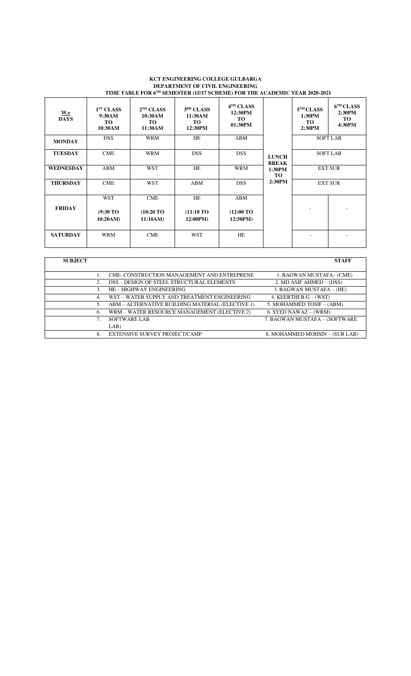#### **KCT ENGINEERING COLLEGE GULBARGA DEPARTMENT OF CIVIL ENGINEERING TIME TABLE FOR 6TH SEMESTER (15/17 SCHEME) FOR THE ACADEMIC YEAR 2020-2021**

| <u>W.e</u><br><b>DAYS</b> | 1 <sup>ST</sup> CLASS<br>9:30AM<br><b>TO</b><br>10:30AM | $2^{ND}$ CLASS<br>10:30AM<br>TO.<br>11:30AM | 3 <sup>RD</sup> CLASS<br>11:30AM<br><b>TO</b><br>12:30PM | 4 <sup>TH</sup> CLASS<br>12:30PM<br><b>TO</b><br>01:30PM |                              | 5 <sup>TH</sup> CLASS<br>1:30PM<br><b>TO</b><br>2:30PM | 6 <sup>TH</sup> CLASS<br>2:30PM<br><b>TO</b><br>4:30PM |
|---------------------------|---------------------------------------------------------|---------------------------------------------|----------------------------------------------------------|----------------------------------------------------------|------------------------------|--------------------------------------------------------|--------------------------------------------------------|
| <b>MONDAY</b>             | <b>DSS</b>                                              | <b>WRM</b>                                  | HE                                                       | ABM                                                      |                              |                                                        | <b>SOFT LAB</b>                                        |
| <b>TUESDAY</b>            | CME                                                     | <b>WRM</b>                                  | <b>DSS</b>                                               | <b>DSS</b>                                               | <b>LUNCH</b><br><b>BREAK</b> |                                                        | <b>SOFT LAB</b>                                        |
| <b>WEDNESDAY</b>          | ABM                                                     | <b>WST</b>                                  | HE                                                       | <b>WRM</b>                                               | 1:30PM<br><b>TO</b>          |                                                        | <b>EXT SUR</b>                                         |
| <b>THURSDAY</b>           | <b>CME</b>                                              | <b>WST</b>                                  | ABM                                                      | <b>DSS</b>                                               | 2:30PM                       |                                                        | <b>EXT SUR</b>                                         |
| <b>FRIDAY</b>             | <b>WST</b><br>$(9:30)$ TO<br>10:20AM)                   | CME<br>$(10:20)$ TO<br>11:10AM)             | HE<br>(11:10 T <sub>O</sub> )<br>12:00PM)                | ABM<br>$(12:00 \text{ TO})$<br>12:50PM)                  |                              |                                                        |                                                        |
| <b>SATURDAY</b>           | <b>WRM</b>                                              | <b>CME</b>                                  | <b>WST</b>                                               | HE                                                       |                              |                                                        |                                                        |

| <b>SUBJECT</b> |                                                   | <b>STAFF</b>                   |
|----------------|---------------------------------------------------|--------------------------------|
|                |                                                   |                                |
|                | <b>CME-CONSTRUCTION MANAGEMENT AND ENTREPRENE</b> | 1. BAGWAN MUSTAFA- (CME)       |
| 2.             | DSS - DESIGN OF STEEL STRUCTURAL ELEMENTS         | 2. MD ASIF AHMED - (DSS)       |
| 3.             | HE - HIGHWAY ENGINEERING                          | 3. BAGWAN MUSTAFA - (HE)       |
| 4.             | WST - WATER SUPPLY AND TREATMENT ENGINEERING      | 4. KEERTHI B.G $-$ (WST)       |
| 5.             | ABM - ALTERNATIVE BUILDING MATERIAL (ELECTIVE 1)  | 5. MOHAMMED TOSIF - (ABM)      |
| 6.             | WRM - WATER RESOURCE MANAGEMENT (ELECTIVE 2)      | 6. SYED NAWAZ – (WRM)          |
|                | SOFTWARE LAB                                      | 7. BAGWAN MUSTAFA - (SOFTWARE  |
|                | LAB)                                              |                                |
| 8.             | <b>EXTENSIVE SURVEY PROJECT/CAMP</b>              | 8. MOHAMMED MOHSIN - (SUR LAB) |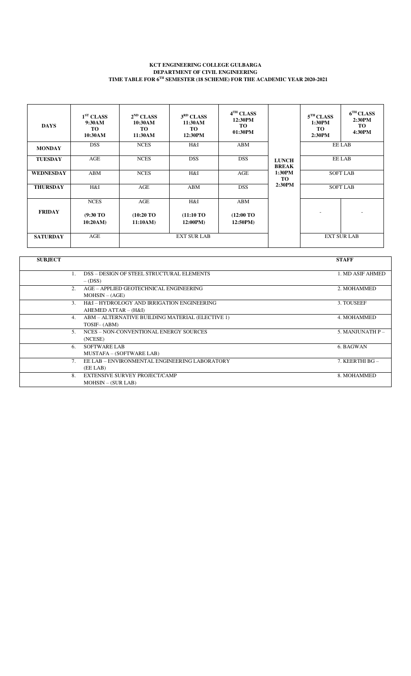#### **KCT ENGINEERING COLLEGE GULBARGA DEPARTMENT OF CIVIL ENGINEERING TIME TABLE FOR 6TH SEMESTER (18 SCHEME) FOR THE ACADEMIC YEAR 2020-2021**

| <b>DAYS</b>      | 1 <sup>ST</sup> CLASS<br>9:30AM<br>TO<br>10:30AM | $2^{ND}$ CLASS<br>10:30AM<br><b>TO</b><br>11:30AM | 3 <sup>RD</sup> CLASS<br>11:30AM<br><b>TO</b><br>12:30PM | 4 <sup>TH</sup> CLASS<br>12:30PM<br>TO<br>01:30PM |                              | $5^{\text{TH}}$ CLASS<br>1:30PM<br>TO.<br>2:30PM | 6 <sup>TH</sup> CLASS<br>2:30PM<br>TO<br>4:30PM |  |
|------------------|--------------------------------------------------|---------------------------------------------------|----------------------------------------------------------|---------------------------------------------------|------------------------------|--------------------------------------------------|-------------------------------------------------|--|
| <b>MONDAY</b>    | <b>DSS</b>                                       | <b>NCES</b>                                       | H&I                                                      | ABM                                               |                              |                                                  | EE LAB                                          |  |
| <b>TUESDAY</b>   | AGE                                              | <b>NCES</b>                                       | <b>DSS</b>                                               | <b>DSS</b>                                        | <b>LUNCH</b><br><b>BREAK</b> |                                                  | EE LAB                                          |  |
| <b>WEDNESDAY</b> | ABM                                              | <b>NCES</b>                                       | H&I                                                      | AGE                                               | 1:30PM<br><b>TO</b>          |                                                  | <b>SOFT LAB</b>                                 |  |
| <b>THURSDAY</b>  | H&I                                              | AGE                                               | ABM                                                      | <b>DSS</b>                                        | 2:30PM                       |                                                  | <b>SOFT LAB</b>                                 |  |
| <b>FRIDAY</b>    | <b>NCES</b><br>$(9:30)$ TO<br>10:20AM            | AGE<br>$(10:20)$ TO<br>11:10AM)                   | H&I<br>$(11:10 \,\mathrm{TO})$<br>12:00PM)               | ABM<br>$(12:00 \text{ TO})$<br>12:50PM)           |                              |                                                  |                                                 |  |
| <b>SATURDAY</b>  | AGE                                              |                                                   | <b>EXT SUR LAB</b>                                       |                                                   |                              |                                                  | <b>EXT SUR LAB</b>                              |  |

| <b>SUBJECT</b> |                                                  | <b>STAFF</b>     |
|----------------|--------------------------------------------------|------------------|
|                |                                                  |                  |
|                | DSS - DESIGN OF STEEL STRUCTURAL ELEMENTS        | 1. MD ASIF AHMED |
|                | $-(DSS)$                                         |                  |
| 2.             | AGE - APPLIED GEOTECHNICAL ENGINEERING           | 2. MOHAMMED      |
|                | $MOHSIN - (AGE)$                                 |                  |
| $\mathcal{F}$  | H&I-HYDROLOGY AND IRRIGATION ENGINEERING         | 3. TOUSEEF       |
|                | AHEMED ATTAR - (H&I)                             |                  |
| 4.             | ABM – ALTERNATIVE BUILDING MATERIAL (ELECTIVE 1) | 4. MOHAMMED      |
|                | TOSIF-(ABM)                                      |                  |
| 5 <sub>1</sub> | NCES – NON-CONVENTIONAL ENERGY SOURCES           | 5. MANJUNATH P-  |
|                | (NCESE)                                          |                  |
| 6.             | SOFTWARE LAB                                     | 6. BAGWAN        |
|                | MUSTAFA – (SOFTWARE LAB)                         |                  |
|                | EE LAB - ENVIRONMENTAL ENGINEERING LABORATORY    | 7. KEERTHI BG-   |
|                | (EE LAB)                                         |                  |
| 8.             | <b>EXTENSIVE SURVEY PROJECT/CAMP</b>             | 8. MOHAMMED      |
|                | $MOHSIM - (SUR LAB)$                             |                  |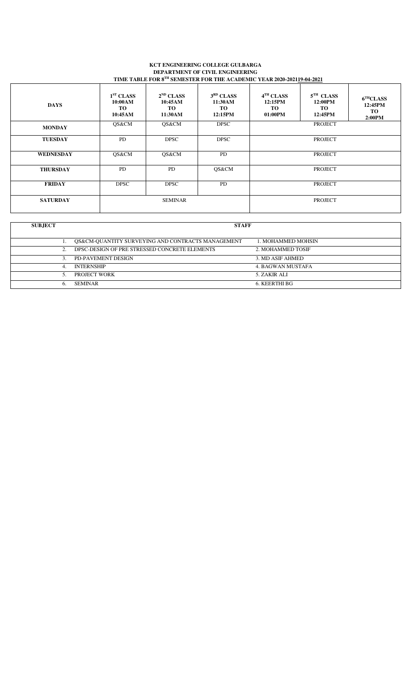#### **KCT ENGINEERING COLLEGE GULBARGA DEPARTMENT OF CIVIL ENGINEERING TIME TABLE FOR 8TH SEMESTER FOR THE ACADEMIC YEAR 2020-202119-04-2021**

| <b>DAYS</b>      | 1 <sup>ST</sup> CLASS<br>10:00AM<br>TO<br>10:45AM | $2^{ND}$ CLASS<br>10:45AM<br>TO.<br>11:30AM | 3 <sup>RD</sup> CLASS<br>11:30AM<br>TO<br>12:15PM | 4 <sup>TH</sup> CLASS<br>12:15PM<br><b>TO</b><br>01:00PM | $5TH$ CLASS<br>12:00PM<br>TO.<br>12:45PM | 6 <sup>TH</sup> CLASS<br>12:45PM<br>TO<br>2:00PM |  |
|------------------|---------------------------------------------------|---------------------------------------------|---------------------------------------------------|----------------------------------------------------------|------------------------------------------|--------------------------------------------------|--|
| <b>MONDAY</b>    | QS&CM                                             | QS&CM                                       | <b>DPSC</b>                                       | <b>PROJECT</b>                                           |                                          |                                                  |  |
| <b>TUESDAY</b>   | <b>PD</b>                                         | <b>DPSC</b>                                 | <b>DPSC</b>                                       | <b>PROJECT</b>                                           |                                          |                                                  |  |
| <b>WEDNESDAY</b> | QS&CM                                             | QS&CM                                       | <b>PD</b>                                         | PROJECT                                                  |                                          |                                                  |  |
| <b>THURSDAY</b>  | PD                                                | <b>PD</b>                                   | QS&CM                                             | <b>PROJECT</b>                                           |                                          |                                                  |  |
| <b>FRIDAY</b>    | <b>DPSC</b>                                       | <b>DPSC</b>                                 | <b>PD</b>                                         | <b>PROJECT</b>                                           |                                          |                                                  |  |
| <b>SATURDAY</b>  | <b>SEMINAR</b>                                    |                                             |                                                   | <b>PROJECT</b>                                           |                                          |                                                  |  |

| <b>SUBJECT</b> |    | <b>STAFF</b>                                      |                    |  |  |  |  |  |  |
|----------------|----|---------------------------------------------------|--------------------|--|--|--|--|--|--|
|                |    | QS&CM-QUANTITY SURVEYING AND CONTRACTS MANAGEMENT | 1. MOHAMMED MOHSIN |  |  |  |  |  |  |
|                |    | DPSC-DESIGN OF PRE STRESSED CONCRETE ELEMENTS     | 2. MOHAMMED TOSIF  |  |  |  |  |  |  |
|                | 3. | PD-PAVEMENT DESIGN                                | 3. MD ASIF AHMED   |  |  |  |  |  |  |
|                | 4. | <b>INTERNSHIP</b>                                 | 4. BAGWAN MUSTAFA  |  |  |  |  |  |  |
|                | 5. | PROJECT WORK                                      | 5. ZAKIR ALI       |  |  |  |  |  |  |
|                | b. | <b>SEMINAR</b>                                    | 6. KEERTHI BG      |  |  |  |  |  |  |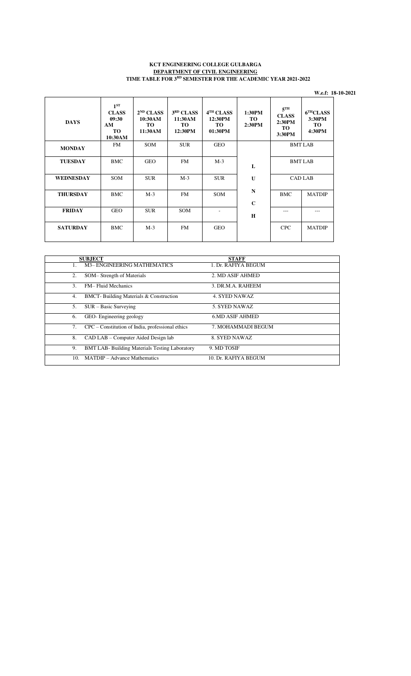#### **KCT ENGINEERING COLLEGE GULBARGA DEPARTMENT OF CIVIL ENGINEERING TIME TABLE FOR 3RD SEMESTER FOR THE ACADEMIC YEAR 2021-2022**

 **W.e.f: 18-10-2021** 

| <b>DAYS</b>      | $1^{ST}$<br><b>CLASS</b><br>09:30<br>AM<br><b>TO</b><br>10:30AM | $2^{ND}$ CLASS<br>10:30AM<br><b>TO</b><br>11:30AM | 3 <sup>RD</sup> CLASS<br>11:30AM<br><b>TO</b><br>12:30PM | 4 <sup>TH</sup> CLASS<br>12:30PM<br><b>TO</b><br>01:30PM | 1:30PM<br><b>TO</b><br>2:30PM | $5$ <sup>TH</sup><br><b>CLASS</b><br>2:30PM<br><b>TO</b><br>3:30PM | 6 <sup>TH</sup> CLASS<br>3:30PM<br><b>TO</b><br>4:30PM |
|------------------|-----------------------------------------------------------------|---------------------------------------------------|----------------------------------------------------------|----------------------------------------------------------|-------------------------------|--------------------------------------------------------------------|--------------------------------------------------------|
| <b>MONDAY</b>    | <b>FM</b>                                                       | <b>SOM</b>                                        | <b>SUR</b>                                               | <b>GEO</b>                                               |                               |                                                                    | <b>BMT LAB</b>                                         |
| <b>TUESDAY</b>   | <b>BMC</b>                                                      | <b>GEO</b>                                        | FM                                                       | $M-3$                                                    | L                             |                                                                    | <b>BMT LAB</b>                                         |
| <b>WEDNESDAY</b> | <b>SOM</b>                                                      | <b>SUR</b>                                        | $M-3$                                                    | <b>SUR</b>                                               | $\mathbf{U}$                  |                                                                    | <b>CAD LAB</b>                                         |
| <b>THURSDAY</b>  | <b>BMC</b>                                                      | $M-3$                                             | <b>FM</b>                                                | <b>SOM</b>                                               | $\mathbf N$<br>$\mathbf C$    | <b>BMC</b>                                                         | <b>MATDIP</b>                                          |
| <b>FRIDAY</b>    | <b>GEO</b>                                                      | <b>SUR</b>                                        | <b>SOM</b>                                               |                                                          | H                             |                                                                    | ---                                                    |
| <b>SATURDAY</b>  | <b>BMC</b>                                                      | $M-3$                                             | <b>FM</b>                                                | <b>GEO</b>                                               |                               | <b>CPC</b>                                                         | <b>MATDIP</b>                                          |

|               | <b>SUBJECT</b>                                        | <b>STAFF</b>           |
|---------------|-------------------------------------------------------|------------------------|
|               | <b>M3-ENGINEERING MATHEMATICS</b>                     | 1. Dr. RAFIYA BEGUM    |
| 2.            | SOM-Strength of Materials                             | 2. MD ASIF AHMED       |
| $\mathcal{F}$ | <b>FM-Fluid Mechanics</b>                             | 3. DR.M.A. RAHEEM      |
| 4.            | <b>BMCT-</b> Building Materials & Construction        | 4. SYED NAWAZ          |
| 5.            | $SUR - Basic Surveying$                               | 5. SYED NAWAZ          |
| 6.            | GEO-Engineering geology                               | <b>6.MD ASIF AHMED</b> |
| 7.            | CPC – Constitution of India, professional ethics      | 7. MOHAMMADI BEGUM     |
| 8.            | CAD LAB - Computer Aided Design lab                   | 8. SYED NAWAZ          |
| 9.            | <b>BMT LAB- Building Materials Testing Laboratory</b> | 9. MD TOSIF            |
| 10.           | <b>MATDIP</b> – Advance Mathematics                   | 10. Dr. RAFIYA BEGUM   |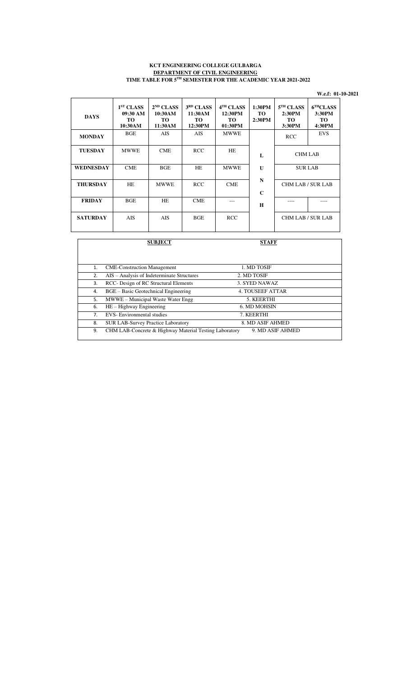#### **KCT ENGINEERING COLLEGE GULBARGA DEPARTMENT OF CIVIL ENGINEERING TIME TABLE FOR 5TH SEMESTER FOR THE ACADEMIC YEAR 2021-2022**

|                  |                                                           |                                                   |                                                          |                                                          |                               |                                                        | W.e.f: 01-10-2021                               |
|------------------|-----------------------------------------------------------|---------------------------------------------------|----------------------------------------------------------|----------------------------------------------------------|-------------------------------|--------------------------------------------------------|-------------------------------------------------|
| <b>DAYS</b>      | 1 <sup>ST</sup> CLASS<br>09:30 AM<br><b>TO</b><br>10:30AM | $2^{ND}$ CLASS<br>10:30AM<br><b>TO</b><br>11:30AM | 3 <sup>RD</sup> CLASS<br>11:30AM<br><b>TO</b><br>12:30PM | 4 <sup>TH</sup> CLASS<br>12:30PM<br><b>TO</b><br>01:30PM | 1:30PM<br><b>TO</b><br>2:30PM | 5 <sup>TH</sup> CLASS<br>2:30PM<br><b>TO</b><br>3:30PM | $6^{\text{TH}}$ CLASS<br>3:30PM<br>TO<br>4:30PM |
| <b>MONDAY</b>    | <b>BGE</b>                                                | <b>AIS</b>                                        | <b>AIS</b>                                               | <b>MWWE</b>                                              |                               | <b>RCC</b>                                             | <b>EVS</b>                                      |
| <b>TUESDAY</b>   | <b>MWWE</b>                                               | <b>CME</b>                                        | <b>RCC</b>                                               | HE                                                       | L                             | <b>CHM LAB</b>                                         |                                                 |
| <b>WEDNESDAY</b> | <b>CME</b>                                                | <b>BGE</b>                                        | HE                                                       | <b>MWWE</b>                                              | U                             | <b>SUR LAB</b>                                         |                                                 |
| <b>THURSDAY</b>  | HE                                                        | <b>MWWE</b>                                       | <b>RCC</b>                                               | <b>CME</b>                                               | $\mathbf N$<br>$\mathbf C$    | CHM LAB / SUR LAB                                      |                                                 |
| <b>FRIDAY</b>    | <b>BGE</b>                                                | HE                                                | <b>CME</b>                                               |                                                          | H                             |                                                        |                                                 |
| <b>SATURDAY</b>  | <b>AIS</b>                                                | <b>AIS</b>                                        | BGE                                                      | <b>RCC</b>                                               |                               | <b>CHM LAB / SUR LAB</b>                               |                                                 |
|                  |                                                           | <b>CHD IECT</b>                                   |                                                          |                                                          | <b>CTALE</b>                  |                                                        |                                                 |

|    | <b>SUBJECT</b>                                         | <b>STAFF</b>            |  |
|----|--------------------------------------------------------|-------------------------|--|
|    |                                                        |                         |  |
| 1. | <b>CME-Construction Management</b>                     | 1. MD TOSIF             |  |
| 2. | AIS - Analysis of Indeterminate Structures             | 2. MD TOSIF             |  |
| 3. | RCC- Design of RC Structural Elements                  | 3. SYED NAWAZ           |  |
| 4. | BGE – Basic Geotechnical Engineering                   | <b>4. TOUSEEF ATTAR</b> |  |
| 5. | MWWE - Municipal Waste Water Engg                      | 5. KEERTHI              |  |
| 6. | $HE - Highway Engineering$                             | 6. MD MOHSIN            |  |
| 7. | <b>EVS-</b> Environmental studies                      | 7. KEERTHI              |  |
| 8. | <b>SUR LAB-Survey Practice Laboratory</b>              | 8. MD ASIF AHMED        |  |
| 9. | CHM LAB-Concrete & Highway Material Testing Laboratory | 9. MD ASIF AHMED        |  |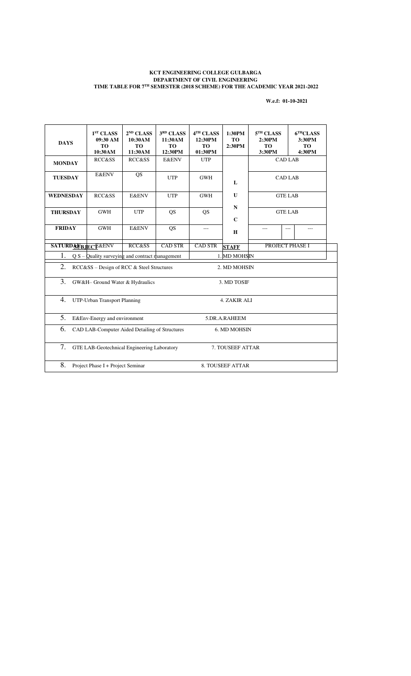#### **KCT ENGINEERING COLLEGE GULBARGA DEPARTMENT OF CIVIL ENGINEERING TIME TABLE FOR 7TH SEMESTER (2018 SCHEME) FOR THE ACADEMIC YEAR 2021-2022**

**W.e.f: 01-10-2021** 

| <b>DAYS</b>                                                           | 1 <sup>ST</sup> CLASS<br>$09:30$ AM<br><b>TO</b><br>10:30AM | $2^{ND}$ CLASS<br>10:30AM<br><b>TO</b><br>11:30AM | 3RD CLASS<br>11:30AM<br><b>TO</b><br>12:30PM | 4TH CLASS<br>12:30PM<br><b>TO</b><br>01:30PM | 1:30PM<br><b>TO</b><br>2:30PM | 5 <sup>TH</sup> CLASS<br>2:30PM<br><b>TO</b><br>3:30PM | 6 <sup>TH</sup> CLASS<br>3:30PM<br><b>TO</b><br>4:30PM |  |
|-----------------------------------------------------------------------|-------------------------------------------------------------|---------------------------------------------------|----------------------------------------------|----------------------------------------------|-------------------------------|--------------------------------------------------------|--------------------------------------------------------|--|
| <b>MONDAY</b>                                                         | <b>RCC&amp;SS</b>                                           | <b>RCC&amp;SS</b>                                 | <b>E&amp;ENV</b>                             | <b>UTP</b>                                   |                               | <b>CAD LAB</b>                                         |                                                        |  |
| <b>TUESDAY</b>                                                        | <b>E&amp;ENV</b>                                            | QS                                                | <b>UTP</b>                                   | <b>GWH</b>                                   | $\mathbf{L}$                  | <b>CAD LAB</b>                                         |                                                        |  |
| <b>WEDNESDAY</b>                                                      | <b>RCC&amp;SS</b>                                           | <b>E&amp;ENV</b>                                  | <b>UTP</b>                                   | <b>GWH</b>                                   | $\mathbf{U}$                  | <b>GTE LAB</b>                                         |                                                        |  |
| <b>THURSDAY</b>                                                       | <b>GWH</b>                                                  | <b>UTP</b>                                        | <b>QS</b>                                    | QS                                           | ${\bf N}$<br>$\mathbf C$      | <b>GTE LAB</b>                                         |                                                        |  |
| <b>FRIDAY</b>                                                         | <b>GWH</b>                                                  | <b>E&amp;ENV</b>                                  | <b>QS</b>                                    | ---                                          | H                             | ---                                                    | ---<br>---                                             |  |
| <b>SATURDAVBJECT&amp;ENV</b>                                          |                                                             | RCC&SS                                            | <b>CAD STR</b>                               | CAD STR                                      | <b>STAFF</b>                  | PROJECT PHASE I                                        |                                                        |  |
| 1.                                                                    | $Q S -$ Quality surveying and contract management           |                                                   |                                              |                                              | 1. MD MOHSIN                  |                                                        |                                                        |  |
| 2.                                                                    | RCC&SS - Design of RCC & Steel Structures                   |                                                   |                                              |                                              | 2. MD MOHSIN                  |                                                        |                                                        |  |
| 3.                                                                    | GW&H- Ground Water & Hydraulics                             |                                                   |                                              |                                              | 3. MD TOSIF                   |                                                        |                                                        |  |
| 4.                                                                    | UTP-Urban Transport Planning                                |                                                   |                                              |                                              | 4. ZAKIR ALI                  |                                                        |                                                        |  |
| 5.                                                                    | E&Env-Energy and environment                                |                                                   |                                              |                                              | 5.DR.A.RAHEEM                 |                                                        |                                                        |  |
| 6.<br>CAD LAB-Computer Aided Detailing of Structures<br>6. MD MOHSIN  |                                                             |                                                   |                                              |                                              |                               |                                                        |                                                        |  |
| 7.<br>GTE LAB-Geotechnical Engineering Laboratory<br>7. TOUSEEF ATTAR |                                                             |                                                   |                                              |                                              |                               |                                                        |                                                        |  |
| 8.                                                                    | Project Phase I + Project Seminar<br>8. TOUSEEF ATTAR       |                                                   |                                              |                                              |                               |                                                        |                                                        |  |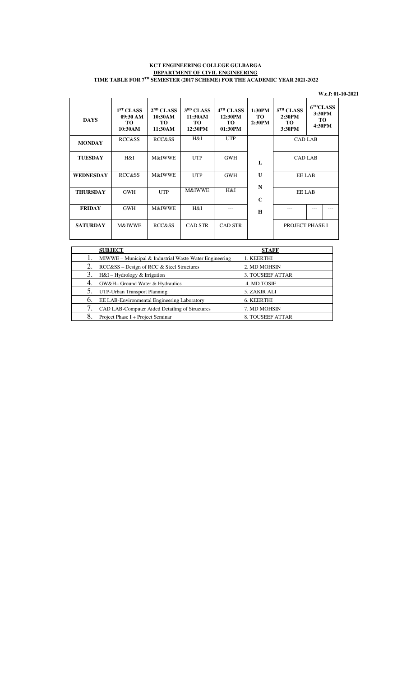#### **KCT ENGINEERING COLLEGE GULBARGA DEPARTMENT OF CIVIL ENGINEERING TIME TABLE FOR 7TH SEMESTER (2017 SCHEME) FOR THE ACADEMIC YEAR 2021-2022**

|                  |                                                     |                                                   |                                                          |                                                    |                         |                                                        |                                                        | W.e.f: 01-10-2021 |
|------------------|-----------------------------------------------------|---------------------------------------------------|----------------------------------------------------------|----------------------------------------------------|-------------------------|--------------------------------------------------------|--------------------------------------------------------|-------------------|
| <b>DAYS</b>      | 1 <sup>ST</sup> CLASS<br>09:30 AM<br>TO.<br>10:30AM | $2^{ND}$ CLASS<br>10:30AM<br><b>TO</b><br>11:30AM | 3 <sup>RD</sup> CLASS<br>11:30AM<br><b>TO</b><br>12:30PM | 4 <sup>TH</sup> CLASS<br>12:30PM<br>TO.<br>01:30PM | 1:30PM<br>TO.<br>2:30PM | 5 <sup>TH</sup> CLASS<br>2:30PM<br><b>TO</b><br>3:30PM | 6 <sup>TH</sup> CLASS<br>3:30PM<br><b>TO</b><br>4:30PM |                   |
| <b>MONDAY</b>    | RCC&SS                                              | <b>RCC&amp;SS</b>                                 | H&I                                                      | <b>UTP</b>                                         |                         | <b>CAD LAB</b>                                         |                                                        |                   |
| <b>TUESDAY</b>   | H&I                                                 | M&IWWE                                            | <b>UTP</b>                                               | <b>GWH</b>                                         | L                       | <b>CAD LAB</b>                                         |                                                        |                   |
| <b>WEDNESDAY</b> | RCC&SS                                              | M&IWWE                                            | <b>UTP</b>                                               | <b>GWH</b>                                         | $\mathbf{U}$            | EE LAB                                                 |                                                        |                   |
| <b>THURSDAY</b>  | <b>GWH</b>                                          | <b>UTP</b>                                        | M&IWWE                                                   | H&I                                                | N<br>$\mathbf C$        | <b>EE LAB</b>                                          |                                                        |                   |
| <b>FRIDAY</b>    | <b>GWH</b>                                          | <b>M&amp;IWWE</b>                                 | H&I                                                      | ---                                                | H                       | ---                                                    |                                                        |                   |
| <b>SATURDAY</b>  | <b>M&amp;IWWE</b>                                   | <b>RCC&amp;SS</b>                                 | <b>CAD STR</b>                                           | <b>CAD STR</b>                                     |                         | PROJECT PHASE I                                        |                                                        |                   |

|    | <b>SUBJECT</b>                                         | <b>STAFF</b>     |
|----|--------------------------------------------------------|------------------|
|    | MIWWE – Municipal & Industrial Waste Water Engineering | 1. KEERTHI       |
| 2. | RCC&SS - Design of RCC & Steel Structures              | 2. MD MOHSIN     |
| 3. | H&I - Hydrology & Irrigation                           | 3. TOUSEEF ATTAR |
| 4. | GW&H- Ground Water & Hydraulics                        | 4. MD TOSIF      |
| 5. | UTP-Urban Transport Planning                           | 5. ZAKIR ALI     |
| 6. | EE LAB-Environmental Engineering Laboratory            | 6. KEERTHI       |
|    | CAD LAB-Computer Aided Detailing of Structures         | 7. MD MOHSIN     |
|    | Project Phase I + Project Seminar                      | 8. TOUSEEF ATTAR |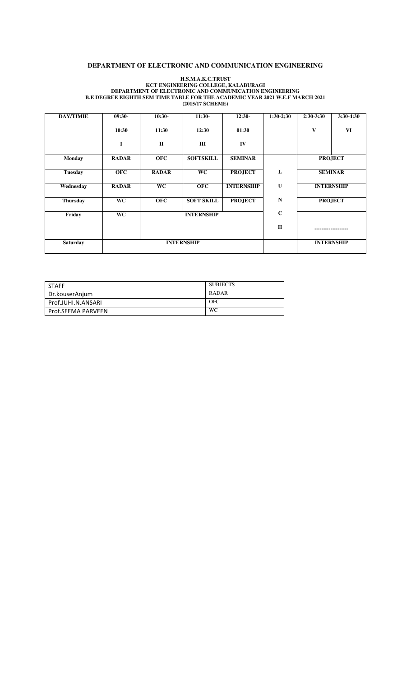#### **DEPARTMENT OF ELECTRONIC AND COMMUNICATION ENGINEERING**

#### **H.S.M.A.K.C.TRUST KCT ENGINEERING COLLEGE, KALABURAGI DEPARTMENT OF ELECTRONIC AND COMMUNICATION ENGINEERING B.E DEGREE EIGHTH SEM TIME TABLE FOR THE ACADEMIC YEAR 2021 W.E.F MARCH 2021 (2015/17 SCHEME)**

| <b>DAY/TIMIE</b> | $09:30-$     | $10:30-$          | $11:30-$          | $12:30-$          | $1:30-2;30$       | $2:30-3:30$        | $3:30-4:30$    |
|------------------|--------------|-------------------|-------------------|-------------------|-------------------|--------------------|----------------|
|                  | 10:30        | 11:30             | 12:30             | 01:30             |                   | $\mathbf{V}$       | VI             |
|                  | I            | $\mathbf{I}$      | Ш                 | IV                |                   |                    |                |
| <b>Monday</b>    | <b>RADAR</b> | <b>OFC</b>        | <b>SOFTSKILL</b>  | <b>SEMINAR</b>    |                   |                    | <b>PROJECT</b> |
| <b>Tuesday</b>   | <b>OFC</b>   | <b>RADAR</b>      | <b>WC</b>         | <b>PROJECT</b>    | L                 | <b>SEMINAR</b>     |                |
| Wednesday        | <b>RADAR</b> | <b>WC</b>         | <b>OFC</b>        | <b>INTERNSHIP</b> | $\mathbf U$       | <b>INTERNSHIP</b>  |                |
| <b>Thursday</b>  | <b>WC</b>    | <b>OFC</b>        | <b>SOFT SKILL</b> | <b>PROJECT</b>    | N                 |                    | <b>PROJECT</b> |
| Friday           | <b>WC</b>    |                   | <b>INTERNSHIP</b> |                   | $\mathbf C$       |                    |                |
|                  |              |                   |                   |                   | H                 | ------------------ |                |
| <b>Saturday</b>  |              | <b>INTERNSHIP</b> |                   |                   | <b>INTERNSHIP</b> |                    |                |

| <b>STAFF</b>       | <b>SUBJECTS</b> |
|--------------------|-----------------|
| Dr.kouserAnjum     | <b>RADAR</b>    |
| Prof.JUHI.N.ANSARI | <b>OFC</b>      |
| Prof.SEEMA PARVEEN | WC              |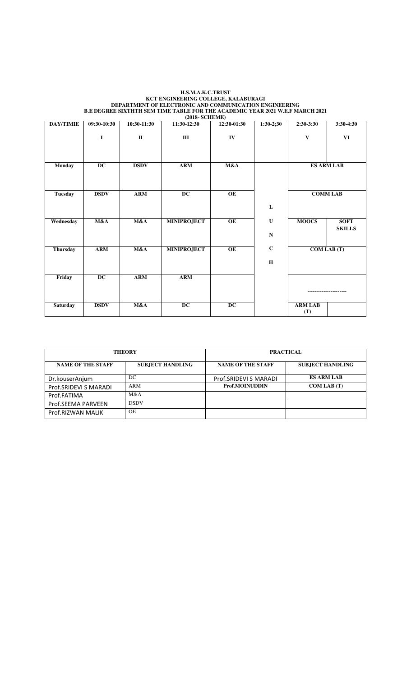#### **H.S.M.A.K.C.TRUST KCT ENGINEERING COLLEGE, KALABURAGI DEPARTMENT OF ELECTRONIC AND COMMUNICATION ENGINEERING B.E DEGREE SIXTHTH SEM TIME TABLE FOR THE ACADEMIC YEAR 2021 W.E.F MARCH 2021 (2018- SCHEME)**

| <b>DAY/TIMIE</b> | 09:30-10:30 | 10:30-11:30  | 11:30-12:30        | 12:30-01:30     | $1:30-2;30$ | 2:30-3:30             | 3:30-4:30                    |
|------------------|-------------|--------------|--------------------|-----------------|-------------|-----------------------|------------------------------|
|                  | $\bf{I}$    | $\mathbf{I}$ | Ш                  | IV              |             | V                     | VI                           |
| <b>Monday</b>    | DC          | <b>DSDV</b>  | <b>ARM</b>         | M&A             |             |                       | <b>ES ARM LAB</b>            |
|                  |             |              |                    |                 |             |                       |                              |
| <b>Tuesday</b>   | <b>DSDV</b> | <b>ARM</b>   | $\overline{DC}$    | OE              |             | <b>COMM LAB</b>       |                              |
|                  |             |              |                    |                 | L           |                       |                              |
| Wednesday        | M&A         | M&A          | <b>MINIPROJECT</b> | $\overline{OE}$ | $\mathbf U$ | <b>MOOCS</b>          | <b>SOFT</b><br><b>SKILLS</b> |
|                  |             |              |                    |                 | ${\bf N}$   |                       |                              |
| <b>Thursday</b>  | <b>ARM</b>  | M&A          | <b>MINIPROJECT</b> | $\overline{OE}$ | $\mathbf C$ |                       | COM LAB (T)                  |
|                  |             |              |                    |                 | $\mathbf H$ |                       |                              |
| Friday           | <b>DC</b>   | <b>ARM</b>   | <b>ARM</b>         |                 |             |                       |                              |
|                  |             |              |                    |                 |             |                       |                              |
| <b>Saturday</b>  | <b>DSDV</b> | M&A          | $\overline{DC}$    | $\overline{DC}$ |             | <b>ARM LAB</b><br>(T) |                              |

|                          | <b>THEORY</b>           | <b>PRACTICAL</b>         |                         |  |  |
|--------------------------|-------------------------|--------------------------|-------------------------|--|--|
| <b>NAME OF THE STAFF</b> | <b>SUBJECT HANDLING</b> | <b>NAME OF THE STAFF</b> | <b>SUBJECT HANDLING</b> |  |  |
| Dr.kouserAnjum           | DC                      | Prof.SRIDEVI S MARADI    | <b>ES ARM LAB</b>       |  |  |
| Prof.SRIDEVI S MARADI    | ARM                     | Prof.MOINUDDIN           | <b>COM LAB</b> (T)      |  |  |
| Prof.FATIMA              | M&A                     |                          |                         |  |  |
| Prof.SEEMA PARVEEN       | <b>DSDV</b>             |                          |                         |  |  |
| Prof.RIZWAN MALIK        | <b>OE</b>               |                          |                         |  |  |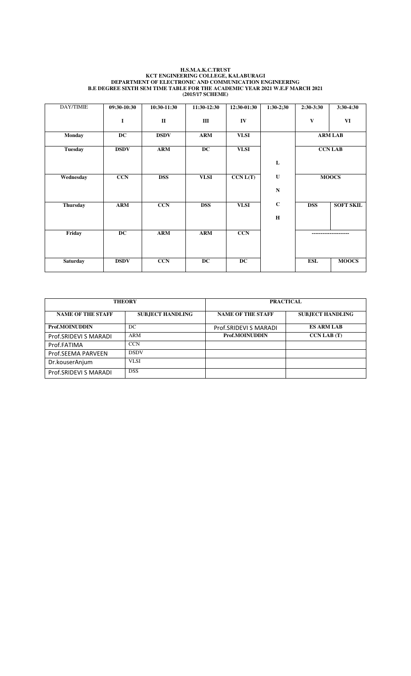#### **H.S.M.A.K.C.TRUST KCT ENGINEERING COLLEGE, KALABURAGI DEPARTMENT OF ELECTRONIC AND COMMUNICATION ENGINEERING B.E DEGREE SIXTH SEM TIME TABLE FOR THE ACADEMIC YEAR 2021 W.E.F MARCH 2021 (2015/17 SCHEME)**

| DAY/TIMIE       | 09:30-10:30 | 10:30-11:30    | $11:30-12:30$   | 12:30-01:30 | $1:30-2;30$ | $2:30-3:30$      | 3:30-4:30        |
|-----------------|-------------|----------------|-----------------|-------------|-------------|------------------|------------------|
|                 | I           | $\mathbf{I}$   | Ш               | IV          |             | V                | VI               |
| <b>Monday</b>   | <b>DC</b>   | <b>DSDV</b>    | <b>ARM</b>      | <b>VLSI</b> |             |                  | <b>ARM LAB</b>   |
| <b>Tuesday</b>  | <b>DSDV</b> | $\mathbf{ARM}$ | $\overline{DC}$ | <b>VLSI</b> |             |                  | <b>CCN LAB</b>   |
|                 |             |                |                 |             | L           |                  |                  |
| Wednesday       | <b>CCN</b>  | <b>DSS</b>     | <b>VLSI</b>     | CCN L(T)    | U           |                  | <b>MOOCS</b>     |
|                 |             |                |                 |             | $\mathbf N$ |                  |                  |
| <b>Thursday</b> | <b>ARM</b>  | <b>CCN</b>     | <b>DSS</b>      | <b>VLSI</b> | $\mathbf C$ | <b>DSS</b>       | <b>SOFT SKIL</b> |
|                 |             |                |                 |             | $\mathbf H$ |                  |                  |
| Friday          | <b>DC</b>   | <b>ARM</b>     | <b>ARM</b>      | <b>CCN</b>  |             | ---------------- |                  |
|                 |             |                |                 |             |             |                  |                  |
| <b>Saturday</b> | <b>DSDV</b> | <b>CCN</b>     | DC              | <b>DC</b>   |             | <b>ESL</b>       | <b>MOOCS</b>     |

|                          | <b>THEORY</b>           | <b>PRACTICAL</b>         |                         |  |
|--------------------------|-------------------------|--------------------------|-------------------------|--|
| <b>NAME OF THE STAFF</b> | <b>SUBJECT HANDLING</b> | <b>NAME OF THE STAFF</b> | <b>SUBJECT HANDLING</b> |  |
| Prof.MOINUDDIN           | DC                      | Prof.SRIDEVI S MARADI    | <b>ES ARM LAB</b>       |  |
| Prof.SRIDEVI S MARADI    | ARM                     | Prof.MOINUDDIN           | <b>CCN LAB</b> (T)      |  |
| Prof.FATIMA              | <b>CCN</b>              |                          |                         |  |
| Prof.SEEMA PARVEEN       | <b>DSDV</b>             |                          |                         |  |
| Dr.kouserAnjum           | VLSI                    |                          |                         |  |
| Prof.SRIDEVI S MARADI    | <b>DSS</b>              |                          |                         |  |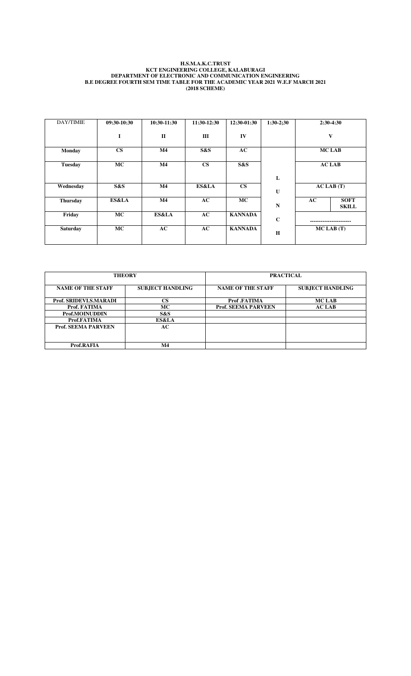#### **H.S.M.A.K.C.TRUST KCT ENGINEERING COLLEGE, KALABURAGI DEPARTMENT OF ELECTRONIC AND COMMUNICATION ENGINEERING B.E DEGREE FOURTH SEM TIME TABLE FOR THE ACADEMIC YEAR 2021 W.E.F MARCH 2021 (2018 SCHEME)**

| DAY/TIMIE       | 09:30-10:30   | 10:30-11:30  | 11:30-12:30   | $12:30-01:30$  | $1:30-2:30$ |    | $2:30-4:30$                 |
|-----------------|---------------|--------------|---------------|----------------|-------------|----|-----------------------------|
|                 | I             | $\mathbf{I}$ | Ш             | IV             |             |    | $\mathbf{V}$                |
| <b>Monday</b>   | $\mathbf{CS}$ | M4           | S&S           | AC             |             |    | <b>MCLAB</b>                |
| <b>Tuesday</b>  | <b>MC</b>     | M4           | $\mathbf{CS}$ | S&S            |             |    | <b>AC LAB</b>               |
|                 |               |              |               |                | L           |    |                             |
| Wednesday       | S&S           | M4           | ES&LA         | $\mathbf{CS}$  | U           |    | $AC$ LAB $(T)$              |
| <b>Thursday</b> | ES&LA         | M4           | AC            | <b>MC</b>      | $\mathbf N$ | AC | <b>SOFT</b><br><b>SKILL</b> |
| Friday          | <b>MC</b>     | ES&LA        | AC            | <b>KANNADA</b> | $\mathbf C$ |    |                             |
| <b>Saturday</b> | MC            | AC           | AC            | <b>KANNADA</b> | H           |    | $MC$ LAB $(T)$              |

| <b>THEORY</b>              |                         | <b>PRACTICAL</b>           |                         |  |
|----------------------------|-------------------------|----------------------------|-------------------------|--|
| <b>NAME OF THE STAFF</b>   | <b>SUBJECT HANDLING</b> | <b>NAME OF THE STAFF</b>   | <b>SUBJECT HANDLING</b> |  |
| Prof. SRIDEVI.S.MARADI     | $\mathbf{CS}$           | Prof.FATIMA                | <b>MCLAB</b>            |  |
| Prof. FATIMA               | <b>MC</b>               | <b>Prof. SEEMA PARVEEN</b> | <b>AC LAB</b>           |  |
| Prof.MOINUDDIN             | S&S                     |                            |                         |  |
| Prof.FATIMA                | ES&LA                   |                            |                         |  |
| <b>Prof. SEEMA PARVEEN</b> | AC                      |                            |                         |  |
|                            |                         |                            |                         |  |
| Prof.RAFIA                 | M4                      |                            |                         |  |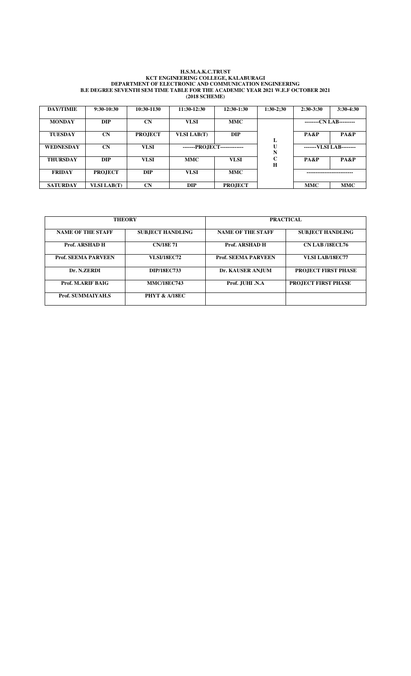#### **H.S.M.A.K.C.TRUST KCT ENGINEERING COLLEGE, KALABURAGI DEPARTMENT OF ELECTRONIC AND COMMUNICATION ENGINEERING B.E DEGREE SEVENTH SEM TIME TABLE FOR THE ACADEMIC YEAR 2021 W.E.F OCTOBER 2021 (2018 SCHEME)**

| <b>DAY/TIMIE</b> | $9:30-10:30$       | 10:30-1130     | 11:30-12:30                 | 12:30-1:30     | $1:30-2:30$                | $2:30-3:30$ | $3:30-4:30$             |
|------------------|--------------------|----------------|-----------------------------|----------------|----------------------------|-------------|-------------------------|
| <b>MONDAY</b>    | <b>DIP</b>         | $\mathbf{CN}$  | <b>VLSI</b>                 | <b>MMC</b>     |                            |             | --------CN LAB--------- |
| <b>TUESDAY</b>   | CN                 | <b>PROJECT</b> | <b>VLSI LAB(T)</b>          | <b>DIP</b>     | L                          | PA&P        | PA&P                    |
| <b>WEDNESDAY</b> | <b>CN</b>          | <b>VLSI</b>    | -------PROJECT------------- |                | U<br>N                     |             | -------VLSI LAB-------- |
| <b>THURSDAY</b>  | <b>DIP</b>         | <b>VLSI</b>    | <b>MMC</b>                  | <b>VLSI</b>    | $\mathbf c$<br>$\mathbf H$ | PA&P        | PA&P                    |
| <b>FRIDAY</b>    | <b>PROJECT</b>     | <b>DIP</b>     | <b>VLSI</b>                 | <b>MMC</b>     |                            |             |                         |
| <b>SATURDAY</b>  | <b>VLSI LAB(T)</b> | <b>CN</b>      | <b>DIP</b>                  | <b>PROJECT</b> |                            | <b>MMC</b>  | <b>MMC</b>              |

| <b>THEORY</b>              |                          | <b>PRACTICAL</b>           |                            |  |
|----------------------------|--------------------------|----------------------------|----------------------------|--|
| <b>NAME OF THE STAFF</b>   | <b>SUBJECT HANDLING</b>  | <b>NAME OF THE STAFF</b>   | <b>SUBJECT HANDLING</b>    |  |
| Prof. ARSHAD H             | <b>CN/18E71</b>          | Prof. ARSHAD H             | <b>CN LAB /18ECL76</b>     |  |
| <b>Prof. SEEMA PARVEEN</b> | <b>VLSI/18EC72</b>       | <b>Prof. SEEMA PARVEEN</b> | VLSI LAB/18EC77            |  |
| Dr. N.ZERDI                | <b>DIP/18EC733</b>       | Dr. KAUSER ANJUM           | <b>PROJECT FIRST PHASE</b> |  |
| Prof. M.ARIF BAIG          | <b>MMC/18EC743</b>       | Prof. JUHI .N.A            | <b>PROJECT FIRST PHASE</b> |  |
| <b>Prof. SUMMAIYAH.S</b>   | <b>PHYT &amp; A/18EC</b> |                            |                            |  |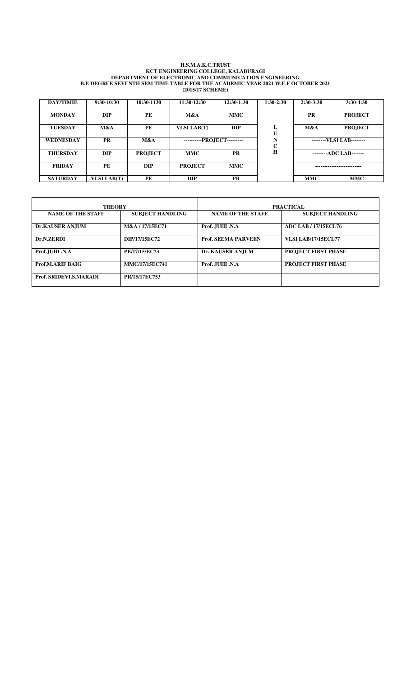#### **H.S.M.A.K.C.TRUST KCT ENGINEERING COLLEGE, KALABURAGI DEPARTMENT OF ELECTRONIC AND COMMUNICATION ENGINEERING B.E DEGREE SEVENTH SEM TIME TABLE FOR THE ACADEMIC YEAR 2021 W.E.F OCTOBER 2021 (2015/17 SCHEME)**

| <b>DAY/TIMIE</b> | $9:30-10:30$       | 10:30-1130     | 11:30-12:30                  | $12:30-1:30$ | $1:30-2:30$                | $2:30-3:30$ | $3:30-4:30$              |
|------------------|--------------------|----------------|------------------------------|--------------|----------------------------|-------------|--------------------------|
| <b>MONDAY</b>    | <b>DIP</b>         | PE             | M&A                          | <b>MMC</b>   |                            | <b>PR</b>   | <b>PROJECT</b>           |
| <b>TUESDAY</b>   | M&A                | PE             | <b>VLSI LAB(T)</b>           | <b>DIP</b>   | L<br>U                     | M&A         | <b>PROJECT</b>           |
| <b>WEDNESDAY</b> | <b>PR</b>          | M&A            | ----------PROJECT---------   |              | N<br>$\mathbf C$           |             | --------VLSI LAB-------- |
| <b>THURSDAY</b>  | <b>DIP</b>         | <b>PROJECT</b> | <b>MMC</b>                   | <b>PR</b>    | H                          |             | --------ADC LAB-------   |
| <b>FRIDAY</b>    | PE                 | <b>DIP</b>     | <b>MMC</b><br><b>PROJECT</b> |              | -------------------------- |             |                          |
| <b>SATURDAY</b>  | <b>VLSI LAB(T)</b> | PE             | <b>DIP</b>                   | <b>PR</b>    |                            | <b>MMC</b>  | <b>MMC</b>               |

| <b>THEORY</b>                 |                         | <b>PRACTICAL</b>           |                             |  |  |
|-------------------------------|-------------------------|----------------------------|-----------------------------|--|--|
| <b>NAME OF THE STAFF</b>      | <b>SUBJECT HANDLING</b> | <b>NAME OF THE STAFF</b>   | <b>SUBJECT HANDLING</b>     |  |  |
| <b>Dr.KAUSER AN.IUM</b>       | M&A / 17/15EC71         | Prof. JUHI .N.A            | <b>ADC LAB / 17/15ECL76</b> |  |  |
| Dr.N.ZERDI                    | DIP/17/15EC72           | <b>Prof. SEEMA PARVEEN</b> | <b>VLSI LAB/17/15ECL77</b>  |  |  |
| Prof.JUHI .N.A                | PE/17/15/EC73           | Dr. KAUSER ANJUM           | <b>PROJECT FIRST PHASE</b>  |  |  |
| Prof.M.ARIF BAIG              | <b>MMC/17/15EC741</b>   | Prof. JUHI .N.A            | <b>PROJECT FIRST PHASE</b>  |  |  |
| <b>Prof. SRIDEVLS, MARADI</b> | PR/15/17EC753           |                            |                             |  |  |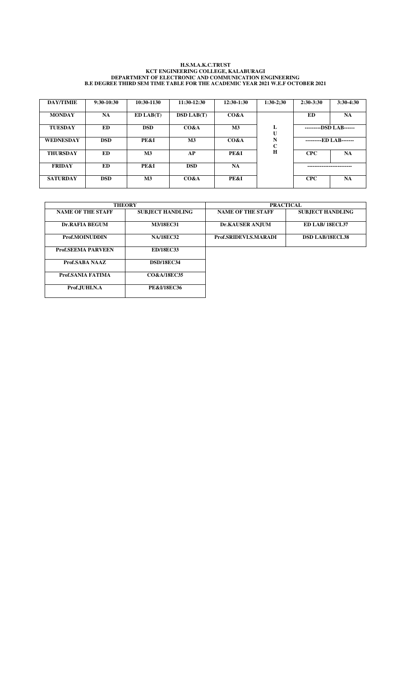#### **H.S.M.A.K.C.TRUST KCT ENGINEERING COLLEGE, KALABURAGI DEPARTMENT OF ELECTRONIC AND COMMUNICATION ENGINEERING B.E DEGREE THIRD SEM TIME TABLE FOR THE ACADEMIC YEAR 2021 W.E.F OCTOBER 2021**

| <b>DAY/TIMIE</b> | $9:30-10:30$ | 10:30-1130     | 11:30-12:30       | 12:30-1:30     | $1:30-2:30$       | $2:30-3:30$ | $3:30-4:30$            |
|------------------|--------------|----------------|-------------------|----------------|-------------------|-------------|------------------------|
| <b>MONDAY</b>    | <b>NA</b>    | ED LAB(T)      | <b>DSD LAB(T)</b> | CO&A           |                   | <b>ED</b>   | NA                     |
| <b>TUESDAY</b>   | ED           | <b>DSD</b>     | CO&A              | M <sub>3</sub> | L<br>U            |             | ---------DSD LAB------ |
| <b>WEDNESDAY</b> | <b>DSD</b>   | PE&I           | M <sub>3</sub>    | CO&A           | N<br>$\mathbf{C}$ |             | ---------ED LAB------- |
| <b>THURSDAY</b>  | ED.          | M <sub>3</sub> | AP                | PE&I           | H                 | <b>CPC</b>  | <b>NA</b>              |
| <b>FRIDAY</b>    | ED.          | PE&I           | <b>DSD</b>        | <b>NA</b>      |                   |             |                        |
| <b>SATURDAY</b>  | <b>DSD</b>   | M <sub>3</sub> | CO&A              | PE&I           |                   | <b>CPC</b>  | <b>NA</b>              |

|                           | <b>THEORY</b>           |                          | <b>PRACTICAL</b>        |
|---------------------------|-------------------------|--------------------------|-------------------------|
| <b>NAME OF THE STAFF</b>  | <b>SUBJECT HANDLING</b> | <b>NAME OF THE STAFF</b> | <b>SUBJECT HANDLING</b> |
| <b>Dr.RAFIA BEGUM</b>     | <b>M3/18EC31</b>        | <b>Dr.KAUSER ANJUM</b>   | <b>ED LAB/18ECL37</b>   |
| Prof.MOINUDDIN            | <b>NA/18EC32</b>        | Prof.SRIDEVI.S.MARADI    | <b>DSD LAB/18ECL38</b>  |
| <b>Prof.SEEMA PARVEEN</b> | <b>ED/18EC33</b>        |                          |                         |
| Prof.SABA NAAZ            | <b>DSD/18EC34</b>       |                          |                         |
| Prof.SANIA FATIMA         | <b>CO&amp;A/18EC35</b>  |                          |                         |
| Prof.JUHI.N.A             | <b>PE&amp;I/18EC36</b>  |                          |                         |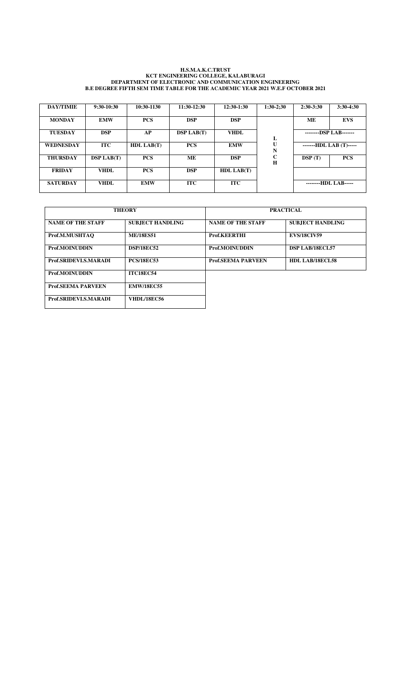#### **H.S.M.A.K.C.TRUST KCT ENGINEERING COLLEGE, KALABURAGI DEPARTMENT OF ELECTRONIC AND COMMUNICATION ENGINEERING B.E DEGREE FIFTH SEM TIME TABLE FOR THE ACADEMIC YEAR 2021 W.E.F OCTOBER 2021**

| <b>DAY/TIMIE</b> | $9:30-10:30$      | 10:30-1130 | 11:30-12:30       | $12:30-1:30$      | $1:30-2:30$      | $2:30-3:30$ | $3:30-4:30$             |
|------------------|-------------------|------------|-------------------|-------------------|------------------|-------------|-------------------------|
| <b>MONDAY</b>    | <b>EMW</b>        | <b>PCS</b> | <b>DSP</b>        | <b>DSP</b>        |                  | <b>ME</b>   | <b>EVS</b>              |
| <b>TUESDAY</b>   | <b>DSP</b>        | AP         | <b>DSP LAB(T)</b> | <b>VHDL</b>       | L                |             | --------DSP LAB-------  |
| <b>WEDNESDAY</b> | <b>ITC</b>        | HDL LAB(T) | <b>PCS</b>        | <b>EMW</b>        | U<br>N           |             | -------HDL LAB (T)----- |
| <b>THURSDAY</b>  | <b>DSP LAB(T)</b> | <b>PCS</b> | MЕ                | <b>DSP</b>        | $\mathbf C$<br>H | DSP $(T)$   | <b>PCS</b>              |
| <b>FRIDAY</b>    | VHDL.             | <b>PCS</b> | <b>DSP</b>        | <b>HDL LAB(T)</b> |                  |             |                         |
| <b>SATURDAY</b>  | VHDL.             | <b>EMW</b> | <b>ITC</b>        | <b>ITC</b>        |                  |             | --------HDL LAB-----    |

|                           | <b>THEORY</b>           |                           | <b>PRACTICAL</b>        |  |  |
|---------------------------|-------------------------|---------------------------|-------------------------|--|--|
| <b>NAME OF THE STAFF</b>  | <b>SUBJECT HANDLING</b> | <b>NAME OF THE STAFF</b>  | <b>SUBJECT HANDLING</b> |  |  |
| Prof.M.MUSHTAO            | <b>ME/18ES51</b>        | <b>Prof.KEERTHI</b>       | <b>EVS/18CIV59</b>      |  |  |
| Prof.MOINUDDIN            | <b>DSP/18EC52</b>       | Prof.MOINUDDIN            | <b>DSP LAB/18ECL57</b>  |  |  |
| Prof.SRIDEVI.S.MARADI     | <b>PCS/18EC53</b>       | <b>Prof.SEEMA PARVEEN</b> | HDL LAB/18ECL58         |  |  |
| Prof.MOINUDDIN            | <b>ITC18EC54</b>        |                           |                         |  |  |
| <b>Prof.SEEMA PARVEEN</b> | <b>EMW/18EC55</b>       |                           |                         |  |  |
| Prof.SRIDEVI.S.MARADI     | <b>VHDL/18EC56</b>      |                           |                         |  |  |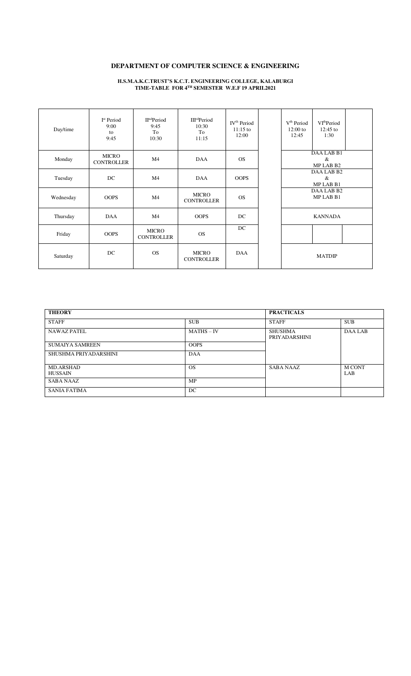# **DEPARTMENT OF COMPUTER SCIENCE & ENGINEERING**

**H.S.M.A.K.C.TRUST'S K.C.T. ENGINEERING COLLEGE, KALABURGI TIME-TABLE FOR 4TH SEMESTER W.E.F 19 APRIL2021** 

| Day/time  | I <sup>st</sup> Period<br>9:00<br>to<br>9:45 | $\Pi^{\text{nd}}$ Period<br>9:45<br>To<br>10:30 | <b>III<sup>rd</sup>Period</b><br>10:30<br>To<br>11:15 | IV <sup>th</sup> Period<br>$11:15$ to<br>12:00 | V <sup>th</sup> Period<br>$12:00$ to<br>12:45 | VI <sup>th</sup> Period<br>$12:45$ to<br>1:30 |  |
|-----------|----------------------------------------------|-------------------------------------------------|-------------------------------------------------------|------------------------------------------------|-----------------------------------------------|-----------------------------------------------|--|
| Monday    | <b>MICRO</b><br><b>CONTROLLER</b>            | M <sub>4</sub>                                  | <b>DAA</b>                                            | <b>OS</b>                                      |                                               | DAA LAB B1<br>$\&$<br>MP LAB B2               |  |
| Tuesday   | DC                                           | M4                                              | <b>DAA</b>                                            | <b>OOPS</b>                                    |                                               | DAA LAB B2<br>&<br>MP LAB B1                  |  |
| Wednesday | <b>OOPS</b>                                  | M4                                              | <b>MICRO</b><br><b>CONTROLLER</b>                     | <b>OS</b>                                      |                                               | DAA LAB B2<br>MP LAB B1                       |  |
| Thursday  | <b>DAA</b>                                   | M4                                              | <b>OOPS</b>                                           | DC                                             |                                               | <b>KANNADA</b>                                |  |
| Friday    | <b>OOPS</b>                                  | <b>MICRO</b><br><b>CONTROLLER</b>               | <b>OS</b>                                             | DC                                             |                                               |                                               |  |
| Saturday  | DC                                           | <b>OS</b>                                       | <b>MICRO</b><br><b>CONTROLLER</b>                     | <b>DAA</b>                                     |                                               | <b>MATDIP</b>                                 |  |

| <b>THEORY</b>                      |              | <b>PRACTICALS</b>               |                            |
|------------------------------------|--------------|---------------------------------|----------------------------|
| <b>STAFF</b>                       | <b>SUB</b>   | <b>STAFF</b>                    | <b>SUB</b>                 |
| <b>NAWAZ PATEL</b>                 | $MATHS - IV$ | <b>SHUSHMA</b><br>PRIYADARSHINI | <b>DAA LAB</b>             |
| <b>SUMAIYA SAMREEN</b>             | <b>OOPS</b>  |                                 |                            |
| SHUSHMA PRIYADARSHINI              | DAA          |                                 |                            |
| <b>MD.ARSHAD</b><br><b>HUSSAIN</b> | <b>OS</b>    | <b>SABA NAAZ</b>                | <b>MCONT</b><br><b>LAB</b> |
| <b>SABA NAAZ</b>                   | MP           |                                 |                            |
| <b>SANIA FATIMA</b>                | DC           |                                 |                            |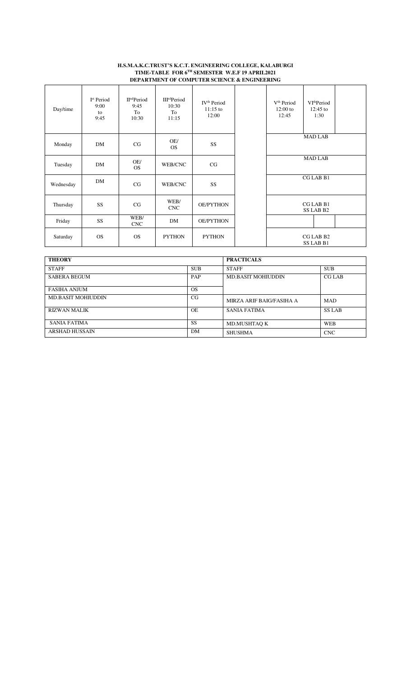### **H.S.M.A.K.C.TRUST'S K.C.T. ENGINEERING COLLEGE, KALABURGI TIME-TABLE FOR 6TH SEMESTER W.E.F 19 APRIL2021 DEPARTMENT OF COMPUTER SCIENCE & ENGINEERING**

| Day/time  | I <sup>st</sup> Period<br>9:00<br>to<br>9:45 | II <sup>nd</sup> Period<br>9:45<br>To<br>10:30 | III <sup>rd</sup> Period<br>10:30<br>To<br>11:15 | IV <sup>th</sup> Period<br>$11:15$ to<br>12:00 | V <sup>th</sup> Period<br>$12:00$ to<br>12:45 | VI <sup>th</sup> Period<br>$12:45$ to<br>1:30 |  |
|-----------|----------------------------------------------|------------------------------------------------|--------------------------------------------------|------------------------------------------------|-----------------------------------------------|-----------------------------------------------|--|
| Monday    | <b>DM</b>                                    | CG                                             | OE/<br><b>OS</b>                                 | SS                                             |                                               | <b>MAD LAB</b>                                |  |
| Tuesday   | <b>DM</b>                                    | OE/<br><b>OS</b>                               | WEB/CNC                                          | CG                                             |                                               | <b>MAD LAB</b>                                |  |
| Wednesday | <b>DM</b>                                    | CG                                             | WEB/CNC                                          | SS                                             |                                               | CG LAB B1                                     |  |
| Thursday  | SS <sub>1</sub>                              | CG                                             | WEB/<br><b>CNC</b>                               | <b>OE/PYTHON</b>                               |                                               | CG LAB B1<br>SS LAB B2                        |  |
| Friday    | SS                                           | WEB/<br><b>CNC</b>                             | DM                                               | <b>OE/PYTHON</b>                               |                                               |                                               |  |
| Saturday  | <b>OS</b>                                    | <b>OS</b>                                      | <b>PYTHON</b>                                    | <b>PYTHON</b>                                  |                                               | CG LAB B2<br>SS LAB B1                        |  |

| <b>THEORY</b>             |            | <b>PRACTICALS</b>         |               |  |  |
|---------------------------|------------|---------------------------|---------------|--|--|
| <b>STAFF</b>              | <b>SUB</b> | <b>STAFF</b>              | <b>SUB</b>    |  |  |
| <b>SABERA BEGUM</b>       | PAP        | <b>MD.BASIT MOHIUDDIN</b> | <b>CG LAB</b> |  |  |
| FASIHA ANJUM              | <b>OS</b>  |                           |               |  |  |
| <b>MD.BASIT MOHIUDDIN</b> | CG         | MIRZA ARIF BAIG/FASIHA A  | <b>MAD</b>    |  |  |
| RIZWAN MALIK              | <b>OE</b>  | SANIA FATIMA              | <b>SS LAB</b> |  |  |
| <b>SANIA FATIMA</b>       | <b>SS</b>  | MD.MUSHTAQ K              | <b>WEB</b>    |  |  |
| <b>ARSHAD HUSSAIN</b>     | DM         | SHUSHMA                   | <b>CNC</b>    |  |  |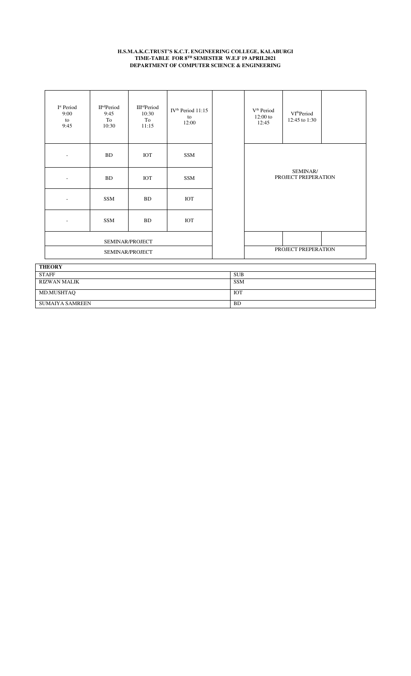### **H.S.M.A.K.C.TRUST'S K.C.T. ENGINEERING COLLEGE, KALABURGI TIME-TABLE FOR 8TH SEMESTER W.E.F 19 APRIL2021 DEPARTMENT OF COMPUTER SCIENCE & ENGINEERING**

| I <sup>st</sup> Period<br>9:00<br>to<br>9:45 | II <sup>nd</sup> Period<br>9:45<br>To<br>10:30 | <b>III<sup>rd</sup>Period</b><br>10:30<br>To<br>11:15 | IV <sup>th</sup> Period 11:15<br>to<br>12:00 | V <sup>th</sup> Period<br>12:00 to<br>12:45 | VI <sup>th</sup> Period<br>12:45 to 1:30 |  |
|----------------------------------------------|------------------------------------------------|-------------------------------------------------------|----------------------------------------------|---------------------------------------------|------------------------------------------|--|
|                                              | <b>BD</b>                                      | <b>IOT</b>                                            | SSM                                          |                                             |                                          |  |
|                                              | <b>BD</b>                                      | IOT                                                   | SSM                                          |                                             | SEMINAR/<br>PROJECT PREPERATION          |  |
| ۰.                                           | <b>SSM</b>                                     | <b>BD</b>                                             | IOT                                          |                                             |                                          |  |
| ٠                                            | SSM                                            | <b>BD</b>                                             | IOT                                          |                                             |                                          |  |
|                                              |                                                | SEMINAR/PROJECT                                       |                                              |                                             |                                          |  |
|                                              | SEMINAR/PROJECT                                |                                                       |                                              |                                             | PROJECT PREPERATION                      |  |
| <b>TELODY</b>                                |                                                |                                                       |                                              |                                             |                                          |  |

| <b>THEORY</b>          |            |
|------------------------|------------|
| <b>STAFF</b>           | <b>SUB</b> |
| RIZWAN MALIK           | <b>SSM</b> |
| MD.MUSHTAQ             | <b>IOT</b> |
| <b>SUMAIYA SAMREEN</b> | <b>BD</b>  |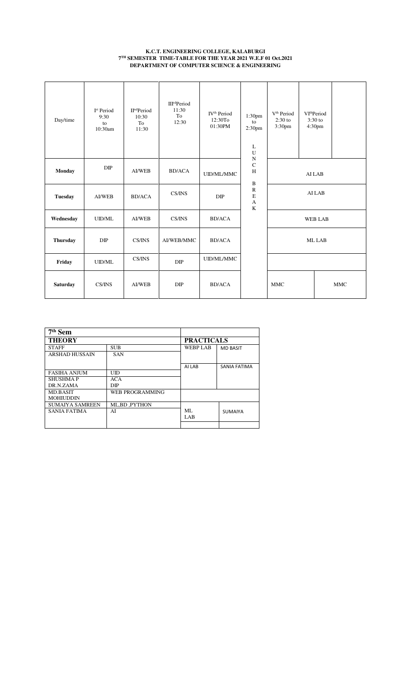### **K.C.T. ENGINEERING COLLEGE, KALABURGI 7 TH SEMESTER TIME-TABLE FOR THE YEAR 2021 W.E.F 01 Oct.2021 DEPARTMENT OF COMPUTER SCIENCE & ENGINEERING**

| Day/time        | I <sup>st</sup> Period<br>9:30<br>to<br>10:30am | $\Pind Period$<br>10:30<br>To<br>11:30 | <b>III<sup>rd</sup>Period</b><br>11:30<br>To<br>12:30 | IV <sup>th</sup> Period<br>12:30To<br>01:30PM | 1:30 <sub>pm</sub><br>to<br>2:30 <sub>pm</sub><br>L<br>U<br>${\bf N}$ | V <sup>th</sup> Period<br>$2:30$ to<br>3:30pm | VI <sup>th</sup> Period<br>$3:30$ to<br>4:30pm |            |
|-----------------|-------------------------------------------------|----------------------------------------|-------------------------------------------------------|-----------------------------------------------|-----------------------------------------------------------------------|-----------------------------------------------|------------------------------------------------|------------|
| Monday          | DIP                                             | <b>AI/WEB</b>                          | <b>BD/ACA</b>                                         | UID/ML/MMC                                    | $\mathbf C$<br>H<br>$\, {\bf B}$                                      |                                               | AI LAB                                         |            |
| <b>Tuesday</b>  | <b>AI/WEB</b>                                   | <b>BD/ACA</b>                          | CS/INS                                                | DIP                                           | ${\bf R}$<br>$\mathbf E$<br>A<br>$\bf K$                              |                                               | AI LAB                                         |            |
| Wednesday       | <b>UID/ML</b>                                   | <b>AI/WEB</b>                          | CS/INS                                                | <b>BD/ACA</b>                                 |                                                                       |                                               | <b>WEB LAB</b>                                 |            |
| <b>Thursday</b> | DIP                                             | CS/INS                                 | AI/WEB/MMC                                            | <b>BD/ACA</b>                                 |                                                                       |                                               | ML LAB                                         |            |
| Friday          | <b>UID/ML</b>                                   | CS/INS                                 | DIP                                                   | UID/ML/MMC                                    |                                                                       |                                               |                                                |            |
| <b>Saturday</b> | CS/INS                                          | <b>AI/WEB</b>                          | DIP                                                   | <b>BD/ACA</b>                                 |                                                                       | <b>MMC</b>                                    |                                                | <b>MMC</b> |

| $7th$ Sem              |                 |                   |                 |  |
|------------------------|-----------------|-------------------|-----------------|--|
| <b>THEORY</b>          |                 | <b>PRACTICALS</b> |                 |  |
| <b>STAFF</b>           | <b>SUB</b>      | <b>WEBP LAB</b>   | <b>MD BASIT</b> |  |
| <b>ARSHAD HUSSAIN</b>  | <b>SAN</b>      |                   |                 |  |
|                        |                 |                   |                 |  |
|                        |                 | AI LAB            | SANIA FATIMA    |  |
| <b>FASIHA ANJUM</b>    | UID             |                   |                 |  |
| <b>SHUSHMAP</b>        | <b>ACA</b>      |                   |                 |  |
| DR.N.ZAMA              | <b>DIP</b>      |                   |                 |  |
| <b>MD.BASIT</b>        | WEB PROGRAMMING |                   |                 |  |
| <b>MOHIUDDIN</b>       |                 |                   |                 |  |
| <b>SUMAIYA SAMREEN</b> | ML,BD, PYTHON   |                   |                 |  |
| SANIA FATIMA           | AI              | ML                | <b>SUMAIYA</b>  |  |
|                        |                 | LAB.              |                 |  |
|                        |                 |                   |                 |  |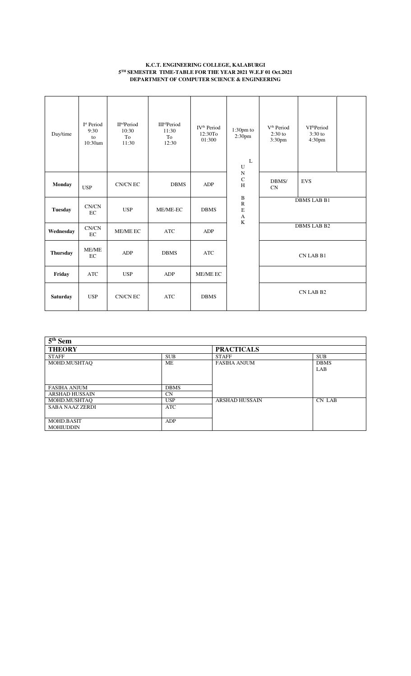### **K.C.T. ENGINEERING COLLEGE, KALABURGI 5 TH SEMESTER TIME-TABLE FOR THE YEAR 2021 W.E.F 01 Oct.2021 DEPARTMENT OF COMPUTER SCIENCE & ENGINEERING**

| Day/time        | I <sup>st</sup> Period<br>9:30<br>to<br>10:30am | II <sup>nd</sup> Period<br>10:30<br>To<br>11:30 | <b>III<sup>rd</sup>Period</b><br>11:30<br>To<br>12:30 | IV <sup>th</sup> Period<br>12:30To<br>01:300 | $1:30pm$ to<br>2:30pm<br>L<br>U                 | V <sup>th</sup> Period<br>$2:30$ to<br>3:30pm | VI <sup>th</sup> Period<br>$3:30$ to<br>4:30pm |  |
|-----------------|-------------------------------------------------|-------------------------------------------------|-------------------------------------------------------|----------------------------------------------|-------------------------------------------------|-----------------------------------------------|------------------------------------------------|--|
| <b>Monday</b>   | <b>USP</b>                                      | CN/CN EC                                        | <b>DBMS</b>                                           | ADP                                          | ${\bf N}$<br>$\mathbf C$<br>H                   | DBMS/<br><b>CN</b>                            | <b>EVS</b>                                     |  |
| <b>Tuesday</b>  | CN/CN<br>EC                                     | <b>USP</b>                                      | ME/ME-EC                                              | <b>DBMS</b>                                  | $\, {\bf B}$<br>$\mathbf R$<br>$\mathbf E$<br>A |                                               | <b>DBMS LAB B1</b>                             |  |
| Wednesday       | CN/CN<br>$\rm EC$                               | <b>ME/ME EC</b>                                 | <b>ATC</b>                                            | ADP                                          | K                                               |                                               | DBMS LAB B2                                    |  |
| <b>Thursday</b> | <b>ME/ME</b><br>EC                              | ADP                                             | <b>DBMS</b>                                           | <b>ATC</b>                                   |                                                 |                                               | CN LAB B1                                      |  |
| Friday          | <b>ATC</b>                                      | <b>USP</b>                                      | ADP                                                   | ME/ME EC                                     |                                                 |                                               |                                                |  |
| <b>Saturday</b> | <b>USP</b>                                      | CN/CN EC                                        | <b>ATC</b>                                            | <b>DBMS</b>                                  |                                                 |                                               | CN LAB B2                                      |  |

| $5th$ Sem                      |             |                       |                    |  |  |
|--------------------------------|-------------|-----------------------|--------------------|--|--|
| <b>THEORY</b>                  |             | <b>PRACTICALS</b>     |                    |  |  |
| <b>STAFF</b>                   | <b>SUB</b>  | <b>STAFF</b>          | <b>SUB</b>         |  |  |
| MOHD.MUSHTAQ                   | МE          | <b>FASIHA ANJUM</b>   | <b>DBMS</b><br>LAB |  |  |
| <b>FASIHA ANJUM</b>            | <b>DBMS</b> |                       |                    |  |  |
| <b>ARSHAD HUSSAIN</b>          | <b>CN</b>   |                       |                    |  |  |
| MOHD.MUSHTAO                   | <b>USP</b>  | <b>ARSHAD HUSSAIN</b> | CN LAB             |  |  |
| <b>SABA NAAZ ZERDI</b>         | <b>ATC</b>  |                       |                    |  |  |
| MOHD.BASIT<br><b>MOHIUDDIN</b> | ADP         |                       |                    |  |  |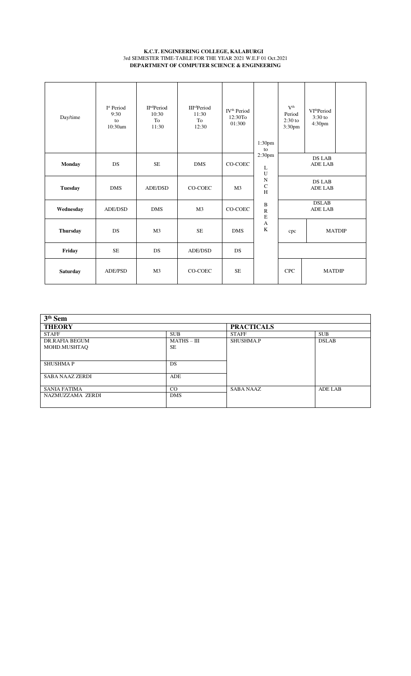### **K.C.T. ENGINEERING COLLEGE, KALABURGI**  3rd SEMESTER TIME-TABLE FOR THE YEAR 2021 W.E.F 01 Oct.2021 **DEPARTMENT OF COMPUTER SCIENCE & ENGINEERING**

| Day/time        | I <sup>st</sup> Period<br>9:30<br>to<br>10:30am | $\Pind Period$<br>10:30<br>To<br>11:30 | <b>III<sup>rd</sup>Period</b><br>11:30<br>To<br>12:30 | IV <sup>th</sup> Period<br>12:30To<br>01:300 | 1:30pm<br>to                           | V <sup>th</sup><br>Period<br>$2:30$ to<br>3:30pm | VI <sup>th</sup> Period<br>$3:30$ to<br>4:30pm |  |
|-----------------|-------------------------------------------------|----------------------------------------|-------------------------------------------------------|----------------------------------------------|----------------------------------------|--------------------------------------------------|------------------------------------------------|--|
| <b>Monday</b>   | <b>DS</b>                                       | <b>SE</b>                              | <b>DMS</b>                                            | CO-COEC                                      | 2:30pm<br>L<br>$\mathbf U$             |                                                  | <b>DS LAB</b><br><b>ADE LAB</b>                |  |
| <b>Tuesday</b>  | <b>DMS</b>                                      | <b>ADE/DSD</b>                         | CO-COEC                                               | M <sub>3</sub>                               | $\mathbf N$<br>$_{\rm H}^{\rm C}$      |                                                  | <b>DS LAB</b><br><b>ADE LAB</b>                |  |
| Wednesday       | ADE/DSD                                         | <b>DMS</b>                             | M <sub>3</sub>                                        | CO-COEC                                      | $\, {\bf B}$<br>$\rm R$<br>$\mathbf E$ |                                                  | <b>DSLAB</b><br><b>ADE LAB</b>                 |  |
| <b>Thursday</b> | <b>DS</b>                                       | M <sub>3</sub>                         | <b>SE</b>                                             | <b>DMS</b>                                   | $\mathbf{A}$<br>$\mathbf K$            | cpc                                              | <b>MATDIP</b>                                  |  |
| Friday          | <b>SE</b>                                       | <b>DS</b>                              | ADE/DSD                                               | <b>DS</b>                                    |                                        |                                                  |                                                |  |
| Saturday        | <b>ADE/PSD</b>                                  | M <sub>3</sub>                         | CO-COEC                                               | <b>SE</b>                                    |                                        | <b>CPC</b>                                       | <b>MATDIP</b>                                  |  |

| $3th$ Sem              |               |                   |                |
|------------------------|---------------|-------------------|----------------|
| <b>THEORY</b>          |               | <b>PRACTICALS</b> |                |
| <b>STAFF</b>           | <b>SUB</b>    | <b>STAFF</b>      | <b>SUB</b>     |
| DR.RAFIA BEGUM         | $MATHS - III$ | <b>SHUSHMA.P</b>  | <b>DSLAB</b>   |
| MOHD.MUSHTAQ           | <b>SE</b>     |                   |                |
|                        |               |                   |                |
| <b>SHUSHMAP</b>        | <b>DS</b>     |                   |                |
|                        |               |                   |                |
| <b>SABA NAAZ ZERDI</b> | <b>ADE</b>    |                   |                |
|                        |               |                   |                |
| <b>SANIA FATIMA</b>    | CO            | <b>SABA NAAZ</b>  | <b>ADE LAB</b> |
| NAZMUZZAMA ZERDI       | <b>DMS</b>    |                   |                |
|                        |               |                   |                |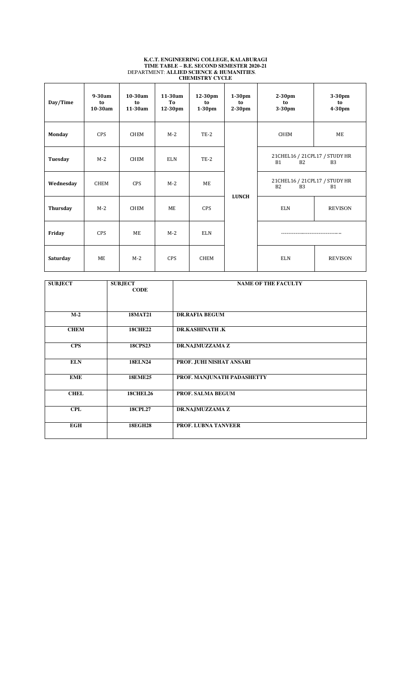| Day/Time  | $9-30am$<br>to<br>10-30am | 10-30am<br>to<br>11-30am | 11-30am<br>To<br>12-30pm | 12-30pm<br>to<br>$1-30$ pm | $1-30$ pm<br>to<br>$2-30$ pm | $2-30$ pm<br>to<br>3-30pm                                 | 3-30pm<br>to<br>4-30pm |
|-----------|---------------------------|--------------------------|--------------------------|----------------------------|------------------------------|-----------------------------------------------------------|------------------------|
| Monday    | CPS                       | <b>CHEM</b>              | $M-2$                    | $TE-2$                     |                              | CHEM                                                      | ME                     |
| Tuesday   | $M-2$                     | <b>CHEM</b>              | ELN                      | $TE-2$                     |                              | 21 CHEL 16 / 21 CPL 17 / STUDY HR<br>B2<br><b>B1</b>      | <b>B3</b>              |
| Wednesday | CHEM                      | <b>CPS</b>               | $M-2$                    | ME                         |                              | 21 CHEL 16 / 21 CPL 17 / STUDY HR<br>B <sub>3</sub><br>B2 | <b>B1</b>              |
| Thursday  | $M-2$                     | <b>CHEM</b>              | <b>ME</b>                | CPS                        | <b>LUNCH</b>                 | <b>ELN</b>                                                | <b>REVISON</b>         |
| Friday    | <b>CPS</b>                | ME                       | $M-2$                    | <b>ELN</b>                 |                              |                                                           |                        |
| Saturday  | <b>ME</b>                 | $M-2$                    | <b>CPS</b>               | <b>CHEM</b>                |                              | <b>ELN</b>                                                | <b>REVISON</b>         |

#### **K.C.T. ENGINEERING COLLEGE, KALABURAGI TIME TABLE – B.E. SECOND SEMESTER 2020-21** DEPARTMENT: **ALLIED SCIENCE & HUMANITIES**. **CHEMISTRY CYCLE**

| <b>SUBJECT</b> | <b>SUBJECT</b><br><b>CODE</b> | <b>NAME OF THE FACULTY</b> |
|----------------|-------------------------------|----------------------------|
| $M-2$          | <b>18MAT21</b>                | <b>DR.RAFIA BEGUM</b>      |
| <b>CHEM</b>    | <b>18CHE22</b>                | <b>DR.KASHINATH.K</b>      |
| <b>CPS</b>     | <b>18CPS23</b>                | DR.NAJMUZZAMA Z            |
| <b>ELN</b>     | <b>18ELN24</b>                | PROF. JUHI NISHAT ANSARI   |
| <b>EME</b>     | <b>18EME25</b>                | PROF. MANJUNATH PADASHETTY |
| <b>CHEL</b>    | <b>18CHEL26</b>               | PROF. SALMA BEGUM          |
| <b>CPL</b>     | <b>18CPL27</b>                | DR.NAJMUZZAMA Z            |
| <b>EGH</b>     | <b>18EGH28</b>                | <b>PROF. LUBNA TANVEER</b> |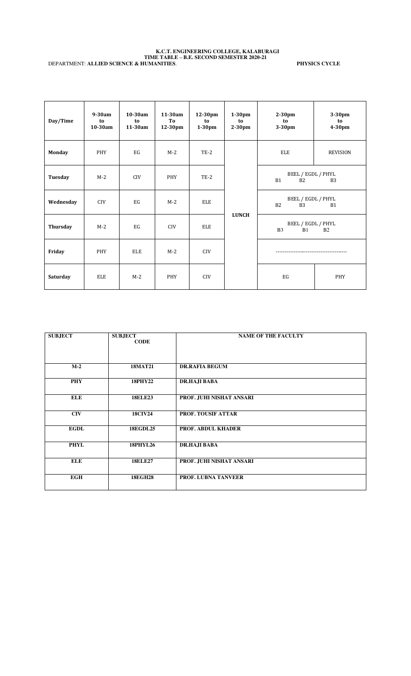#### **K.C.T. ENGINEERING COLLEGE, KALABURAGI TIME TABLE – B.E. SECOND SEMESTER 2020-21** DEPARTMENT: **ALLIED SCIENCE & HUMANITIES**. **PHYSICS CYCLE**

| Day/Time  | $9-30am$<br>to<br>10-30am | 10-30am<br>to<br>11-30am | 11-30am<br>To<br>12-30pm | 12-30pm<br>to<br>$1-30$ pm | $1-30$ pm<br>to<br>2-30pm | $2-30pm$<br>to<br>3-30pm                   | 3-30pm<br>to<br>4-30pm |
|-----------|---------------------------|--------------------------|--------------------------|----------------------------|---------------------------|--------------------------------------------|------------------------|
| Monday    | PHY                       | EG                       | $M-2$                    | $TE-2$                     |                           | ELE                                        | <b>REVISION</b>        |
| Tuesday   | $M-2$                     | CIV                      | PHY                      | $TE-2$                     |                           | BEEL / EGDL / PHYL<br>B2<br><b>B1</b>      | B <sub>3</sub>         |
| Wednesday | <b>CIV</b>                | EG                       | $M-2$                    | ELE                        |                           | BEEL / EGDL / PHYL<br>B2<br>B <sub>3</sub> | <b>B1</b>              |
| Thursday  | $M-2$                     | EG                       | <b>CIV</b>               | ELE                        | <b>LUNCH</b>              | BEEL / EGDL / PHYL<br>B <sub>3</sub><br>B1 | B <sub>2</sub>         |
| Friday    | PHY                       | ELE                      | $M-2$                    | <b>CIV</b>                 |                           | -----------------------------              |                        |
| Saturday  | ELE                       | $M-2$                    | PHY                      | <b>CIV</b>                 |                           | EG                                         | PHY                    |

| <b>SUBJECT</b> | <b>SUBJECT</b>  | <b>NAME OF THE FACULTY</b> |
|----------------|-----------------|----------------------------|
|                | <b>CODE</b>     |                            |
|                |                 |                            |
|                |                 |                            |
|                |                 |                            |
|                |                 |                            |
| $M-2$          | <b>18MAT21</b>  | <b>DR.RAFIA BEGUM</b>      |
|                |                 |                            |
|                |                 |                            |
| <b>PHY</b>     | <b>18PHY22</b>  | DR.HAJI BABA               |
|                |                 |                            |
|                |                 |                            |
|                |                 |                            |
| <b>ELE</b>     | <b>18ELE23</b>  | PROF. JUHI NISHAT ANSARI   |
|                |                 |                            |
|                |                 |                            |
| <b>CIV</b>     | <b>18CIV24</b>  | <b>PROF. TOUSIF ATTAR</b>  |
|                |                 |                            |
|                |                 |                            |
| <b>EGDL</b>    | <b>18EGDL25</b> | <b>PROF. ABDUL KHADER</b>  |
|                |                 |                            |
|                |                 |                            |
|                |                 |                            |
| <b>PHYL</b>    | <b>18PHYL26</b> | DR.HAJI BABA               |
|                |                 |                            |
|                |                 |                            |
| <b>ELE</b>     | <b>18ELE27</b>  | PROF. JUHI NISHAT ANSARI   |
|                |                 |                            |
|                |                 |                            |
| <b>EGH</b>     | <b>18EGH28</b>  | PROF. LUBNA TANVEER        |
|                |                 |                            |
|                |                 |                            |
|                |                 |                            |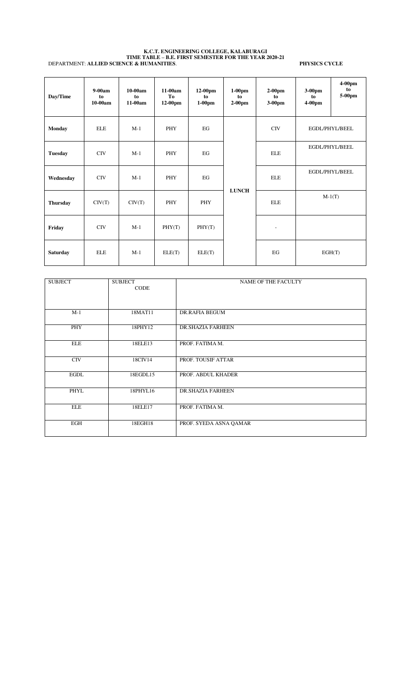#### **K.C.T. ENGINEERING COLLEGE, KALABURAGI TIME TABLE – B.E. FIRST SEMESTER FOR THE YEAR 2020-21** DEPARTMENT: **ALLIED SCIENCE & HUMANITIES**. **PHYSICS CYCLE**

| Day/Time        | $9-00am$<br>to<br>$10-00am$ | $10-00am$<br>to<br>$11-00am$ | $11-00am$<br>To<br>12-00pm | $12-00$ pm<br>to<br>$1-00$ pm | $1-00$ pm<br>to<br>$2-00$ pm | $2-00$ pm<br>to<br>3-00pm | $3-00$ pm<br>to<br>$4-00$ pm | $4-00$ pm<br>to<br>5-00pm |
|-----------------|-----------------------------|------------------------------|----------------------------|-------------------------------|------------------------------|---------------------------|------------------------------|---------------------------|
| <b>Monday</b>   | <b>ELE</b>                  | $M-1$                        | PHY                        | EG                            |                              | CIV                       | EGDL/PHYL/BEEL               |                           |
| <b>Tuesday</b>  | <b>CIV</b>                  | $M-1$                        | PHY                        | EG                            |                              | <b>ELE</b>                | EGDL/PHYL/BEEL               |                           |
| Wednesday       | <b>CIV</b>                  | $M-1$                        | PHY                        | EG                            |                              | <b>ELE</b>                | EGDL/PHYL/BEEL               |                           |
| <b>Thursday</b> | CIV(T)                      | CIV(T)                       | PHY                        | <b>PHY</b>                    | <b>LUNCH</b>                 | <b>ELE</b>                |                              | $M-1(T)$                  |
| Friday          | <b>CIV</b>                  | $M-1$                        | PHY(T)                     | PHY(T)                        |                              | ٠                         |                              |                           |
| <b>Saturday</b> | <b>ELE</b>                  | $M-1$                        | ELE(T)                     | ELE(T)                        |                              | EG                        | EGH(T)                       |                           |

| <b>SUBJECT</b> | <b>SUBJECT</b><br><b>CODE</b> | <b>NAME OF THE FACULTY</b> |
|----------------|-------------------------------|----------------------------|
| $M-1$          | 18MAT11                       | DR.RAFIA BEGUM             |
| PHY            | 18PHY12                       | <b>DR.SHAZIA FARHEEN</b>   |
| <b>ELE</b>     | 18ELE13                       | PROF. FATIMA M.            |
| <b>CIV</b>     | 18CIV14                       | PROF. TOUSIF ATTAR         |
| <b>EGDL</b>    | 18EGDL15                      | PROF. ABDUL KHADER         |
| PHYL           | 18PHYL16                      | <b>DR.SHAZIA FARHEEN</b>   |
| <b>ELE</b>     | 18ELE17                       | PROF. FATIMA M.            |
| EGH            | 18EGH18                       | PROF. SYEDA ASNA QAMAR     |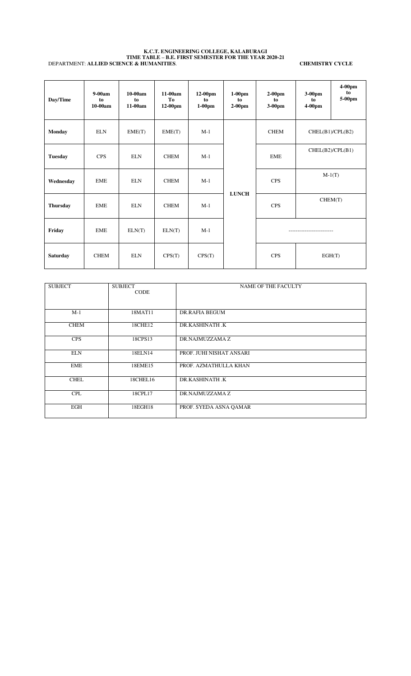#### **K.C.T. ENGINEERING COLLEGE, KALABURAGI TIME TABLE – B.E. FIRST SEMESTER FOR THE YEAR 2020-21** DEPARTMENT: **ALLIED SCIENCE & HUMANITIES**. **CHEMISTRY CYCLE**

| Day/Time        | $9-00am$<br>to<br>$10-00am$ | $10-00am$<br>to<br>11-00am | $11-00am$<br>To<br>12-00pm | $12-00$ pm<br>to<br>$1-00$ pm | $1-00$ pm<br>to<br>$2-00$ pm | $2-00$ pm<br>to<br>$3-00$ pm | $3-00$ pm<br>to<br>$4-00$ pm | $4-00$ pm<br>to<br>5-00pm |
|-----------------|-----------------------------|----------------------------|----------------------------|-------------------------------|------------------------------|------------------------------|------------------------------|---------------------------|
| <b>Monday</b>   | <b>ELN</b>                  | EME(T)                     | EME(T)                     | $M-1$                         |                              | <b>CHEM</b>                  |                              | CHEL(B1)/CPL(B2)          |
| <b>Tuesday</b>  | <b>CPS</b>                  | <b>ELN</b>                 | <b>CHEM</b>                | $M-1$                         |                              | <b>EME</b>                   |                              | CHEL(B2)/CPL(B1)          |
| Wednesday       | <b>EME</b>                  | <b>ELN</b>                 | <b>CHEM</b>                | $M-1$                         |                              | <b>CPS</b>                   |                              | $M-1(T)$                  |
| <b>Thursday</b> | <b>EME</b>                  | <b>ELN</b>                 | <b>CHEM</b>                | $M-1$                         | <b>LUNCH</b>                 | <b>CPS</b>                   |                              | CHEM(T)                   |
| Friday          | <b>EME</b>                  | ELN(T)                     | ELN(T)                     | $M-1$                         |                              |                              | -------------------------    |                           |
| <b>Saturday</b> | <b>CHEM</b>                 | <b>ELN</b>                 | CPS(T)                     | CPS(T)                        |                              | <b>CPS</b>                   | EGH(T)                       |                           |

| <b>SUBJECT</b> | <b>SUBJECT</b> | NAME OF THE FACULTY      |
|----------------|----------------|--------------------------|
|                | <b>CODE</b>    |                          |
|                |                |                          |
|                |                |                          |
|                |                |                          |
|                |                |                          |
| $M-1$          | 18MAT11        | DR.RAFIA BEGUM           |
|                |                |                          |
|                |                |                          |
| <b>CHEM</b>    | 18CHE12        | DR KASHINATH K           |
|                |                |                          |
|                |                |                          |
| <b>CPS</b>     | 18CPS13        | DR.NAJMUZZAMA Z          |
|                |                |                          |
|                |                |                          |
| <b>ELN</b>     | 18ELN14        | PROF. JUHI NISHAT ANSARI |
|                |                |                          |
|                |                |                          |
| <b>EME</b>     | 18EME15        | PROF. AZMATHULLA KHAN    |
|                |                |                          |
|                |                |                          |
| <b>CHEL</b>    | 18CHEL16       | DR KASHINATH K           |
|                |                |                          |
|                |                |                          |
| <b>CPL</b>     | 18CPL17        | DR.NAJMUZZAMA Z          |
|                |                |                          |
|                |                |                          |
| <b>EGH</b>     | 18EGH18        | PROF. SYEDA ASNA QAMAR   |
|                |                |                          |
|                |                |                          |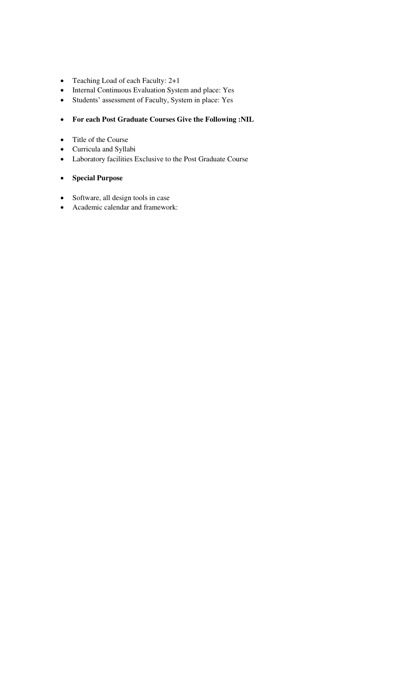- Teaching Load of each Faculty: 2+1
- Internal Continuous Evaluation System and place: Yes
- Students' assessment of Faculty, System in place: Yes

# **For each Post Graduate Courses Give the Following :NIL**

- Title of the Course
- Curricula and Syllabi
- Laboratory facilities Exclusive to the Post Graduate Course

# **Special Purpose**

- Software, all design tools in case
- Academic calendar and framework: